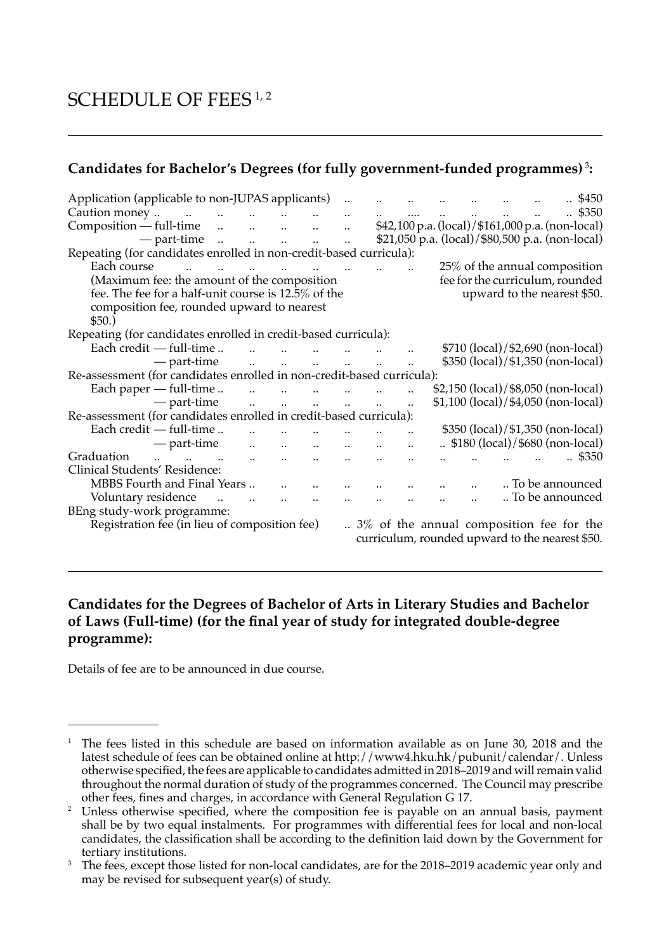# SCHEDULE OF FEES<sup>1,2</sup>

## **Candidates for Bachelor's Degrees (for fully government-funded programmes)** <sup>3</sup> **:**

| Application (applicable to non-JUPAS applicants)                                                                                   |                                     |                                       |                               |                                                                          |                               |              |                      | \$450                                                                                       |
|------------------------------------------------------------------------------------------------------------------------------------|-------------------------------------|---------------------------------------|-------------------------------|--------------------------------------------------------------------------|-------------------------------|--------------|----------------------|---------------------------------------------------------------------------------------------|
| Caution money<br>and the company of the company of                                                                                 |                                     |                                       |                               | $\mathbf{1}$                                                             | $\mathbf{a}$ and $\mathbf{b}$ | <b>Allen</b> | $\Delta \phi = 0.01$ | .4350                                                                                       |
| $Composition - full-time$ $\dots$ $\dots$ $\dots$                                                                                  |                                     |                                       | $\ddotsc$                     |                                                                          |                               |              |                      | \$42,100 p.a. (local)/\$161,000 p.a. (non-local)                                            |
| $-$ part-time $\ldots$ $\ldots$ $\ldots$                                                                                           |                                     |                                       | $\ddot{\phantom{a}}$          |                                                                          |                               |              |                      | \$21,050 p.a. (local)/\$80,500 p.a. (non-local)                                             |
| Repeating (for candidates enrolled in non-credit-based curricula):                                                                 |                                     |                                       |                               |                                                                          |                               |              |                      |                                                                                             |
| Each course<br>and the contract of the contract of the contract of the contract of the contract of the contract of the contract of |                                     |                                       |                               |                                                                          |                               |              |                      | 25% of the annual composition                                                               |
| (Maximum fee: the amount of the composition                                                                                        |                                     |                                       |                               |                                                                          |                               |              |                      | fee for the curriculum, rounded                                                             |
| fee. The fee for a half-unit course is 12.5% of the                                                                                |                                     |                                       |                               |                                                                          |                               |              |                      | upward to the nearest \$50.                                                                 |
| composition fee, rounded upward to nearest                                                                                         |                                     |                                       |                               |                                                                          |                               |              |                      |                                                                                             |
| \$50.)                                                                                                                             |                                     |                                       |                               |                                                                          |                               |              |                      |                                                                                             |
| Repeating (for candidates enrolled in credit-based curricula):                                                                     |                                     |                                       |                               |                                                                          |                               |              |                      |                                                                                             |
| Each credit — full-time<br>$\sim$<br>$\sim$ $\sim$                                                                                 |                                     |                                       |                               |                                                                          |                               |              |                      | \$710 (local)/\$2,690 (non-local)                                                           |
| — part-time                                                                                                                        | and the contract of the contract of |                                       |                               |                                                                          |                               |              |                      | \$350 (local)/\$1,350 (non-local)                                                           |
| Re-assessment (for candidates enrolled in non-credit-based curricula):                                                             |                                     |                                       |                               |                                                                          |                               |              |                      |                                                                                             |
| Each paper $-$ full-time                                                                                                           |                                     | $\mathbf{u}$<br>$\sim 100$ km $^{-1}$ |                               |                                                                          |                               |              |                      | \$2,150 (local)/\$8,050 (non-local)                                                         |
| — part-time                                                                                                                        | and a state of                      | $\Delta \phi = 0.01$                  | $\mathbf{u}$ and $\mathbf{u}$ |                                                                          |                               |              |                      | \$1,100 (local)/\$4,050 (non-local)                                                         |
| Re-assessment (for candidates enrolled in credit-based curricula):                                                                 |                                     |                                       |                               |                                                                          |                               |              |                      |                                                                                             |
| Each credit — full-time                                                                                                            |                                     |                                       |                               |                                                                          |                               |              |                      | \$350 (local)/\$1,350 (non-local)                                                           |
| — part-time<br>$\ddot{\phantom{a}}$                                                                                                | $\ddot{\phantom{a}}$                |                                       |                               |                                                                          |                               |              |                      | $\therefore$ \$180 (local)/\$680 (non-local)                                                |
| Graduation<br>$\mathbf{u} = \mathbf{u} \mathbf{u} = \mathbf{u} \mathbf{u}$<br>$\ddotsc$                                            |                                     |                                       |                               |                                                                          |                               |              |                      | \$350                                                                                       |
| Clinical Students' Residence:                                                                                                      |                                     |                                       |                               |                                                                          |                               |              |                      |                                                                                             |
| MBBS Fourth and Final Years                                                                                                        |                                     |                                       |                               |                                                                          |                               |              |                      | To be announced                                                                             |
| Voluntary residence<br>$\ddotsc$                                                                                                   | $\ddot{\phantom{a}}$                | $\mathbf{r}$                          |                               | $\mathbf{u} = \mathbf{u} \cdot \mathbf{u} = \mathbf{u} \cdot \mathbf{u}$ |                               |              |                      | To be announced                                                                             |
|                                                                                                                                    |                                     |                                       |                               |                                                                          |                               |              |                      |                                                                                             |
| BEng study-work programme:                                                                                                         |                                     |                                       |                               |                                                                          |                               |              |                      |                                                                                             |
| Registration fee (in lieu of composition fee)                                                                                      |                                     |                                       |                               |                                                                          |                               |              |                      | 3% of the annual composition fee for the<br>curriculum, rounded upward to the nearest \$50. |

#### **Candidates for the Degrees of Bachelor of Arts in Literary Studies and Bachelor of Laws (Full-time) (for the final year of study for integrated double-degree programme):**

Details of fee are to be announced in due course.

<sup>&</sup>lt;sup>1</sup> The fees listed in this schedule are based on information available as on June 30, 2018 and the latest schedule of fees can be obtained online at http://www4.hku.hk/pubunit/calendar/. Unless otherwise specified, the fees are applicable to candidates admitted in 2018–2019 and will remain valid throughout the normal duration of study of the programmes concerned. The Council may prescribe other fees, fines and charges, in accordance with General Regulation G 17.

<sup>&</sup>lt;sup>2</sup> Unless otherwise specified, where the composition fee is payable on an annual basis, payment shall be by two equal instalments. For programmes with differential fees for local and non-local candidates, the classification shall be according to the definition laid down by the Government for tertiary institutions.

<sup>&</sup>lt;sup>3</sup> The fees, except those listed for non-local candidates, are for the 2018–2019 academic year only and may be revised for subsequent year(s) of study.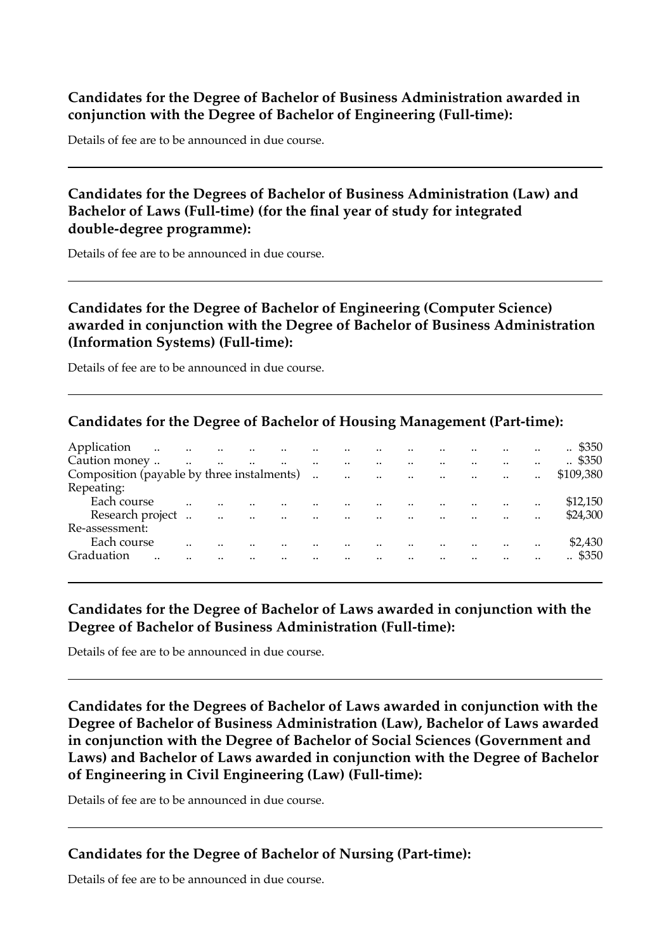#### **Candidates for the Degree of Bachelor of Business Administration awarded in conjunction with the Degree of Bachelor of Engineering (Full-time):**

Details of fee are to be announced in due course.

#### **Candidates for the Degrees of Bachelor of Business Administration (Law) and Bachelor of Laws (Full-time) (for the final year of study for integrated double-degree programme):**

Details of fee are to be announced in due course.

#### **Candidates for the Degree of Bachelor of Engineering (Computer Science) awarded in conjunction with the Degree of Bachelor of Business Administration (Information Systems) (Full-time):**

Details of fee are to be announced in due course.

#### **Candidates for the Degree of Bachelor of Housing Management (Part-time):**

| Application<br>$\ddotsc$                   | $\sim$ 100 $\mu$     | $\sim$               | $\sim$    |                          |                          |                          |                       |                  |           |           | \$350<br>$\cdot$ . |
|--------------------------------------------|----------------------|----------------------|-----------|--------------------------|--------------------------|--------------------------|-----------------------|------------------|-----------|-----------|--------------------|
| Caution money                              | $\ddot{\phantom{a}}$ | $\ddot{\phantom{a}}$ |           | $\ddot{\phantom{a}}$     |                          | $\ddot{\phantom{a}}$     | $\cdot$ .             |                  |           |           | $\therefore$ \$350 |
| Composition (payable by three instalments) |                      |                      |           | $\ddotsc$                | $\sim 100$ km s $^{-1}$  | $\sim 100$ km s $^{-1}$  | <b>Contract State</b> | $\sim$ 100 $\mu$ |           | $\cdot$ . | \$109.380          |
| Repeating:                                 |                      |                      |           |                          |                          |                          |                       |                  |           |           |                    |
| Each course                                |                      |                      |           |                          |                          |                          |                       |                  | $\cdot$ . |           | \$12,150           |
| Research project                           |                      | $\cdot$ .            | $\cdot$ . | <br>$\ddot{\phantom{a}}$ | $\overline{\phantom{a}}$ | $\overline{\phantom{a}}$ | $\cdot$               |                  |           |           | \$24,300           |
| Re-assessment:                             |                      |                      |           |                          |                          |                          |                       |                  |           |           |                    |
| Each course                                |                      |                      |           |                          |                          |                          |                       |                  |           |           | \$2,430            |
| Graduation<br>                             |                      |                      |           |                          |                          |                          |                       |                  |           |           | . \$350            |
|                                            |                      |                      |           |                          |                          |                          |                       |                  |           |           |                    |

#### **Candidates for the Degree of Bachelor of Laws awarded in conjunction with the Degree of Bachelor of Business Administration (Full-time):**

Details of fee are to be announced in due course.

**Candidates for the Degrees of Bachelor of Laws awarded in conjunction with the Degree of Bachelor of Business Administration (Law), Bachelor of Laws awarded in conjunction with the Degree of Bachelor of Social Sciences (Government and Laws) and Bachelor of Laws awarded in conjunction with the Degree of Bachelor of Engineering in Civil Engineering (Law) (Full-time):** 

Details of fee are to be announced in due course.

#### **Candidates for the Degree of Bachelor of Nursing (Part-time):**

Details of fee are to be announced in due course.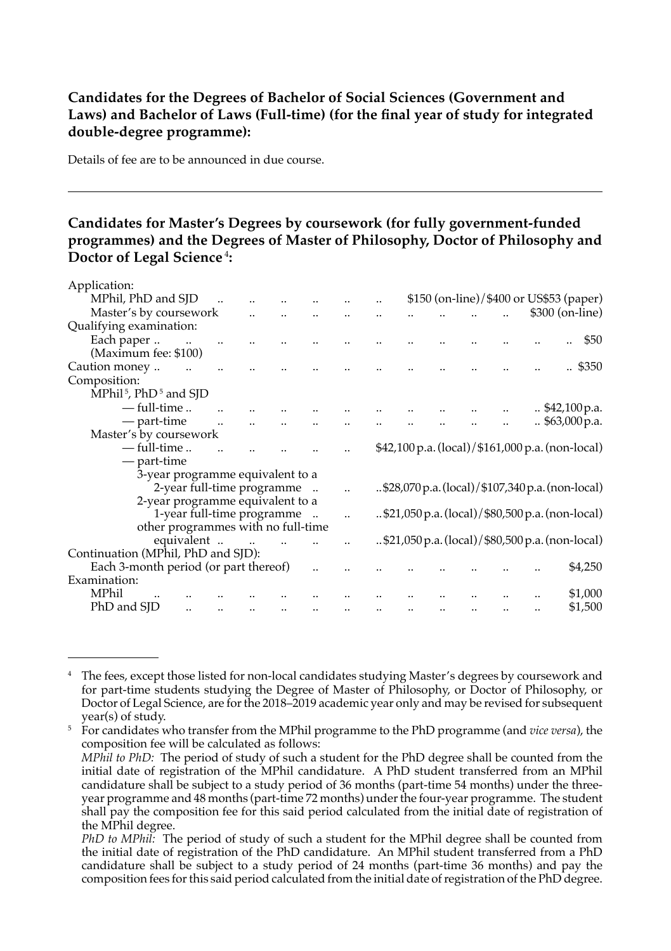#### **Candidates for the Degrees of Bachelor of Social Sciences (Government and Laws) and Bachelor of Laws (Full-time) (for the final year of study for integrated double-degree programme):**

Details of fee are to be announced in due course.

#### **Candidates for Master's Degrees by coursework (for fully government-funded programmes) and the Degrees of Master of Philosophy, Doctor of Philosophy and Doctor of Legal Science**<sup>4</sup>**:**

| Application:                                  |  |  |  |  |  |                                                  |
|-----------------------------------------------|--|--|--|--|--|--------------------------------------------------|
| MPhil, PhD and SID                            |  |  |  |  |  | \$150 (on-line)/\$400 or US\$53 (paper)          |
| Master's by coursework                        |  |  |  |  |  | \$300 (on-line)                                  |
| Qualifying examination:                       |  |  |  |  |  |                                                  |
| Each paper                                    |  |  |  |  |  | \$50                                             |
| (Maximum fee: \$100)                          |  |  |  |  |  |                                                  |
| Caution money                                 |  |  |  |  |  | \$350                                            |
| Composition:                                  |  |  |  |  |  |                                                  |
| MPhil <sup>5</sup> , PhD <sup>5</sup> and SJD |  |  |  |  |  |                                                  |
| — full-time                                   |  |  |  |  |  | \$42,100 p.a.                                    |
| - part-time                                   |  |  |  |  |  | \$63,000 p.a.                                    |
| Master's by coursework                        |  |  |  |  |  |                                                  |
| — full-time                                   |  |  |  |  |  | \$42,100 p.a. (local)/\$161,000 p.a. (non-local) |
| — part-time                                   |  |  |  |  |  |                                                  |
| 3-year programme equivalent to a              |  |  |  |  |  |                                                  |
| 2-year full-time programme                    |  |  |  |  |  | \$28,070 p.a. (local)/\$107,340 p.a. (non-local) |
| 2-year programme equivalent to a              |  |  |  |  |  |                                                  |
| 1-year full-time programme                    |  |  |  |  |  | \$21,050 p.a. (local)/\$80,500 p.a. (non-local)  |
| other programmes with no full-time            |  |  |  |  |  |                                                  |
| equivalent                                    |  |  |  |  |  | \$21,050 p.a. (local)/\$80,500 p.a. (non-local)  |
| Continuation (MPhil, PhD and SJD):            |  |  |  |  |  |                                                  |
| Each 3-month period (or part thereof)         |  |  |  |  |  | \$4,250                                          |
| Examination:<br>MPhil                         |  |  |  |  |  |                                                  |
| PhD and SJD                                   |  |  |  |  |  | \$1,000                                          |
|                                               |  |  |  |  |  | \$1,500                                          |

 initial date of registration of the MPhil candidature. A PhD student transferred from an MPhil <sup>5</sup> For candidates who transfer from the MPhil programme to the PhD programme (and *vice versa*), the composition fee will be calculated as follows: *MPhil to PhD:* The period of study of such a student for the PhD degree shall be counted from the candidature shall be subject to a study period of 36 months (part-time 54 months) under the three-

<sup>&</sup>lt;sup>4</sup> The fees, except those listed for non-local candidates studying Master's degrees by coursework and for part-time students studying the Degree of Master of Philosophy, or Doctor of Philosophy, or Doctor of Legal Science, are for the 2018–2019 academic year only and may be revised for subsequent year(s) of study.

year programme and 48 months (part-time 72 months) under the four-year programme. The student shall pay the composition fee for this said period calculated from the initial date of registration of the MPhil degree.

*PhD to MPhil:* The period of study of such a student for the MPhil degree shall be counted from the initial date of registration of the PhD candidature. An MPhil student transferred from a PhD candidature shall be subject to a study period of 24 months (part-time 36 months) and pay the composition fees for this said period calculated from the initial date of registration of the PhD degree.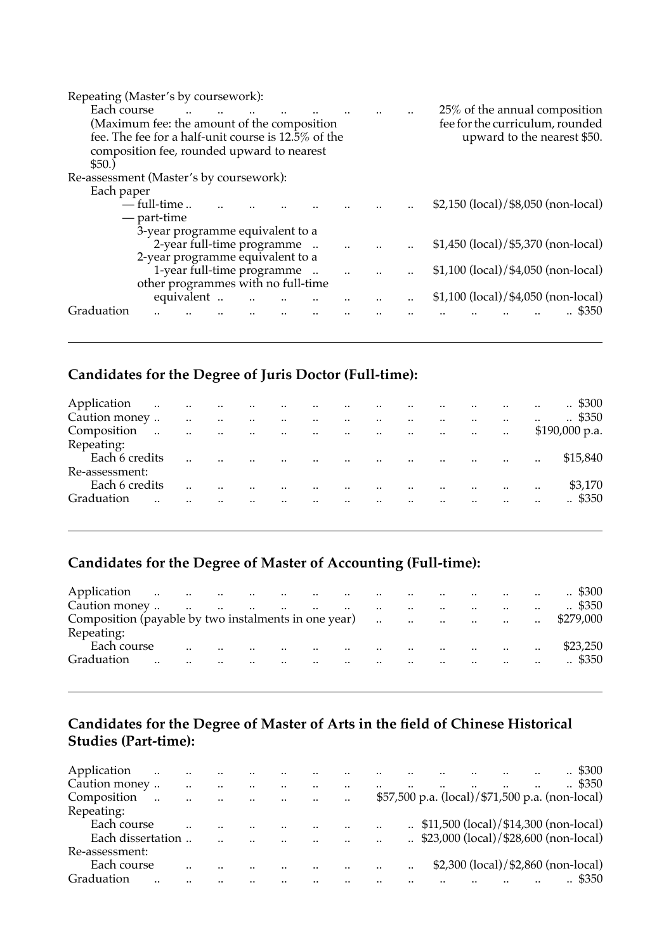| Repeating (Master's by coursework):                 |             |                                    |  |  |  |                                        |
|-----------------------------------------------------|-------------|------------------------------------|--|--|--|----------------------------------------|
| Each course                                         |             |                                    |  |  |  | 25% of the annual composition          |
| (Maximum fee: the amount of the composition         |             |                                    |  |  |  | fee for the curriculum, rounded        |
| fee. The fee for a half-unit course is 12.5% of the |             |                                    |  |  |  | upward to the nearest \$50.            |
| composition fee, rounded upward to nearest          |             |                                    |  |  |  |                                        |
| \$50.)                                              |             |                                    |  |  |  |                                        |
| Re-assessment (Master's by coursework):             |             |                                    |  |  |  |                                        |
| Each paper                                          |             |                                    |  |  |  |                                        |
|                                                     | — full-time |                                    |  |  |  | \$2,150 (local)/\$8,050 (non-local)    |
|                                                     | — part-time |                                    |  |  |  |                                        |
|                                                     |             | 3-year programme equivalent to a   |  |  |  |                                        |
|                                                     |             | 2-year full-time programme         |  |  |  | $$1,450$ (local)/ $$5,370$ (non-local) |
|                                                     |             | 2-year programme equivalent to a   |  |  |  |                                        |
|                                                     |             | 1-year full-time programme         |  |  |  | $$1,100$ (local)/ $$4,050$ (non-local) |
|                                                     |             | other programmes with no full-time |  |  |  |                                        |
|                                                     |             | equivalent                         |  |  |  | $$1,100$ (local)/ $$4,050$ (non-local) |
| Graduation                                          |             |                                    |  |  |  | \$350                                  |
|                                                     |             |                                    |  |  |  |                                        |

## **Candidates for the Degree of Juris Doctor (Full-time):**

| Application    | the contract of the contract of the contract of the contract of |                         |                         |            |                                   |                                   |                         |               |                                                  | $\ddotsc$            | and the contract of the con- |         | $\ddotsc$             | $\therefore$ \$300 |
|----------------|-----------------------------------------------------------------|-------------------------|-------------------------|------------|-----------------------------------|-----------------------------------|-------------------------|---------------|--------------------------------------------------|----------------------|------------------------------|---------|-----------------------|--------------------|
| Caution money  |                                                                 | $\ddotsc$<br>$\sim 100$ | $\sim 100$ km s $^{-1}$ | $\sim 100$ |                                   | and the state of the state of the |                         | $\sim$        |                                                  |                      | $\ddotsc$                    | $\cdot$ | $\ddotsc$             | $\therefore$ \$350 |
| Composition    | $\sim$<br><b>Contract</b>                                       | $\sim 100$ km s $^{-1}$ |                         |            |                                   |                                   |                         |               | المتاريخ والمتاريخ والمتاريخ والمتاريخ والمتاريخ |                      |                              |         |                       | $$190,000$ p.a.    |
| Repeating:     |                                                                 |                         |                         |            |                                   |                                   |                         |               |                                                  |                      |                              |         |                       |                    |
| Each 6 credits |                                                                 | $\ddotsc$               | $\ddot{\phantom{a}}$    |            | <b>Contractor</b>                 |                                   |                         |               | المناصب المناصب المناصب المناصب                  |                      |                              |         | $\dddot{\phantom{0}}$ | \$15,840           |
| Re-assessment: |                                                                 |                         |                         |            |                                   |                                   |                         |               |                                                  |                      |                              |         |                       |                    |
| Each 6 credits |                                                                 |                         |                         |            | $\ddot{\phantom{a}}$<br>$\sim 10$ | $\sim$ $\sim$                     | $\sim 100$ km s $^{-1}$ | $\sim$ $\sim$ |                                                  | $\ddot{\phantom{a}}$ | and the contract of the      |         | $\cdot$               | \$3,170            |
| Graduation     |                                                                 |                         | $\sim$<br>              |            | $\ddot{\phantom{a}}$              | and the state of the              |                         | $\sim$ $\sim$ |                                                  | $\ddot{\phantom{a}}$ | $\ddot{\phantom{a}}$         |         | $\ddotsc$             | $\therefore$ \$350 |
|                |                                                                 |                         |                         |            |                                   |                                   |                         |               |                                                  |                      |                              |         |                       |                    |

## **Candidates for the Degree of Master of Accounting (Full-time):**

| Application |           |  |                                |           |                   |                                            |        |                          | $\cdot$ .            | and the contract of the contract of the contract of the contract of the contract of the contract of the contract of | $\ddotsc$            | $\cdot$ \$300      |
|-------------|-----------|--|--------------------------------|-----------|-------------------|--------------------------------------------|--------|--------------------------|----------------------|---------------------------------------------------------------------------------------------------------------------|----------------------|--------------------|
|             |           |  | and the company of the company |           |                   | $\sim$ $\sim$                              |        | $\sim$                   | $\ddotsc$            | $\mathbf{r}$ and $\mathbf{r}$ and $\mathbf{r}$                                                                      |                      | $\therefore$ \$350 |
|             |           |  |                                |           |                   |                                            |        |                          |                      |                                                                                                                     | $\ddotsc$            | \$279,000          |
| Repeating:  |           |  |                                |           |                   |                                            |        |                          |                      |                                                                                                                     |                      |                    |
| Each course |           |  |                                | $\sim$    | <b>Contractor</b> |                                            | $\sim$ |                          |                      | and the company of the company of the                                                                               | $\ddot{\phantom{a}}$ | \$23,250           |
| Graduation  | $\cdot$ . |  | $\sim$ $\sim$                  | $\ddotsc$ |                   | and the state of the state of the state of |        | $\overline{\phantom{a}}$ | $\ddot{\phantom{a}}$ | $\sim$ $\sim$ $\sim$ $\sim$ $\sim$                                                                                  | $\ddot{\phantom{a}}$ | .4350              |
|             |           |  |                                |           |                   |                                            |        |                          |                      |                                                                                                                     |                      |                    |

#### **Candidates for the Degree of Master of Arts in the field of Chinese Historical Studies (Part-time):**

| Application       | $\ddot{\phantom{a}}$ | $\cdot$ . | $\cdot$              | $\cdot$ . |         | $\sim$ $\sim$ |           |                      |                                                 |                                                    |  | $. \$300$          |
|-------------------|----------------------|-----------|----------------------|-----------|---------|---------------|-----------|----------------------|-------------------------------------------------|----------------------------------------------------|--|--------------------|
| Caution money     |                      |           |                      |           |         |               | $\cdot$   | $\ddot{\phantom{a}}$ |                                                 |                                                    |  | $\therefore$ \$350 |
| Composition       | $\ddot{\phantom{a}}$ | $\cdot$ . | $\ddot{\phantom{a}}$ | $\cdot$ . | $\cdot$ |               | $\cdot$ . |                      | \$57,500 p.a. (local)/\$71,500 p.a. (non-local) |                                                    |  |                    |
| Repeating:        |                      |           |                      |           |         |               |           |                      |                                                 |                                                    |  |                    |
| Each course       |                      |           |                      |           |         |               |           | $\cdot$ .            |                                                 | $\therefore$ \$11,500 (local)/\$14,300 (non-local) |  |                    |
| Each dissertation |                      |           |                      |           |         |               |           |                      |                                                 | $\therefore$ \$23,000 (local)/\$28,600 (non-local) |  |                    |
| Re-assessment:    |                      |           |                      |           |         |               |           |                      |                                                 |                                                    |  |                    |
| Each course       |                      |           |                      |           |         |               |           |                      |                                                 | \$2,300 (local)/\$2,860 (non-local)                |  |                    |
| Graduation        |                      |           |                      |           |         |               |           |                      |                                                 |                                                    |  | \$350              |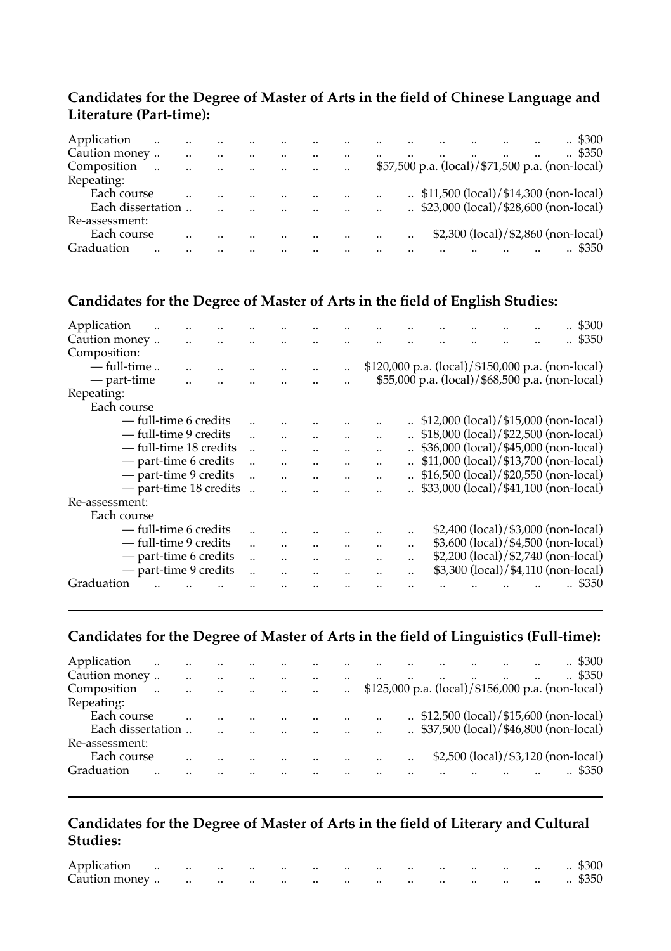#### **Candidates for the Degree of Master of Arts in the field of Chinese Language and Literature (Part-time):**

| Application       | $\cdot$              |                          |  |           |               |                                                    |  |  | $\therefore$ \$300 |
|-------------------|----------------------|--------------------------|--|-----------|---------------|----------------------------------------------------|--|--|--------------------|
| Caution money     |                      | <br>                     |  | <br>      |               |                                                    |  |  | $\therefore$ \$350 |
| Composition       | $\ddot{\phantom{a}}$ | <br>$\ddot{\phantom{a}}$ |  | $\cdot$ . |               | \$57,500 p.a. (local)/\$71,500 p.a. (non-local)    |  |  |                    |
| Repeating:        |                      |                          |  |           |               |                                                    |  |  |                    |
| Each course       |                      |                          |  |           |               | $\therefore$ \$11,500 (local)/\$14,300 (non-local) |  |  |                    |
| Each dissertation |                      |                          |  |           |               | $\therefore$ \$23,000 (local)/\$28,600 (non-local) |  |  |                    |
| Re-assessment:    |                      |                          |  |           |               |                                                    |  |  |                    |
| Each course       |                      |                          |  |           | <br>$\cdot$ . | \$2,300 (local)/\$2,860 (non-local)                |  |  |                    |
| Graduation        |                      |                          |  |           |               |                                                    |  |  | \$350              |
|                   |                      |                          |  |           |               |                                                    |  |  |                    |

## **Candidates for the Degree of Master of Arts in the field of English Studies:**

| Application    |                        |                      |  |                      |                      |                      |                      |                      |           |                                                    |  |  | .5300 |
|----------------|------------------------|----------------------|--|----------------------|----------------------|----------------------|----------------------|----------------------|-----------|----------------------------------------------------|--|--|-------|
| Caution money  |                        | $\ddotsc$            |  |                      |                      |                      |                      |                      |           |                                                    |  |  | \$350 |
| Composition:   |                        |                      |  |                      |                      |                      |                      |                      |           |                                                    |  |  |       |
| $-$ full-time  |                        |                      |  |                      |                      |                      | $\ddotsc$            |                      |           | \$120,000 p.a. (local)/\$150,000 p.a. (non-local)  |  |  |       |
| — part-time    |                        | $\ddot{\phantom{a}}$ |  |                      |                      |                      |                      |                      |           | \$55,000 p.a. (local)/\$68,500 p.a. (non-local)    |  |  |       |
| Repeating:     |                        |                      |  |                      |                      |                      |                      |                      |           |                                                    |  |  |       |
| Each course    |                        |                      |  |                      |                      |                      |                      |                      |           |                                                    |  |  |       |
|                | - full-time 6 credits  |                      |  |                      |                      |                      |                      |                      |           | $\therefore$ \$12,000 (local)/\$15,000 (non-local) |  |  |       |
|                | — full-time 9 credits  |                      |  |                      |                      |                      |                      | $\ddot{\phantom{a}}$ |           | $.$ \$18,000 (local)/\$22,500 (non-local)          |  |  |       |
|                | — full-time 18 credits |                      |  |                      |                      |                      |                      | $\ddot{\phantom{a}}$ |           | $\therefore$ \$36,000 (local)/\$45,000 (non-local) |  |  |       |
|                | - part-time 6 credits  |                      |  |                      |                      |                      |                      |                      |           | $\therefore$ \$11,000 (local)/\$13,700 (non-local) |  |  |       |
|                | - part-time 9 credits  |                      |  |                      | $\ddot{\phantom{a}}$ | $\ddot{\phantom{a}}$ | $\ddot{\phantom{a}}$ |                      |           | \$16,500 (local)/\$20,550 (non-local)              |  |  |       |
|                | - part-time 18 credits |                      |  |                      |                      |                      |                      |                      |           | $\therefore$ \$33,000 (local)/\$41,100 (non-local) |  |  |       |
| Re-assessment: |                        |                      |  |                      |                      |                      |                      |                      |           |                                                    |  |  |       |
| Each course    |                        |                      |  |                      |                      |                      |                      |                      |           |                                                    |  |  |       |
|                | - full-time 6 credits  |                      |  |                      |                      |                      |                      |                      |           | \$2,400 (local)/\$3,000 (non-local)                |  |  |       |
|                | — full-time 9 credits  |                      |  |                      |                      | $\ddot{\phantom{a}}$ |                      | $\ddot{\phantom{a}}$ | $\cdot$   | \$3,600 (local)/\$4,500 (non-local)                |  |  |       |
|                | - part-time 6 credits  |                      |  |                      | $\ddot{\phantom{a}}$ | $\ddot{\phantom{a}}$ |                      | $\ddot{\phantom{a}}$ |           | \$2,200 (local)/\$2,740 (non-local)                |  |  |       |
|                | - part-time 9 credits  |                      |  | $\ddot{\phantom{a}}$ |                      | $\ddot{\phantom{a}}$ |                      |                      | $\ddotsc$ | \$3,300 (local)/\$4,110 (non-local)                |  |  |       |
| Graduation     |                        |                      |  |                      |                      |                      |                      |                      |           |                                                    |  |  | \$350 |
|                |                        |                      |  |                      |                      |                      |                      |                      |           |                                                    |  |  |       |

#### **Candidates for the Degree of Master of Arts in the field of Linguistics (Full-time):**

| $\therefore$ \$300                                   |
|------------------------------------------------------|
| $\therefore$ \$350                                   |
| $$125,000$ p.a. (local)/ $$156,000$ p.a. (non-local) |
|                                                      |
| $\therefore$ \$12,500 (local)/\$15,600 (non-local)   |
| $\therefore$ \$37,500 (local)/\$46,800 (non-local)   |
|                                                      |
| \$2,500 (local)/\$3,120 (non-local)                  |
| \$350                                                |
|                                                      |

#### **Candidates for the Degree of Master of Arts in the field of Literary and Cultural Studies:**

| Application   |  |                                                                                                                 | the contract of the contract of | $\cdots$ | $\cdot$ . | $\cdot$ . | $\cdot$ . | $\sim$ $\sim$<br>$\sim$ |           | $\cdots$ | $\cdots$ | $\sim$        | \$300 |
|---------------|--|-----------------------------------------------------------------------------------------------------------------|---------------------------------|----------|-----------|-----------|-----------|-------------------------|-----------|----------|----------|---------------|-------|
| Caution money |  | the contract of the contract of the contract of the contract of the contract of the contract of the contract of |                                 |          | $\cdot$ . | $\cdot$ . | $\cdot$ . | $\sim$ $\sim$           | $\cdot$ . | $\sim$   |          | $\sim$ $\sim$ | \$350 |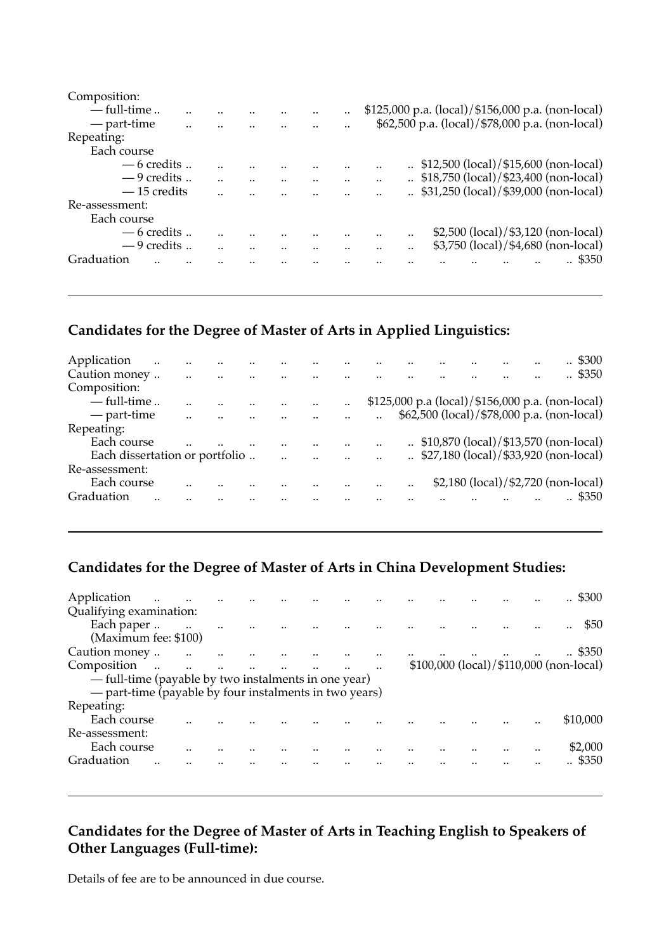| Composition:    |  |  |                                                        |  |
|-----------------|--|--|--------------------------------------------------------|--|
| $-$ full-time   |  |  | $$125,000$ p.a. (local)/ $$156,000$ p.a. (non-local)   |  |
| — part-time<br> |  |  | \$62,500 p.a. (local)/\$78,000 p.a. (non-local)        |  |
| Repeating:      |  |  |                                                        |  |
| Each course     |  |  |                                                        |  |
| $-6$ credits    |  |  | $\therefore$ \$12,500 (local)/\$15,600 (non-local)<br> |  |
| $-9$ credits    |  |  | $\therefore$ \$18,750 (local)/\$23,400 (non-local)<br> |  |
| $-15$ credits   |  |  | $\therefore$ \$31,250 (local)/\$39,000 (non-local)<br> |  |
| Re-assessment:  |  |  |                                                        |  |
| Each course     |  |  |                                                        |  |
| $-6$ credits    |  |  | \$2,500 (local)/\$3,120 (non-local)<br>                |  |
| $-9$ credits    |  |  | \$3,750 (local)/\$4,680 (non-local)<br>$\cdot$ .       |  |
| Graduation      |  |  | \$350                                                  |  |
|                 |  |  |                                                        |  |
|                 |  |  |                                                        |  |

## **Candidates for the Degree of Master of Arts in Applied Linguistics:**

| Application<br>$\ddotsc$       |           |  |               |         |  |  |  | . \$300                                            |
|--------------------------------|-----------|--|---------------|---------|--|--|--|----------------------------------------------------|
| Caution money                  |           |  |               |         |  |  |  | $\therefore$ \$350                                 |
| Composition:                   |           |  |               |         |  |  |  |                                                    |
| $-$ full-time                  |           |  |               | $\cdot$ |  |  |  | \$125,000 p.a (local)/\$156,000 p.a. (non-local)   |
| — part-time                    | $\cdot$ . |  |               |         |  |  |  | \$62,500 (local)/ \$78,000 p.a. (non-local)        |
| Repeating:                     |           |  |               |         |  |  |  |                                                    |
| Each course                    |           |  |               |         |  |  |  | $\therefore$ \$10,870 (local)/\$13,570 (non-local) |
| Each dissertation or portfolio |           |  | <br>$\cdot$ . |         |  |  |  | $\therefore$ \$27,180 (local)/\$33,920 (non-local) |
| Re-assessment:                 |           |  |               |         |  |  |  |                                                    |
| Each course                    |           |  |               |         |  |  |  | \$2,180 (local)/\$2,720 (non-local)                |
| Graduation<br>                 |           |  |               |         |  |  |  | \$350                                              |
|                                |           |  |               |         |  |  |  |                                                    |

## **Candidates for the Degree of Master of Arts in China Development Studies:**

| Application<br>$\ddotsc$<br>Qualifying examination:    |                      |                      |  |  |  |  | $\therefore$ \$300                      |
|--------------------------------------------------------|----------------------|----------------------|--|--|--|--|-----------------------------------------|
| Each paper<br>(Maximum fee: \$100)                     | $\ddot{\phantom{a}}$ |                      |  |  |  |  | \$50<br>                                |
| Caution money                                          |                      |                      |  |  |  |  | $\therefore$ \$350                      |
| Composition<br>$\sim 100$ km s $^{-1}$                 | $\ddot{\phantom{a}}$ | $\ddot{\phantom{a}}$ |  |  |  |  | \$100,000 (local)/\$110,000 (non-local) |
| — full-time (payable by two instalments in one year)   |                      |                      |  |  |  |  |                                         |
| - part-time (payable by four instalments in two years) |                      |                      |  |  |  |  |                                         |
| Repeating:                                             |                      |                      |  |  |  |  |                                         |
| Each course                                            |                      |                      |  |  |  |  | \$10,000                                |
| Re-assessment:                                         |                      |                      |  |  |  |  |                                         |
| Each course                                            |                      |                      |  |  |  |  | <br>\$2,000                             |
| Graduation                                             |                      |                      |  |  |  |  | \$350                                   |

### **Candidates for the Degree of Master of Arts in Teaching English to Speakers of Other Languages (Full-time):**

Details of fee are to be announced in due course.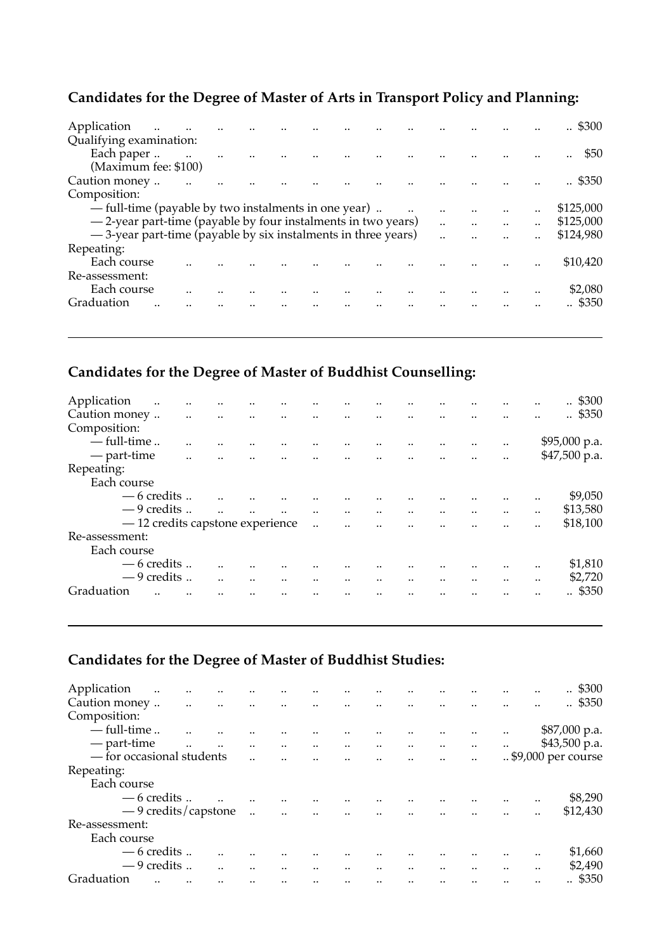## **Candidates for the Degree of Master of Arts in Transport Policy and Planning:**

| Application                                                    |  |  |  |  |      |      | $\therefore$ \$300 |
|----------------------------------------------------------------|--|--|--|--|------|------|--------------------|
| Qualifying examination:                                        |  |  |  |  |      |      |                    |
| Each paper                                                     |  |  |  |  |      |      | \$50               |
| (Maximum fee: \$100)                                           |  |  |  |  |      |      |                    |
| Caution money                                                  |  |  |  |  |      |      | \$350              |
| Composition:                                                   |  |  |  |  |      |      |                    |
| — full-time (payable by two instalments in one year)           |  |  |  |  |      | <br> | \$125,000          |
| -2-year part-time (payable by four instalments in two years)   |  |  |  |  | <br> | <br> | \$125,000          |
| - 3-year part-time (payable by six instalments in three years) |  |  |  |  | <br> | <br> | \$124,980          |
| Repeating:                                                     |  |  |  |  |      |      |                    |
| Each course                                                    |  |  |  |  |      |      | \$10.420           |
| Re-assessment:                                                 |  |  |  |  |      |      |                    |
| Each course                                                    |  |  |  |  |      |      | \$2,080            |
| Graduation                                                     |  |  |  |  |      |      | \$350              |
|                                                                |  |  |  |  |      |      |                    |
|                                                                |  |  |  |  |      |      |                    |

## **Candidates for the Degree of Master of Buddhist Counselling:**

| Application    | $\ddotsc$                        | $\cdot \cdot$        |                      |           | <br>                     |                      |         |                      |         |                      |         | <br>.5300     |
|----------------|----------------------------------|----------------------|----------------------|-----------|--------------------------|----------------------|---------|----------------------|---------|----------------------|---------|---------------|
| Caution money  |                                  | $\ddot{\phantom{a}}$ | $\ddot{\phantom{a}}$ | $\cdot$ . | <br>                     |                      |         |                      |         |                      |         | <br>.4350     |
| Composition:   |                                  |                      |                      |           |                          |                      |         |                      |         |                      |         |               |
|                | $-$ full-time                    |                      |                      |           |                          |                      |         |                      |         |                      |         | \$95,000 p.a. |
|                | — part-time                      |                      |                      |           |                          |                      |         |                      |         |                      |         | \$47,500 p.a. |
| Repeating:     |                                  |                      |                      |           |                          |                      |         |                      |         |                      |         |               |
|                | Each course                      |                      |                      |           |                          |                      |         |                      |         |                      |         |               |
|                | $-6$ credits                     |                      |                      |           |                          |                      |         |                      |         |                      |         | <br>\$9,050   |
|                | $-9$ credits                     |                      |                      |           | <br>$\ddot{\phantom{a}}$ | $\ddot{\phantom{a}}$ | $\cdot$ | $\ddot{\phantom{a}}$ | $\cdot$ | $\ddot{\phantom{a}}$ | $\cdot$ | <br>\$13,580  |
|                | - 12 credits capstone experience |                      |                      |           | $\ddot{\phantom{a}}$     |                      |         |                      |         |                      |         | <br>\$18,100  |
| Re-assessment: |                                  |                      |                      |           |                          |                      |         |                      |         |                      |         |               |
|                | Each course                      |                      |                      |           |                          |                      |         |                      |         |                      |         |               |
|                | $-6$ credits.                    |                      |                      |           |                          |                      |         |                      |         |                      |         | <br>\$1,810   |
|                | $-9$ credits                     |                      |                      |           | <br>                     |                      |         |                      |         |                      |         | <br>\$2,720   |
| Graduation     |                                  |                      |                      |           |                          |                      |         |                      |         |                      |         | <br>\$350     |
|                |                                  |                      |                      |           |                          |                      |         |                      |         |                      |         |               |

## **Candidates for the Degree of Master of Buddhist Studies:**

| Application<br>$\ddotsc$<br><br>        |           |                      |                      |                      |                      |                      |                      |           |         |           | . \$300            |
|-----------------------------------------|-----------|----------------------|----------------------|----------------------|----------------------|----------------------|----------------------|-----------|---------|-----------|--------------------|
| Caution money<br>$\ddotsc$<br>$\ddotsc$ | $\ddotsc$ |                      |                      |                      |                      |                      |                      |           |         |           | .4350              |
| Composition:                            |           |                      |                      |                      |                      |                      |                      |           |         |           |                    |
| $-$ full-time                           |           |                      |                      |                      |                      |                      | $\cdot$ .            |           |         |           | \$87,000 p.a.      |
| — part-time<br>$\ddotsc$<br>            | $\ddotsc$ |                      | $\ddotsc$            | $\ldots$             | $\ldots$             | $\cdot$              | $\ddotsc$            | $\ddotsc$ |         |           | $$43,500$ p.a.     |
| - for occasional students               |           |                      |                      | $\sim$ $\sim$        | $\ddot{\phantom{a}}$ | $\ddot{\phantom{a}}$ | $\ddot{\phantom{a}}$ |           |         |           | \$9,000 per course |
| Repeating:                              |           |                      |                      |                      |                      |                      |                      |           |         |           |                    |
| Each course                             |           |                      |                      |                      |                      |                      |                      |           |         |           |                    |
| — 6 credits                             |           |                      |                      |                      |                      |                      |                      |           |         |           | \$8,290            |
| - 9 credits/capstone                    |           | $\ddot{\phantom{a}}$ | $\ddot{\phantom{a}}$ | $\ddot{\phantom{a}}$ | $\ddotsc$            |                      |                      |           |         |           | \$12,430           |
| Re-assessment:                          |           |                      |                      |                      |                      |                      |                      |           |         |           |                    |
| Each course                             |           |                      |                      |                      |                      |                      |                      |           |         |           |                    |
| — 6 credits                             |           |                      |                      |                      |                      |                      |                      |           |         |           | \$1,660            |
| $-9$ credits                            |           |                      |                      |                      |                      |                      |                      |           | $\cdot$ | $\cdot$ . | \$2,490            |
| Graduation                              |           |                      |                      |                      |                      |                      |                      |           |         |           | . \$350            |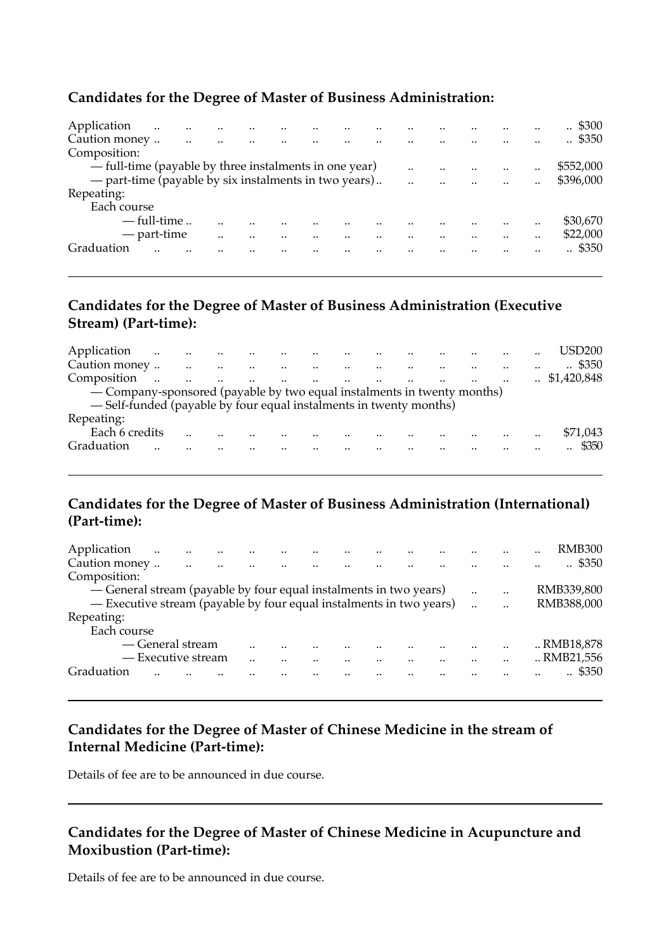#### **Candidates for the Degree of Master of Business Administration:**

| Application                                            | $\ddotsc$     |      |      |  |      |      |               | $\therefore$ \$300 |
|--------------------------------------------------------|---------------|------|------|--|------|------|---------------|--------------------|
| Caution money                                          |               | <br> | <br> |  | <br> |      |               | $\therefore$ \$350 |
| Composition:                                           |               |      |      |  |      |      |               |                    |
| - full-time (payable by three instalments in one year) |               |      |      |  |      | <br> | <br>          | \$552.000          |
| - part-time (payable by six instalments in two years)  |               |      |      |  |      | <br> | <br>$\cdot$ . | \$396,000          |
| Repeating:                                             |               |      |      |  |      |      |               |                    |
| Each course                                            |               |      |      |  |      |      |               |                    |
|                                                        | $-$ full-time |      |      |  |      |      |               | \$30,670           |
|                                                        | — part-time   |      |      |  |      |      |               | \$22,000           |
| Graduation                                             |               |      |      |  |      |      |               | .4350              |
|                                                        |               |      |      |  |      |      |               |                    |

### **Candidates for the Degree of Master of Business Administration (Executive Stream) (Part-time):**

| Application                                                             |        |                      | الموارد الموارد الموارد الموارد الموارد | and the control of the              |  |  |  |           | USD <sub>200</sub>       |
|-------------------------------------------------------------------------|--------|----------------------|-----------------------------------------|-------------------------------------|--|--|--|-----------|--------------------------|
|                                                                         |        |                      | $\sim$ $\sim$                           | الموارد المتوارد المتوارد والمتوارد |  |  |  | $\cdot$ . | $\cdot$ \$350            |
| Composition                                                             | $\sim$ | $\ddot{\phantom{a}}$ | $\sim$<br>$\cdots$                      | the company's company's company's   |  |  |  |           | $\therefore$ \$1,420,848 |
| — Company-sponsored (payable by two equal instalments in twenty months) |        |                      |                                         |                                     |  |  |  |           |                          |
| -Self-funded (payable by four equal instalments in twenty months)       |        |                      |                                         |                                     |  |  |  |           |                          |
| Repeating:                                                              |        |                      |                                         |                                     |  |  |  |           |                          |
| Each 6 credits                                                          |        |                      |                                         |                                     |  |  |  | $\cdot$ . | \$71,043                 |
| Graduation                                                              |        |                      |                                         |                                     |  |  |  |           | \$350                    |
|                                                                         |        |                      |                                         |                                     |  |  |  |           |                          |

### **Candidates for the Degree of Master of Business Administration (International) (Part-time):**

| Application                                                         | $\ddotsc$          | $\ddotsc$ |                    |                      |                                     |  |                      |           | <br><b>RMB300</b>  |
|---------------------------------------------------------------------|--------------------|-----------|--------------------|----------------------|-------------------------------------|--|----------------------|-----------|--------------------|
| Caution money                                                       |                    | $\ddotsc$ | and the control of | $\ddot{\phantom{a}}$ | $\cdots$ $\cdots$ $\cdots$ $\cdots$ |  |                      |           | $\therefore$ \$350 |
| Composition:                                                        |                    |           |                    |                      |                                     |  |                      |           |                    |
| — General stream (payable by four equal instalments in two years)   |                    |           |                    |                      |                                     |  | $\ddot{\phantom{a}}$ | $\cdot$ . | RMB339,800         |
| - Executive stream (payable by four equal instalments in two years) |                    |           |                    |                      |                                     |  |                      |           | RMB388.000         |
| Repeating:                                                          |                    |           |                    |                      |                                     |  |                      |           |                    |
| Each course                                                         |                    |           |                    |                      |                                     |  |                      |           |                    |
|                                                                     | — General stream   |           |                    |                      |                                     |  |                      |           | RMB18,878          |
|                                                                     | — Executive stream |           |                    |                      |                                     |  |                      |           | RMB21.556          |
| Graduation                                                          |                    |           |                    |                      |                                     |  |                      |           | \$350              |
|                                                                     |                    |           |                    |                      |                                     |  |                      |           |                    |

### **Candidates for the Degree of Master of Chinese Medicine in the stream of Internal Medicine (Part-time):**

Details of fee are to be announced in due course.

#### **Candidates for the Degree of Master of Chinese Medicine in Acupuncture and Moxibustion (Part-time):**

Details of fee are to be announced in due course.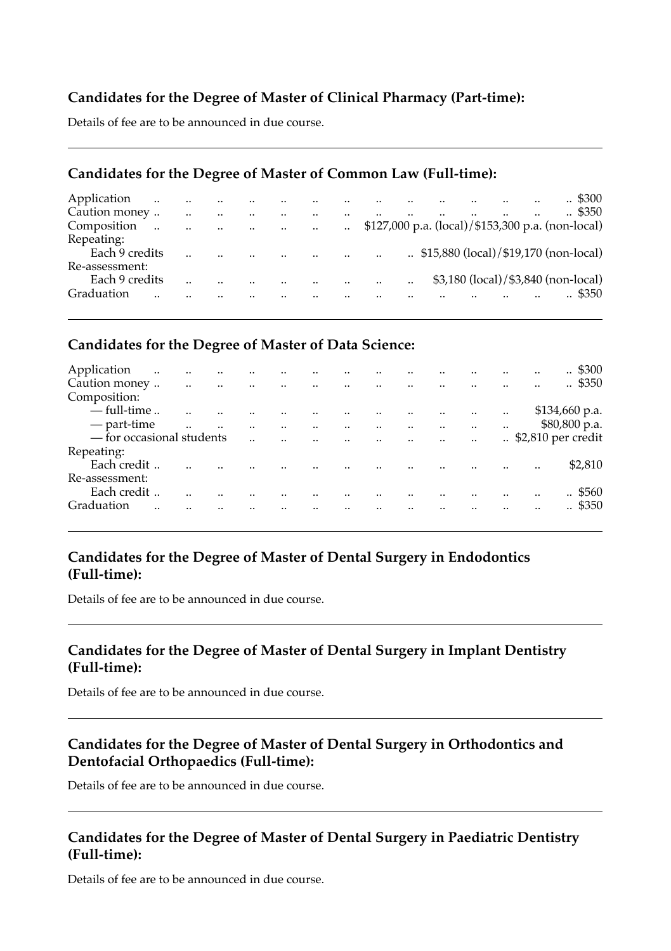### **Candidates for the Degree of Master of Clinical Pharmacy (Part-time):**

Details of fee are to be announced in due course.

#### **Candidates for the Degree of Master of Common Law (Full-time):**

| Application    | $\ddotsc$             | $\cdot$ .            | $\ddotsc$<br>$\sim$ 100 $\mu$ |                         | $\ddotsc$            | $\cdot$ .            |         | $\sim$    | $\sim$    |                                                    |  |  | .4300              |
|----------------|-----------------------|----------------------|-------------------------------|-------------------------|----------------------|----------------------|---------|-----------|-----------|----------------------------------------------------|--|--|--------------------|
| Caution money  |                       |                      |                               |                         | $\ddot{\phantom{a}}$ | $\ddot{\phantom{a}}$ | $\cdot$ | $\ddotsc$ |           | $\ddot{\phantom{a}}$                               |  |  | $\therefore$ \$350 |
| Composition    | $\dddot{\phantom{0}}$ | $\ddot{\phantom{a}}$ | $\ddotsc$                     | and the contract of the |                      |                      |         |           |           |                                                    |  |  |                    |
| Repeating:     |                       |                      |                               |                         |                      |                      |         |           |           |                                                    |  |  |                    |
| Each 9 credits |                       |                      |                               |                         |                      |                      |         | $\cdots$  |           | $\therefore$ \$15,880 (local)/\$19,170 (non-local) |  |  |                    |
| Re-assessment: |                       |                      |                               |                         |                      |                      |         |           |           |                                                    |  |  |                    |
| Each 9 credits |                       |                      |                               |                         |                      | $\cdot$ .            |         | $\sim$    | $\cdot$ . | \$3,180 (local)/\$3,840 (non-local)                |  |  |                    |
| Graduation     |                       |                      |                               |                         |                      |                      |         |           |           |                                                    |  |  | $\therefore$ \$350 |

### **Candidates for the Degree of Master of Data Science:**

| Application                 | $\ddotsc$ | $\ddotsc$            | $\ddotsc$            | $\ddotsc$            | $\cdot$              | $\ddotsc$               |                                   |                      |                       |                       |                 |           | $\cdot$ | . \$300                         |
|-----------------------------|-----------|----------------------|----------------------|----------------------|----------------------|-------------------------|-----------------------------------|----------------------|-----------------------|-----------------------|-----------------|-----------|---------|---------------------------------|
| Caution money               |           | $\ddotsc$            | $\sim 10$            | and the control of   |                      | $\sim 100$ km s $^{-1}$ | <b>Contract Contract</b>          | $\sim 100$ m $^{-1}$ | <b>Contract State</b> |                       |                 |           |         | $\therefore$ \$350              |
| Composition:                |           |                      |                      |                      |                      |                         |                                   |                      |                       |                       |                 |           |         |                                 |
| $-$ full-time               |           |                      |                      |                      |                      |                         |                                   | $\ddot{\phantom{a}}$ |                       | $\sim$                | $\sim$ $\sim$   | $\ddotsc$ |         | \$134,660 p.a.                  |
| — part-time                 |           | $\ddot{\phantom{a}}$ | $\ddot{\phantom{a}}$ | $\ddot{\phantom{a}}$ | $\ddot{\phantom{a}}$ |                         | and the state of the              |                      | $\sim$ 100 $\mu$      | $\dddot{\phantom{0}}$ | <b>Contract</b> | $\ddotsc$ |         | \$80,800 p.a.                   |
| $-$ for occasional students |           |                      |                      |                      | $\ddot{\phantom{a}}$ |                         | $\mathbf{m}^{\mathrm{max}}$ , and | $\sim$               | $\sim$ 100 $\mu$      | $\sim 100$ km $^{-1}$ | <b>Contract</b> |           |         | $\therefore$ \$2,810 per credit |
| Repeating:                  |           |                      |                      |                      |                      |                         |                                   |                      |                       |                       |                 |           |         |                                 |
| Each credit                 |           |                      |                      |                      |                      |                         |                                   |                      |                       |                       |                 |           |         | \$2,810                         |
| Re-assessment:              |           |                      |                      |                      |                      |                         |                                   |                      |                       |                       |                 |           |         |                                 |
| Each credit                 |           |                      |                      |                      |                      |                         |                                   |                      |                       |                       |                 |           |         | $\therefore$ \$560              |
| Graduation                  |           |                      |                      |                      |                      |                         |                                   |                      | $\cdot$               |                       |                 |           |         | \$350<br>$\cdot$ .              |
|                             |           |                      |                      |                      |                      |                         |                                   |                      |                       |                       |                 |           |         |                                 |

### **Candidates for the Degree of Master of Dental Surgery in Endodontics (Full-time):**

Details of fee are to be announced in due course.

#### **Candidates for the Degree of Master of Dental Surgery in Implant Dentistry (Full-time):**

Details of fee are to be announced in due course.

### **Candidates for the Degree of Master of Dental Surgery in Orthodontics and Dentofacial Orthopaedics (Full-time):**

Details of fee are to be announced in due course.

### **Candidates for the Degree of Master of Dental Surgery in Paediatric Dentistry (Full-time):**

Details of fee are to be announced in due course.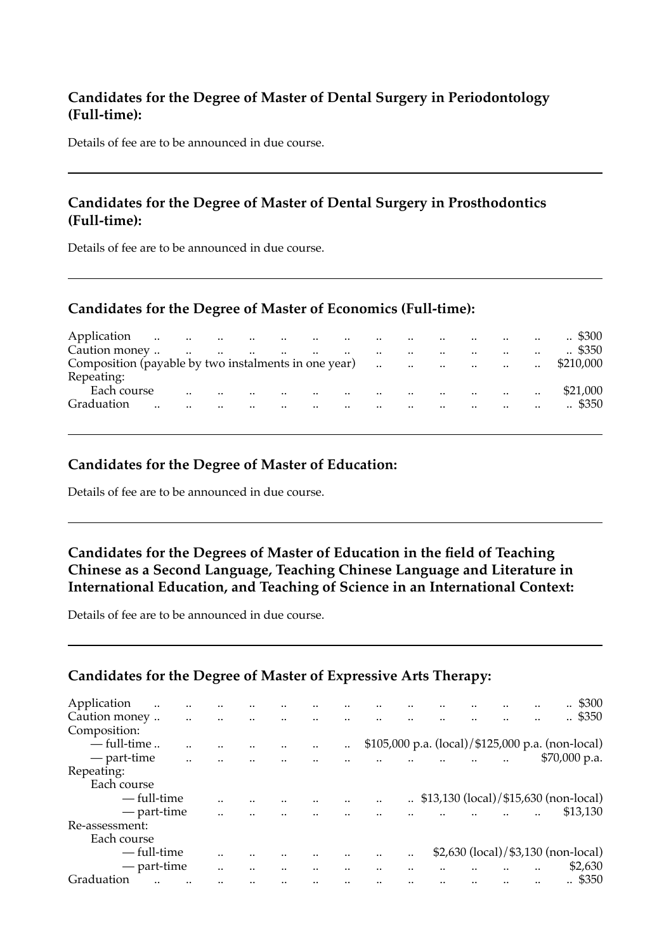#### **Candidates for the Degree of Master of Dental Surgery in Periodontology (Full-time):**

Details of fee are to be announced in due course.

#### **Candidates for the Degree of Master of Dental Surgery in Prosthodontics (Full-time):**

Details of fee are to be announced in due course.

#### **Candidates for the Degree of Master of Economics (Full-time):**

| Application                                          |        |                      |                 |                      |           |                          |                      |           | $\cdot$ .            | $\cdots$ $\cdots$                                                                                                   |               | $\ddot{\phantom{a}}$ | $\therefore$ \$300 |
|------------------------------------------------------|--------|----------------------|-----------------|----------------------|-----------|--------------------------|----------------------|-----------|----------------------|---------------------------------------------------------------------------------------------------------------------|---------------|----------------------|--------------------|
| Caution money                                        | $\sim$ | $\ddotsc$            | and the control | <b>Contractor</b>    |           | $\sim$                   | $\ddotsc$            | $\cdot$ . | $\ddot{\phantom{a}}$ | $\cdot$ .                                                                                                           | $\sim$ $\sim$ | $\cdot$ .            | $\therefore$ \$350 |
| Composition (payable by two instalments in one year) |        |                      |                 |                      |           |                          |                      |           |                      | and the contract of the contract of the contract of the contract of the contract of the contract of the contract of |               | $\ddot{\phantom{a}}$ | \$210,000          |
| Repeating:                                           |        |                      |                 |                      |           |                          |                      |           |                      |                                                                                                                     |               |                      |                    |
| Each course                                          |        | $\ddot{\phantom{a}}$ |                 | $\ddot{\phantom{a}}$ | $\ddotsc$ | $\overline{\phantom{a}}$ | $\ddot{\phantom{a}}$ |           | $\cdot$              | $\cdot$ $\cdot$                                                                                                     |               | $\cdot$ .            | \$21,000           |
| Graduation                                           | <br>   |                      |                 |                      |           | $\ddot{\phantom{a}}$     |                      |           |                      | $\cdot$                                                                                                             |               |                      | $\therefore$ \$350 |
|                                                      |        |                      |                 |                      |           |                          |                      |           |                      |                                                                                                                     |               |                      |                    |

#### **Candidates for the Degree of Master of Education:**

Details of fee are to be announced in due course.

#### **Candidates for the Degrees of Master of Education in the field of Teaching Chinese as a Second Language, Teaching Chinese Language and Literature in International Education, and Teaching of Science in an International Context:**

Details of fee are to be announced in due course.

### **Candidates for the Degree of Master of Expressive Arts Therapy:**

| Application<br> | <br> |      |           |      |  |  | \$300<br>$\ddotsc$                                |
|-----------------|------|------|-----------|------|--|--|---------------------------------------------------|
| Caution money   |      |      |           |      |  |  | $\therefore$ \$350                                |
| Composition:    |      |      |           |      |  |  |                                                   |
| $-$ full-time   |      |      | $\cdot$ . |      |  |  | \$105,000 p.a. (local)/\$125,000 p.a. (non-local) |
| — part-time     |      |      |           |      |  |  | $$70,000$ p.a.                                    |
| Repeating:      |      |      |           |      |  |  |                                                   |
| Each course     |      |      |           |      |  |  |                                                   |
| — full-time     |      |      |           |      |  |  | \$13,130 (local)/\$15,630 (non-local)             |
| — part-time     |      |      |           |      |  |  | \$13,130                                          |
| Re-assessment:  |      |      |           |      |  |  |                                                   |
| Each course     |      |      |           |      |  |  |                                                   |
| — full-time     |      |      |           | <br> |  |  | \$2,630 (local)/\$3,130 (non-local)               |
| — part-time     |      | <br> |           |      |  |  | \$2,630                                           |
| Graduation      |      |      |           |      |  |  | . \$350                                           |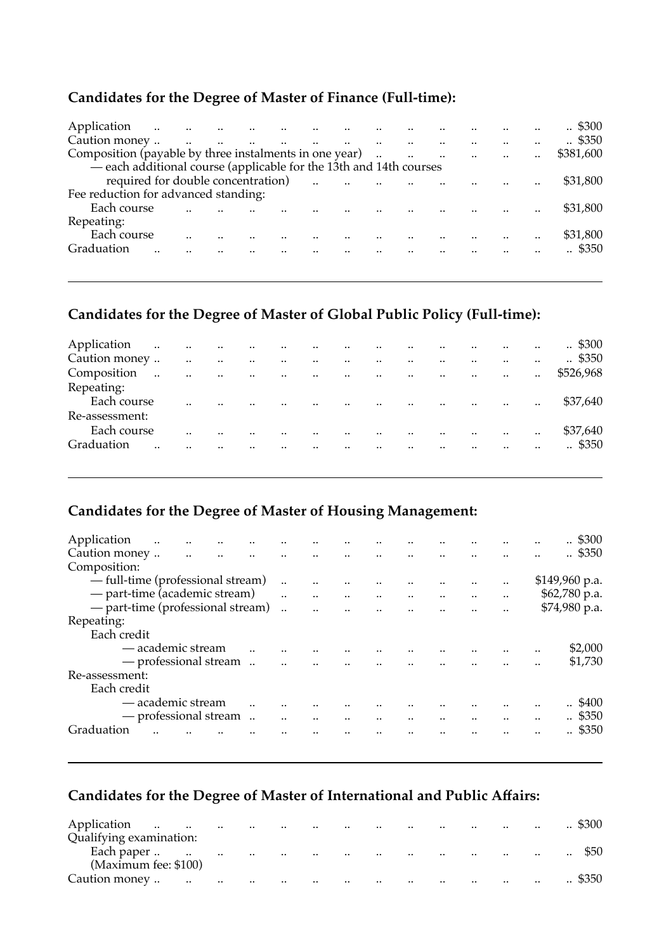## **Candidates for the Degree of Master of Finance (Full-time):**

| Application                                                        |  | the contract of the contract of the contract of the contract of |  |                                                                                                                  |  |                           |                      | $\therefore$ \$300 |
|--------------------------------------------------------------------|--|-----------------------------------------------------------------|--|------------------------------------------------------------------------------------------------------------------|--|---------------------------|----------------------|--------------------|
| Caution money                                                      |  |                                                                 |  |                                                                                                                  |  |                           |                      | $\therefore$ \$350 |
| Composition (payable by three instalments in one year)             |  |                                                                 |  |                                                                                                                  |  | المنادي المتارين المتارين |                      | \$381,600          |
| - each additional course (applicable for the 13th and 14th courses |  |                                                                 |  |                                                                                                                  |  |                           |                      |                    |
| required for double concentration)                                 |  |                                                                 |  | and the company of the company of the company of the company of the company of the company of the company of the |  |                           |                      | \$31,800           |
| Fee reduction for advanced standing:                               |  |                                                                 |  |                                                                                                                  |  |                           |                      |                    |
| Each course                                                        |  |                                                                 |  |                                                                                                                  |  |                           |                      | \$31,800           |
| Repeating:                                                         |  |                                                                 |  |                                                                                                                  |  |                           |                      |                    |
| Each course                                                        |  |                                                                 |  |                                                                                                                  |  |                           | $\ddot{\phantom{a}}$ | \$31,800           |
| Graduation                                                         |  |                                                                 |  | $\mathbf{u} = \mathbf{u}$ , and the contract of the contract of $\mathbf{u} = \mathbf{u}$                        |  |                           |                      | $\therefore$ \$350 |
|                                                                    |  |                                                                 |  |                                                                                                                  |  |                           |                      |                    |

### **Candidates for the Degree of Master of Global Public Policy (Full-time):**

| Application<br>$\sim$ 100 $\mu$ |           | $\sim 100$ km s $^{-1}$ | $\sim 100$ | <b>Contract</b>   | $\sim$ 100 $\mu$     | $\ddotsc$            | $\sim 100$ km s $^{-1}$  | $\ddotsc$     | $\ddotsc$            |                      |                      |                      | $\ddot{\phantom{a}}$ | $\therefore$ \$300 |
|---------------------------------|-----------|-------------------------|------------|-------------------|----------------------|----------------------|--------------------------|---------------|----------------------|----------------------|----------------------|----------------------|----------------------|--------------------|
| Caution money                   |           | $\cdot$                 |            | $\ddotsc$         | $\ddotsc$            | $\ddot{\phantom{a}}$ | $\sim$                   |               | $\ddot{\phantom{a}}$ |                      | $\cdot$ .            | $\cdot$ .            |                      | $\therefore$ \$350 |
| Composition                     | $\ddotsc$ | $\ddotsc$               | $\ddotsc$  | $\sim$ 100 $\sim$ | $\ddot{\phantom{a}}$ | $\ddotsc$            | <b>Contract Contract</b> | $\sim$ $\sim$ | $\ddots$             | $\ddot{\phantom{a}}$ | $\ddotsc$            | $\ddot{\phantom{a}}$ |                      | \$526,968          |
| Repeating:                      |           |                         |            |                   |                      |                      |                          |               |                      |                      |                      |                      |                      |                    |
| Each course                     |           |                         |            |                   |                      | $\cdot$              | $\sim$                   | $\ddotsc$     | $\ddot{\phantom{a}}$ |                      | $\cdot$              | $\cdot$ .            | $\cdot$ .            | \$37.640           |
| Re-assessment:                  |           |                         |            |                   |                      |                      |                          |               |                      |                      |                      |                      |                      |                    |
| Each course                     |           |                         |            |                   |                      |                      |                          |               | $\cdot$              |                      | $\ddot{\phantom{a}}$ | $\cdot$ .            | $\cdot$ .            | \$37,640           |
| Graduation                      |           |                         |            |                   |                      |                      |                          | $\cdot$ .     |                      |                      |                      |                      |                      | . \$350            |
|                                 |           |                         |            |                   |                      |                      |                          |               |                      |                      |                      |                      |                      |                    |

## **Candidates for the Degree of Master of Housing Management:**

| Application<br>Caution money<br>Composition: | $\sim$                | $\ddotsc$<br>and the control of | $\ddotsc$ | $\ddotsc$<br><b>Contractor</b> | $\ddotsc$<br>$\ddotsc$ | $\ddotsc$            |                                                                               |                                                           |                                                                          |               |                      | . \$300<br>\$350   |
|----------------------------------------------|-----------------------|---------------------------------|-----------|--------------------------------|------------------------|----------------------|-------------------------------------------------------------------------------|-----------------------------------------------------------|--------------------------------------------------------------------------|---------------|----------------------|--------------------|
|                                              |                       |                                 |           |                                |                        |                      |                                                                               |                                                           |                                                                          |               |                      |                    |
| — full-time (professional stream)            |                       |                                 |           |                                | $\ddot{\phantom{a}}$   | $\ddotsc$            | $\ddotsc$                                                                     |                                                           |                                                                          | $\ddotsc$     |                      | \$149,960 p.a.     |
| - part-time (academic stream)                |                       |                                 |           |                                | $\ddot{\phantom{a}}$   |                      | $\mathbf{m}^{\prime}$ , and $\mathbf{m}^{\prime}$ , and $\mathbf{m}^{\prime}$ |                                                           |                                                                          |               |                      | \$62,780 p.a.      |
| - part-time (professional stream)            |                       |                                 |           |                                |                        | $\ddot{\phantom{a}}$ | $\ddot{\phantom{a}}$                                                          |                                                           | $\mathbf{u} = \mathbf{u} \cdot \mathbf{u} = \mathbf{u} \cdot \mathbf{u}$ |               | $\ddotsc$            | \$74,980 p.a.      |
| Repeating:                                   |                       |                                 |           |                                |                        |                      |                                                                               |                                                           |                                                                          |               |                      |                    |
| Each credit                                  |                       |                                 |           |                                |                        |                      |                                                                               |                                                           |                                                                          |               |                      |                    |
|                                              | — academic stream     |                                 |           |                                |                        |                      |                                                                               |                                                           |                                                                          |               | $\ddotsc$            | <br>\$2,000        |
|                                              | - professional stream |                                 |           |                                | $\ddot{\phantom{a}}$   |                      |                                                                               |                                                           | and the company of the company of                                        |               |                      | \$1,730            |
| Re-assessment:                               |                       |                                 |           |                                |                        |                      |                                                                               |                                                           |                                                                          |               |                      |                    |
| Each credit                                  |                       |                                 |           |                                |                        |                      |                                                                               |                                                           |                                                                          |               |                      |                    |
|                                              | - academic stream     |                                 |           |                                |                        |                      |                                                                               |                                                           |                                                                          |               |                      | <br>\$400          |
|                                              | - professional stream |                                 |           |                                |                        | $\ddotsc$            | $\ddotsc$                                                                     | $\mathcal{L}_{\text{max}}$ and $\mathcal{L}_{\text{max}}$ |                                                                          | $\cdot \cdot$ | $\ddot{\phantom{a}}$ | $\therefore$ \$350 |
| Graduation                                   |                       |                                 |           |                                |                        |                      |                                                                               |                                                           |                                                                          |               |                      | \$350              |
|                                              |                       |                                 |           |                                |                        |                      |                                                                               |                                                           |                                                                          |               |                      |                    |

## **Candidates for the Degree of Master of International and Public Affairs:**

| Application<br>$\ldots$<br>$\sim$            | $\ldots$ | <b>Contract Contract</b> | $\ldots$  | $\sim$ 100 $\sim$          | $\sim$ $\sim$            | $\ddotsc$ | $\sim$                     |           | the contract of the contract of the contract of the contract of the contract of the contract of the contract of |                            | $\ddotsc$ | \$300     |
|----------------------------------------------|----------|--------------------------|-----------|----------------------------|--------------------------|-----------|----------------------------|-----------|-----------------------------------------------------------------------------------------------------------------|----------------------------|-----------|-----------|
| Qualifying examination:                      |          |                          |           |                            |                          |           |                            |           |                                                                                                                 |                            |           |           |
| Each paper<br>$\sim$<br>(Maximum fee: \$100) | $\ldots$ | <b>Contractor</b>        | $\ddotsc$ | the company of the company |                          | $\cdots$  | the company of the company |           |                                                                                                                 | the company of the company | $\sim$    | $\cdot$ . |
| Caution money<br>$\cdots$                    | $\ldots$ | $\cdots$                 | $\ddotsc$ | $\ddotsc$                  | <b>Contract Contract</b> | $\ddotsc$ | $\sim$                     | $\cdot$ . | $\sim$ 100 $\sim$ 100 $\sim$                                                                                    | $\sim$ $\sim$              | $\ddotsc$ | \$350     |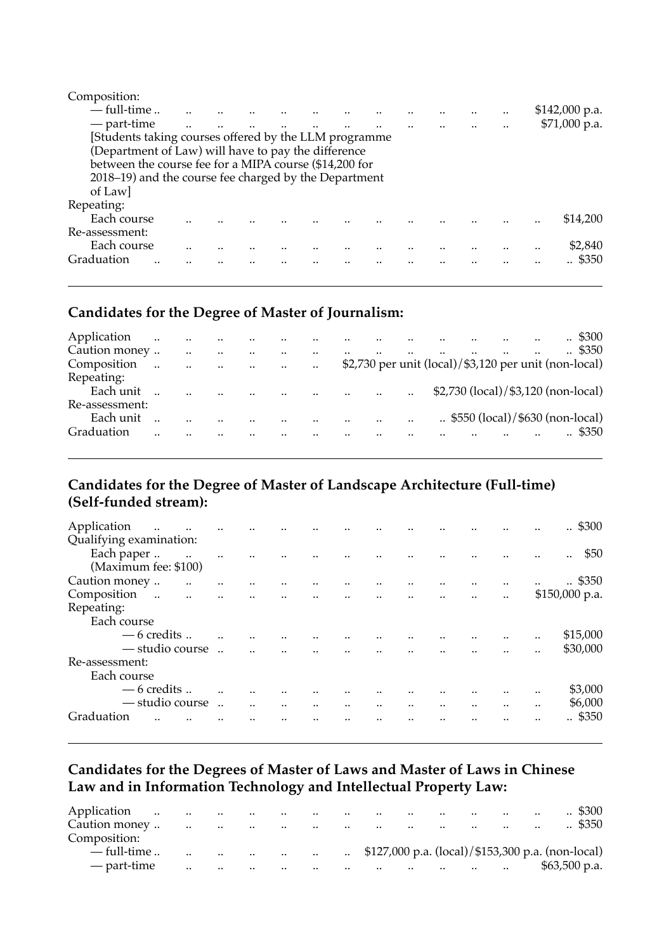| Composition:                                           |  |  |  |  |  |  |                |
|--------------------------------------------------------|--|--|--|--|--|--|----------------|
| $-$ full-time                                          |  |  |  |  |  |  | \$142,000 p.a. |
| — part-time                                            |  |  |  |  |  |  | \$71,000 p.a.  |
| Students taking courses offered by the LLM programme   |  |  |  |  |  |  |                |
| (Department of Law) will have to pay the difference    |  |  |  |  |  |  |                |
| between the course fee for a MIPA course (\$14,200 for |  |  |  |  |  |  |                |
| 2018–19) and the course fee charged by the Department  |  |  |  |  |  |  |                |
| of Law                                                 |  |  |  |  |  |  |                |
| Repeating:                                             |  |  |  |  |  |  |                |
| Each course                                            |  |  |  |  |  |  | \$14,200       |
| Re-assessment:                                         |  |  |  |  |  |  |                |
| Each course                                            |  |  |  |  |  |  | \$2,840        |
| Graduation<br>                                         |  |  |  |  |  |  | \$350          |
|                                                        |  |  |  |  |  |  |                |

#### **Candidates for the Degree of Master of Journalism:**

| Application    | $\ddot{\phantom{a}}$ | $\ddot{\phantom{a}}$ | $\ddot{\phantom{a}}$ | $\sim$                | $\cdot$ | $\ddot{\phantom{a}}$ | $\sim$    |                      |           |                                                          | $\cdot$ .                                |  | $\therefore$ \$300 |
|----------------|----------------------|----------------------|----------------------|-----------------------|---------|----------------------|-----------|----------------------|-----------|----------------------------------------------------------|------------------------------------------|--|--------------------|
| Caution money  |                      |                      |                      | $\cdot$ .             |         | $\ddot{\phantom{a}}$ | $\ddotsc$ | $\ddot{\phantom{a}}$ | $\ddotsc$ |                                                          |                                          |  | $\therefore$ \$350 |
| Composition    | $\ddotsc$            | $\ddotsc$            | $\ddotsc$            | <b>Contract State</b> |         | $\ddotsc$            |           |                      |           | $$2,730$ per unit (local)/ $$3,120$ per unit (non-local) |                                          |  |                    |
| Repeating:     |                      |                      |                      |                       |         |                      |           |                      |           |                                                          |                                          |  |                    |
| Each unit      |                      |                      |                      |                       |         |                      |           |                      |           | \$2,730 (local)/\$3,120 (non-local)                      |                                          |  |                    |
| Re-assessment: |                      |                      |                      |                       |         |                      |           |                      |           |                                                          |                                          |  |                    |
| Each unit      |                      |                      |                      |                       |         | $\cdot$ .            |           | $\sim$               | $\cdot$ . |                                                          | $\ldots$ \$550 (local)/\$630 (non-local) |  |                    |
| Graduation     |                      |                      |                      |                       |         |                      |           |                      |           |                                                          |                                          |  | \$350              |

### **Candidates for the Degree of Master of Landscape Architecture (Full-time) (Self-funded stream):**

| Application<br>$\ddotsc$<br>$\ddotsc$ | $\ddotsc$            | $\ddot{\phantom{a}}$ |                      |           |                                     |           |               |                      |           |               | <br>.5300      |
|---------------------------------------|----------------------|----------------------|----------------------|-----------|-------------------------------------|-----------|---------------|----------------------|-----------|---------------|----------------|
| Qualifying examination:               |                      |                      |                      |           |                                     |           |               |                      |           |               |                |
| Each paper                            |                      |                      |                      |           |                                     |           |               |                      |           |               | \$50<br>       |
| (Maximum fee: \$100)                  |                      |                      |                      |           |                                     |           |               |                      |           |               |                |
| Caution money<br>$\ddotsc$            |                      |                      |                      |           |                                     |           | $\cdot \cdot$ |                      | $\cdot$ . | $\ddotsc$     | <br>.5350      |
| Composition<br>$\sim 100$ and         | $\ddot{\phantom{a}}$ |                      | $\ddot{\phantom{a}}$ |           | and the company of the state of the |           |               | $\ddot{\phantom{a}}$ | $\cdot$ . | $\cdot \cdot$ | \$150,000 p.a. |
| Repeating:                            |                      |                      |                      |           |                                     |           |               |                      |           |               |                |
| Each course                           |                      |                      |                      |           |                                     |           |               |                      |           |               |                |
| $-6$ credits                          |                      |                      |                      |           |                                     |           |               |                      | $\ddotsc$ | $\cdot \cdot$ | <br>\$15,000   |
| — studio course                       |                      |                      |                      |           |                                     |           |               |                      |           |               | \$30,000       |
| Re-assessment:                        |                      |                      |                      |           |                                     |           |               |                      |           |               |                |
| Each course                           |                      |                      |                      |           |                                     |           |               |                      |           |               |                |
| $-6$ credits                          |                      |                      |                      |           |                                     |           |               |                      |           |               | <br>\$3,000    |
| — studio course                       |                      |                      |                      | $\ddotsc$ | $\ddotsc$                           | $\ddotsc$ | $\cdot$ .     | $\cdot$              | $\ddotsc$ | $\cdot$       | <br>\$6,000    |
| Graduation                            |                      |                      |                      |           |                                     |           |               |                      |           |               | <br>.5350      |
|                                       |                      |                      |                      |           |                                     |           |               |                      |           |               |                |

### **Candidates for the Degrees of Master of Laws and Master of Laws in Chinese Law and in Information Technology and Intellectual Property Law:**

| Application   | $\ddot{\phantom{a}}$ | $\sim$ $\sim$ | $\ddotsc$            | $\cdots$  | $\sim$            | $\cdot \cdot$                       | $\cdot$ .     | $\cdot$ . | $\cdot$ . | $\cdot$ .                           | $\cdot$ . | $\cdot$ .                         | $\ddotsc$                                         | $\therefore$ \$300 |
|---------------|----------------------|---------------|----------------------|-----------|-------------------|-------------------------------------|---------------|-----------|-----------|-------------------------------------|-----------|-----------------------------------|---------------------------------------------------|--------------------|
| Caution money |                      | $\ldots$      | $\ddotsc$            | $\cdots$  | $\sim$ 100 $\sim$ | the contract of the contract of the |               |           |           | the contract of the contract of the |           | <b>Contract Contract Contract</b> | $\cdot$ .                                         | $\therefore$ \$350 |
| Composition:  |                      |               |                      |           |                   |                                     |               |           |           |                                     |           |                                   |                                                   |                    |
| — full-time   |                      | $\cdot$ .     | $\ddot{\phantom{a}}$ | $\ddotsc$ | $\sim$            | $\cdot$ .                           | $\sim$ $\sim$ |           |           |                                     |           |                                   | \$127,000 p.a. (local)/\$153,300 p.a. (non-local) |                    |
| — part-time   |                      | $\cdot$ .     | $\cdot$ .            | $\ddotsc$ | $\cdots$          | $\cdot \cdot$                       | $\cdot$ .     | $\cdot$ . | $\ddotsc$ | the company's company's company's   |           | $\cdot$ .                         |                                                   | $$63,500$ p.a.     |
|               |                      |               |                      |           |                   |                                     |               |           |           |                                     |           |                                   |                                                   |                    |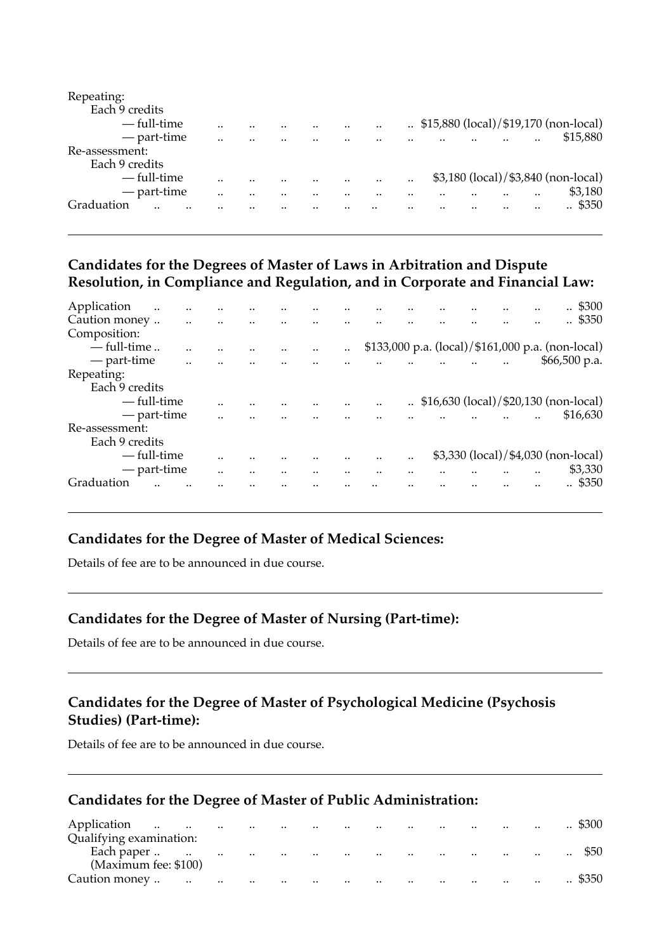| Repeating:     |      |      |  |           |  |  |                                       |
|----------------|------|------|--|-----------|--|--|---------------------------------------|
| Each 9 credits |      |      |  |           |  |  |                                       |
| — full-time    |      |      |  |           |  |  | \$15,880 (local)/\$19,170 (non-local) |
| — part-time    |      | <br> |  |           |  |  | \$15,880                              |
| Re-assessment: |      |      |  |           |  |  |                                       |
| Each 9 credits |      |      |  |           |  |  |                                       |
| — full-time    |      |      |  | $\cdot$ . |  |  | \$3,180 (local)/\$3,840 (non-local)   |
| — part-time    | <br> |      |  |           |  |  | \$3,180                               |
| Graduation     |      |      |  |           |  |  | \$350                                 |
|                |      |      |  |           |  |  |                                       |

#### **Candidates for the Degrees of Master of Laws in Arbitration and Dispute Resolution, in Compliance and Regulation, and in Corporate and Financial Law:**

| Application    | $\cdot$ | <br> |      |      |      |  |      | \$300<br>$\cdot$ .                                |
|----------------|---------|------|------|------|------|--|------|---------------------------------------------------|
| Caution money  |         |      |      |      |      |  |      | \$350                                             |
| Composition:   |         |      |      |      |      |  |      |                                                   |
| $-$ full-time  |         |      |      | <br> |      |  |      | \$133,000 p.a. (local)/\$161,000 p.a. (non-local) |
| — part-time    |         |      |      |      |      |  |      | $$66,500$ p.a.                                    |
| Repeating:     |         |      |      |      |      |  |      |                                                   |
| Each 9 credits |         |      |      |      |      |  |      |                                                   |
| — full-time    |         |      |      |      |      |  |      | \$16,630 (local)/\$20,130 (non-local)             |
| — part-time    |         |      |      |      |      |  |      | \$16,630                                          |
| Re-assessment: |         |      |      |      |      |  |      |                                                   |
| Each 9 credits |         |      |      |      |      |  |      |                                                   |
| — full-time    |         |      |      |      | <br> |  |      | \$3,330 (local)/\$4,030 (non-local)               |
| — part-time    |         |      | <br> | <br> | <br> |  | <br> | \$3,330                                           |
| Graduation     |         |      |      |      |      |  |      | \$350                                             |
|                |         |      |      |      |      |  |      |                                                   |

## **Candidates for the Degree of Master of Medical Sciences:**

Details of fee are to be announced in due course.

### **Candidates for the Degree of Master of Nursing (Part-time):**

Details of fee are to be announced in due course.

### **Candidates for the Degree of Master of Psychological Medicine (Psychosis Studies) (Part-time):**

Details of fee are to be announced in due course.

#### **Candidates for the Degree of Master of Public Administration:**

| Application<br>$\ddotsc$ | $\sim$    | $\sim$    | $\sim$   | $\cdot \cdot$            | $\cdot \cdot$                   | $\cdots$ | $\cdot \cdot$ | $\sim$ $\sim$   |                                                 | $\cdots$  | $\sim$        | $\ddotsc$ | \$300     |
|--------------------------|-----------|-----------|----------|--------------------------|---------------------------------|----------|---------------|-----------------|-------------------------------------------------|-----------|---------------|-----------|-----------|
| Qualifying examination:  |           |           |          |                          |                                 |          |               |                 |                                                 |           |               |           |           |
| Each paper               | $\ldots$  | $\ldots$  | $\cdots$ | <b>Contract Contract</b> | the contract of the contract of |          | $\cdots$      | <b>Contract</b> | the contract of the contract of the contract of |           |               | $\cdot$ . | $\cdot$ . |
| (Maximum fee: \$100)     |           |           |          |                          |                                 |          |               |                 |                                                 |           |               |           |           |
| Caution money            | $\ddotsc$ | $\ddotsc$ | $\sim$   | $\ddotsc$                | $\ddotsc$                       | $\sim$   | $\ddotsc$     | $\cdot$ .       |                                                 | $\cdot$ . | $\sim$ $\sim$ | $\ddotsc$ | \$350     |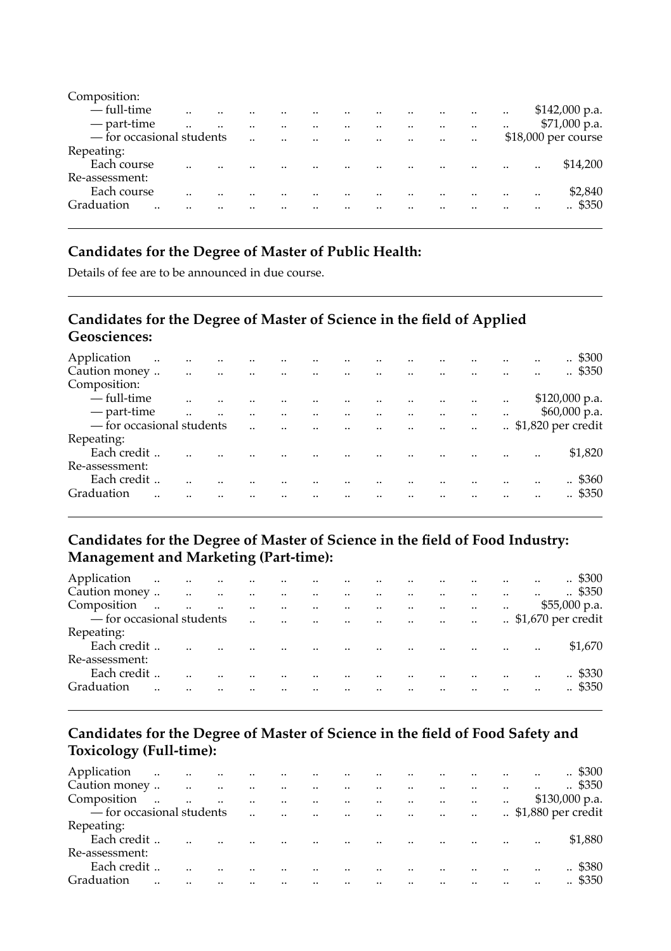| Composition:              |      |         |                      |           |                                                |                      |                      |           |                      |           |                     |
|---------------------------|------|---------|----------------------|-----------|------------------------------------------------|----------------------|----------------------|-----------|----------------------|-----------|---------------------|
| — full-time               |      |         |                      | $\ddotsc$ |                                                | $\cdot$              |                      |           | $\ddot{\phantom{a}}$ |           | $$142,000$ p.a.     |
| — part-time               | <br> | $\cdot$ | $\ddot{\phantom{a}}$ | $\cdot$   | $\cdot$                                        | $\ddot{\phantom{a}}$ | $\ddot{\phantom{a}}$ |           | $\ddot{\phantom{a}}$ | $\cdot$ . | $$71,000$ p.a.      |
| - for occasional students |      |         | $\ddot{\phantom{a}}$ |           | $\mathbf{r}$ and $\mathbf{r}$ and $\mathbf{r}$ | $\ddotsc$            | $\ddot{\phantom{a}}$ | $\ddotsc$ | $\cdot$ .            |           | \$18,000 per course |
| Repeating:                |      |         |                      |           |                                                |                      |                      |           |                      |           |                     |
| Each course               |      |         |                      |           |                                                |                      |                      |           | $\cdot$ .            |           | <br>\$14,200        |
| Re-assessment:            |      |         |                      |           |                                                |                      |                      |           |                      |           |                     |
| Each course               |      |         |                      |           |                                                |                      |                      |           |                      |           | <br>\$2,840         |
| Graduation<br>            |      |         |                      |           |                                                |                      |                      |           |                      |           | <br>. \$350         |
|                           |      |         |                      |           |                                                |                      |                      |           |                      |           |                     |

### **Candidates for the Degree of Master of Public Health:**

Details of fee are to be announced in due course.

### **Candidates for the Degree of Master of Science in the field of Applied Geosciences:**

| Application<br>Caution money | $\ddotsc$<br>$\ddotsc$ | $\ddotsc$ | $\ddotsc$ | $\cdot \cdot$        | $\cdot$   |                                                |                       |                |         |           |           | \$300<br>$\ddotsc$<br><br>$\therefore$ \$350 |
|------------------------------|------------------------|-----------|-----------|----------------------|-----------|------------------------------------------------|-----------------------|----------------|---------|-----------|-----------|----------------------------------------------|
|                              | $\ddot{\phantom{a}}$   | $\sim$    | $\sim$    | <b>Contract</b>      | $\cdot$   | $\sim$ $\sim$                                  | $\sim$                | $\sim 100$ and |         |           |           |                                              |
| Composition:                 |                        |           |           |                      |           |                                                |                       |                |         |           |           |                                              |
| — full-time                  |                        |           |           |                      |           |                                                |                       |                |         | $\ddotsc$ | $\cdot$ . | $$120,000$ p.a.                              |
| — part-time                  |                        |           |           |                      | $\ddotsc$ | $\sim$ 100 $\mu$                               | $\ddotsc$             | $\cdot \cdot$  |         |           | $\cdot$   | \$60,000 p.a.                                |
| - for occasional students    |                        |           |           | $\ddot{\phantom{a}}$ |           | $\mathbf{r}$ and $\mathbf{r}$ and $\mathbf{r}$ | $\dddot{\phantom{0}}$ | $\ddotsc$      | $\cdot$ | $\ddotsc$ |           | $.$ \$1,820 per credit                       |
| Repeating:                   |                        |           |           |                      |           |                                                |                       |                |         |           |           |                                              |
| Each credit                  |                        |           |           |                      |           |                                                |                       |                |         |           |           | \$1,820<br>                                  |
| Re-assessment:               |                        |           |           |                      |           |                                                |                       |                |         |           |           |                                              |
| Each credit                  |                        |           |           |                      |           |                                                |                       |                |         |           |           | .5360                                        |
| Graduation                   |                        |           |           |                      |           |                                                |                       |                |         |           |           | \$350<br>                                    |
|                              |                        |           |           |                      |           |                                                |                       |                |         |           |           |                                              |

#### **Candidates for the Degree of Master of Science in the field of Food Industry: Management and Marketing (Part-time):**

| Application              |  | الموارد المتواصل المتواصل المتواصل المتواصل المتواصل المتواصل |  |                                     |                          |                                                                                                                 |                      |                                | $\sim$ $\sim$           | $\therefore$ \$300 |
|--------------------------|--|---------------------------------------------------------------|--|-------------------------------------|--------------------------|-----------------------------------------------------------------------------------------------------------------|----------------------|--------------------------------|-------------------------|--------------------|
| Caution money            |  |                                                               |  |                                     | <b>Contract Contract</b> |                                                                                                                 | $\ddot{\phantom{a}}$ | the contract of the contract   | $\sim 100$ km s $^{-1}$ | $\therefore$ \$350 |
| Composition              |  | and the company of the company of the company of              |  |                                     |                          |                                                                                                                 |                      | and the company of the company |                         | $$55,000$ p.a.     |
| -for occasional students |  |                                                               |  |                                     |                          |                                                                                                                 |                      |                                |                         |                    |
| Repeating:               |  |                                                               |  |                                     |                          |                                                                                                                 |                      |                                |                         |                    |
| Each credit              |  |                                                               |  |                                     |                          | in the company of the company of the company of the company of the company of the company of the company of the |                      |                                |                         | \$1,670            |
| Re-assessment:           |  |                                                               |  |                                     |                          |                                                                                                                 |                      |                                |                         |                    |
| Each credit              |  |                                                               |  |                                     |                          | and the contract of the contract of                                                                             |                      |                                |                         | $. \$330$          |
| Graduation               |  |                                                               |  | and the contract of the contract of |                          |                                                                                                                 |                      |                                |                         | $\therefore$ \$350 |
|                          |  |                                                               |  |                                     |                          |                                                                                                                 |                      |                                |                         |                    |

### **Candidates for the Degree of Master of Science in the field of Food Safety and Toxicology (Full-time):**

| Application               |  |  |  |  |                                                                                                                 |                      |  |                                     | $\therefore$ \$300 |
|---------------------------|--|--|--|--|-----------------------------------------------------------------------------------------------------------------|----------------------|--|-------------------------------------|--------------------|
| Caution money             |  |  |  |  |                                                                                                                 | $\ddot{\phantom{a}}$ |  | and the contract of the contract of | $\therefore$ \$350 |
| Composition               |  |  |  |  |                                                                                                                 |                      |  |                                     | $$130,000$ p.a.    |
| - for occasional students |  |  |  |  |                                                                                                                 |                      |  |                                     |                    |
| Repeating:                |  |  |  |  |                                                                                                                 |                      |  |                                     |                    |
| Each credit               |  |  |  |  | in the company of the company of the company of the company of the company of the company of the company of the |                      |  |                                     | \$1,880            |
| Re-assessment:            |  |  |  |  |                                                                                                                 |                      |  |                                     |                    |
| Each credit               |  |  |  |  | and the contract of the contract of                                                                             |                      |  |                                     | .4380              |
| Graduation                |  |  |  |  |                                                                                                                 |                      |  |                                     | $\therefore$ \$350 |
|                           |  |  |  |  |                                                                                                                 |                      |  |                                     |                    |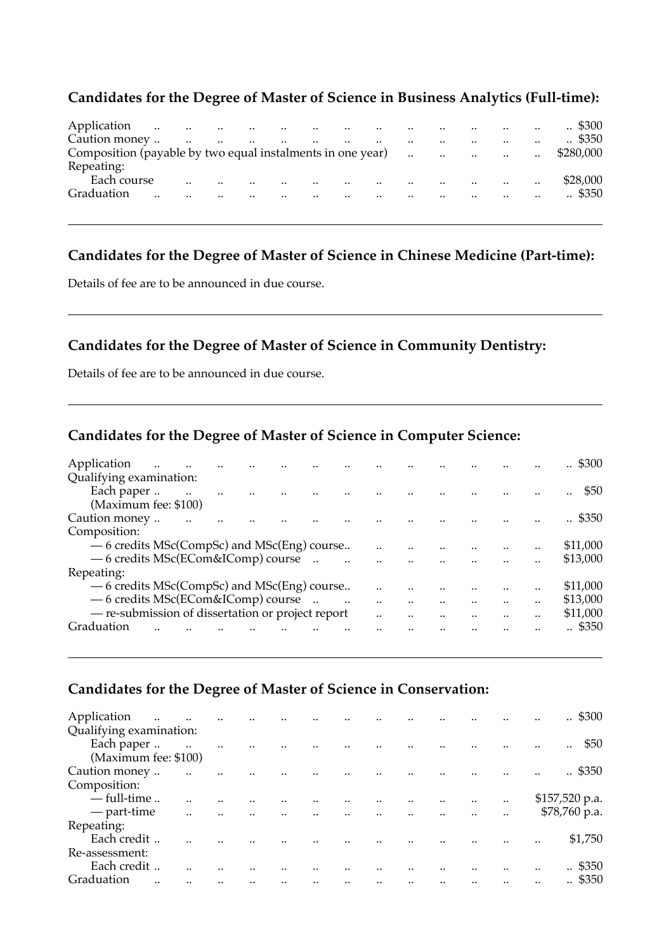### **Candidates for the Degree of Master of Science in Business Analytics (Full-time):**

| Application   | $\ddots$ |                                   |                      |                              |                      |                          |           |                      |                      |                      | المستوقف والمستند والمستند والمستند والمستند والمستند والمستند والمستند والمستند والمستند والمستند والمستند والمستند والمستند والمستند والمستند والمستند والمستند والمستند والمستند والمستند والمستند والمستند والمستند والمست | $\ddot{\phantom{a}}$ | $\cdot$ \$300      |
|---------------|----------|-----------------------------------|----------------------|------------------------------|----------------------|--------------------------|-----------|----------------------|----------------------|----------------------|--------------------------------------------------------------------------------------------------------------------------------------------------------------------------------------------------------------------------------|----------------------|--------------------|
| Caution money |          | $\sim$<br>$\sim 100$ km s $^{-1}$ |                      | the contract of the contract |                      | the contract of the con- |           | $\ddot{\phantom{a}}$ | $\cdot$ .            | $\ddot{\phantom{a}}$ | <b>Contract Contract</b>                                                                                                                                                                                                       | $\cdot$ .            | $\therefore$ \$350 |
|               |          |                                   |                      |                              |                      |                          |           |                      |                      |                      |                                                                                                                                                                                                                                | $\ddotsc$            | \$280,000          |
| Repeating:    |          |                                   |                      |                              |                      |                          |           |                      |                      |                      |                                                                                                                                                                                                                                |                      |                    |
| Each course   |          |                                   | $\ddot{\phantom{a}}$ |                              | $\ddot{\phantom{a}}$ | $\ddot{\phantom{a}}$     |           |                      | $\cdot$ .            | $\ddot{\phantom{a}}$ | $\sim$                                                                                                                                                                                                                         | $\ddot{\phantom{a}}$ | \$28,000           |
| Graduation    |          |                                   |                      | $\ddot{\phantom{a}}$         |                      | $\cdot$                  | $\cdot$ . | $\ddot{\phantom{a}}$ | $\ddot{\phantom{a}}$ |                      | $\cdot$ .                                                                                                                                                                                                                      | $\cdot$ .            | .4350              |
|               |          |                                   |                      |                              |                      |                          |           |                      |                      |                      |                                                                                                                                                                                                                                |                      |                    |

### **Candidates for the Degree of Master of Science in Chinese Medicine (Part-time):**

Details of fee are to be announced in due course.

### **Candidates for the Degree of Master of Science in Community Dentistry:**

Details of fee are to be announced in due course.

### **Candidates for the Degree of Master of Science in Computer Science:**

| Application<br>$\ddotsc$                          |  |  |  |  |      | <br>$\therefore$ \$300 |
|---------------------------------------------------|--|--|--|--|------|------------------------|
| Qualifying examination:                           |  |  |  |  |      |                        |
| Each paper                                        |  |  |  |  |      | \$50<br>               |
| (Maximum fee: \$100)                              |  |  |  |  |      |                        |
| Caution money                                     |  |  |  |  |      | \$350                  |
| Composition:                                      |  |  |  |  |      |                        |
| — 6 credits MSc(CompSc) and MSc(Eng) course       |  |  |  |  |      | <br>\$11,000           |
| -6 credits MSc(ECom&IComp) course                 |  |  |  |  |      | <br>\$13,000           |
| Repeating:                                        |  |  |  |  |      |                        |
| — 6 credits MSc(CompSc) and MSc(Eng) course       |  |  |  |  |      | <br>\$11,000           |
| — 6 credits MSc(ECom&IComp) course                |  |  |  |  |      | <br>\$13,000           |
| - re-submission of dissertation or project report |  |  |  |  | <br> | <br>\$11,000           |
| Graduation                                        |  |  |  |  |      | <br>$\therefore$ \$350 |
|                                                   |  |  |  |  |      |                        |

#### **Candidates for the Degree of Master of Science in Conservation:**

| Application<br>$\ddots$<br>Qualifying examination: | $\sim 100$ km s $^{-1}$ |               |  |               |         |      |               |           | <br>$\therefore$ \$300 |
|----------------------------------------------------|-------------------------|---------------|--|---------------|---------|------|---------------|-----------|------------------------|
| Each paper<br>(Maximum fee: \$100)                 | $\ddotsc$               | <br>$\cdot$ . |  |               |         |      |               |           | <br>\$50<br>           |
| Caution money                                      | $\cdot \cdot$           |               |  |               |         |      |               |           | <br>. \$350            |
| Composition:                                       |                         |               |  |               |         |      |               |           |                        |
| $-$ full-time                                      |                         |               |  |               |         |      | $\cdot \cdot$ | $\cdot$ . | \$157,520 p.a.         |
| — part-time                                        |                         | <br>          |  | $\cdot \cdot$ | $\cdot$ | <br> |               |           | $$78,760$ p.a.         |
| Repeating:                                         |                         |               |  |               |         |      |               |           |                        |
| Each credit                                        |                         |               |  |               |         |      |               |           | <br>\$1,750            |
| Re-assessment:                                     |                         |               |  |               |         |      |               |           |                        |
| Each credit                                        |                         |               |  |               |         |      |               |           | <br>. \$350            |
| Graduation<br>                                     |                         |               |  |               |         |      |               |           | <br>$\therefore$ \$350 |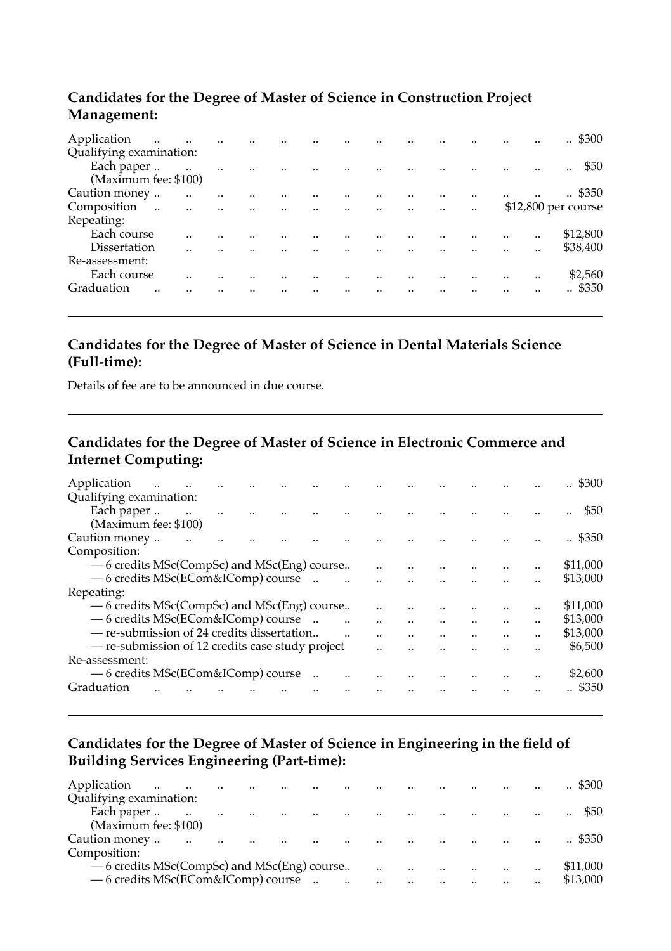### **Candidates for the Degree of Master of Science in Construction Project Management:**

| Application<br>$\ddotsc$            | <b>Contract Contract</b> | $\ddot{\phantom{a}}$ | $\cdot$ |                      |                                     |                         |                         |                      |                      |           | <br>. \$300           |
|-------------------------------------|--------------------------|----------------------|---------|----------------------|-------------------------------------|-------------------------|-------------------------|----------------------|----------------------|-----------|-----------------------|
| Qualifying examination:             |                          |                      |         |                      |                                     |                         |                         |                      |                      |           |                       |
| Each paper                          | $\overline{\phantom{a}}$ | $\ddot{\phantom{a}}$ |         | $\ddot{\phantom{a}}$ |                                     | $\ddotsc$               | $\dddot{\phantom{0}}$   |                      |                      |           | <br>\$50<br>$\ddotsc$ |
| (Maximum fee: \$100)                |                          |                      |         |                      |                                     |                         |                         |                      |                      |           |                       |
| Caution money                       | $\ddot{\phantom{a}}$     |                      |         |                      |                                     |                         |                         |                      |                      | $\ddotsc$ | . \$350               |
| Composition<br>$\ddot{\phantom{a}}$ | $\ddot{\phantom{a}}$     | $\ddot{\phantom{a}}$ |         | $\ddotsc$            | and the contract of the contract of |                         | $\sim 100$ km s $^{-1}$ | $\ddot{\phantom{a}}$ | $\ddot{\phantom{a}}$ |           | \$12,800 per course   |
| Repeating:                          |                          |                      |         |                      |                                     |                         |                         |                      |                      |           |                       |
| Each course                         |                          |                      |         |                      |                                     |                         |                         |                      |                      |           | <br>\$12,800          |
| Dissertation                        |                          |                      |         |                      |                                     | and the contract of the |                         |                      |                      |           | <br>\$38,400          |
| Re-assessment:                      |                          |                      |         |                      |                                     |                         |                         |                      |                      |           |                       |
| Each course                         |                          |                      |         |                      |                                     |                         |                         |                      |                      |           | <br>\$2,560           |
| Graduation<br>                      |                          |                      |         |                      |                                     |                         |                         |                      |                      |           | <br>\$350             |
|                                     |                          |                      |         |                      |                                     |                         |                         |                      |                      |           |                       |

### **Candidates for the Degree of Master of Science in Dental Materials Science (Full-time):**

Details of fee are to be announced in due course.

### **Candidates for the Degree of Master of Science in Electronic Commerce and Internet Computing:**

| Application<br>$\ddotsc$                         |  |  |        |  |  |  | $\therefore$ \$300 |
|--------------------------------------------------|--|--|--------|--|--|--|--------------------|
| Qualifying examination:                          |  |  |        |  |  |  |                    |
| Each paper                                       |  |  |        |  |  |  | \$50               |
| (Maximum fee: \$100)                             |  |  |        |  |  |  |                    |
| Caution money                                    |  |  |        |  |  |  | \$350              |
| Composition:                                     |  |  |        |  |  |  |                    |
| — 6 credits MSc(CompSc) and MSc(Eng) course      |  |  |        |  |  |  | \$11,000           |
| — 6 credits MSc(ECom&IComp) course               |  |  |        |  |  |  | \$13,000           |
| Repeating:                                       |  |  |        |  |  |  |                    |
| — 6 credits MSc(CompSc) and MSc(Eng) course      |  |  |        |  |  |  | <br>\$11,000       |
| — 6 credits MSc(ECom&IComp) course               |  |  | $\sim$ |  |  |  | <br>\$13,000       |
| - re-submission of 24 credits dissertation       |  |  |        |  |  |  | <br>\$13,000       |
| - re-submission of 12 credits case study project |  |  |        |  |  |  | \$6,500            |
| Re-assessment:                                   |  |  |        |  |  |  |                    |
| - 6 credits MSc(ECom&IComp) course               |  |  |        |  |  |  | <br>\$2,600        |
| Graduation                                       |  |  |        |  |  |  | \$350              |
|                                                  |  |  |        |  |  |  |                    |

### **Candidates for the Degree of Master of Science in Engineering in the field of Building Services Engineering (Part-time):**

| Application<br>$\ddot{\phantom{a}}$<br>$\sim$ | and the contract     |                      |  |                      | $\sim$ |                      |  |           |          |
|-----------------------------------------------|----------------------|----------------------|--|----------------------|--------|----------------------|--|-----------|----------|
| Qualifying examination:                       |                      |                      |  |                      |        |                      |  |           |          |
| Each paper<br>$\sim$ $\sim$                   | $\ddot{\phantom{a}}$ | $\ddot{\phantom{a}}$ |  |                      |        |                      |  |           |          |
| (Maximum fee: \$100)                          |                      |                      |  |                      |        |                      |  |           |          |
| Caution money                                 |                      | $\ddot{\phantom{a}}$ |  |                      |        |                      |  |           | \$350    |
| Composition:                                  |                      |                      |  |                      |        |                      |  |           |          |
| - 6 credits MSc(CompSc) and MSc(Eng) course   |                      |                      |  | $\ddot{\phantom{a}}$ |        | $\ddot{\phantom{a}}$ |  | $\cdot$ . | \$11,000 |
| — 6 credits MSc(ECom&IComp) course            |                      |                      |  |                      |        |                      |  | $\cdot$ . | \$13,000 |
|                                               |                      |                      |  |                      |        |                      |  |           |          |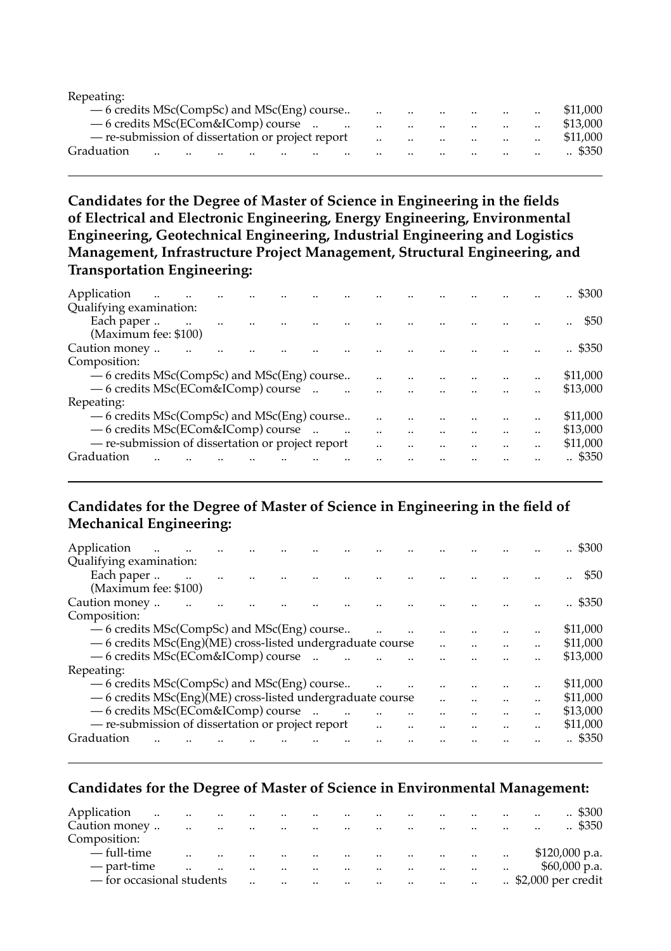| Repeating:                                        |               |                      |           |         |           |                      |                                                |                                                  |                               |                      |                    |
|---------------------------------------------------|---------------|----------------------|-----------|---------|-----------|----------------------|------------------------------------------------|--------------------------------------------------|-------------------------------|----------------------|--------------------|
| -6 credits MSc(CompSc) and MSc(Eng) course        |               |                      |           |         |           |                      | $\mathbf{r}$ and $\mathbf{r}$ and $\mathbf{r}$ | the contract of the contract of the              |                               | $\ddot{\phantom{a}}$ | \$11,000           |
| $-6$ credits MSc(ECom&IComp) course               |               |                      |           |         |           | $\cdot$ .            |                                                | and the company of the company of                |                               | $\cdot$              | \$13,000           |
| - re-submission of dissertation or project report |               |                      |           |         |           | $\ddots$             |                                                | and the company of the company of the company of |                               | $\ddotsc$            | \$11,000           |
| Graduation                                        | <br>$\cdot$ . | $\ddot{\phantom{a}}$ | $\cdot$ . | $\cdot$ | $\cdot$ . | $\ddot{\phantom{a}}$ | $\cdot$ .                                      | $\ddot{\phantom{a}}$                             | $\mathbf{a}$ and $\mathbf{a}$ | $\cdot$ .            | $\therefore$ \$350 |
|                                                   |               |                      |           |         |           |                      |                                                |                                                  |                               |                      |                    |

#### **Candidates for the Degree of Master of Science in Engineering in the fields of Electrical and Electronic Engineering, Energy Engineering, Environmental Engineering, Geotechnical Engineering, Industrial Engineering and Logistics Management, Infrastructure Project Management, Structural Engineering, and Transportation Engineering:**

| Application                                       | $\ddot{\phantom{a}}$ |  |  |  |      |  |      | \$300<br>          |
|---------------------------------------------------|----------------------|--|--|--|------|--|------|--------------------|
| Qualifying examination:                           |                      |  |  |  |      |  |      |                    |
| Each paper                                        |                      |  |  |  |      |  |      | \$50               |
| (Maximum fee: \$100)                              |                      |  |  |  |      |  |      |                    |
| Caution money                                     |                      |  |  |  |      |  |      | $\therefore$ \$350 |
| Composition:                                      |                      |  |  |  |      |  |      |                    |
| — 6 credits MSc(CompSc) and MSc(Eng) course       |                      |  |  |  |      |  |      | \$11,000           |
| -6 credits MSc(ECom&IComp) course                 |                      |  |  |  |      |  |      | \$13,000           |
| Repeating:                                        |                      |  |  |  |      |  |      |                    |
| -6 credits MSc(CompSc) and MSc(Eng) course        |                      |  |  |  |      |  | <br> | \$11,000           |
| - 6 credits MSc(ECom&IComp) course                |                      |  |  |  |      |  |      | \$13,000           |
| - re-submission of dissertation or project report |                      |  |  |  | <br> |  |      | \$11,000           |
| Graduation                                        |                      |  |  |  |      |  |      | \$350              |
|                                                   |                      |  |  |  |      |  |      |                    |

### **Candidates for the Degree of Master of Science in Engineering in the field of Mechanical Engineering:**

| Application                                                |  |           |  |        |      |                      |  |                      | $\therefore$ \$300 |
|------------------------------------------------------------|--|-----------|--|--------|------|----------------------|--|----------------------|--------------------|
| Qualifying examination:                                    |  |           |  |        |      |                      |  |                      |                    |
| Each paper                                                 |  | $\ddotsc$ |  |        |      |                      |  |                      | \$50               |
| (Maximum fee: \$100)                                       |  |           |  |        |      |                      |  |                      |                    |
| Caution money                                              |  |           |  |        |      |                      |  |                      | \$350              |
| Composition:                                               |  |           |  |        |      |                      |  |                      |                    |
| — 6 credits MSc(CompSc) and MSc(Eng) course                |  |           |  |        |      |                      |  |                      | \$11,000           |
| - 6 credits MSc(Eng)(ME) cross-listed undergraduate course |  |           |  |        |      | $\ddot{\phantom{a}}$ |  | $\ddot{\phantom{a}}$ | \$11,000           |
| - 6 credits MSc(ECom&IComp) course                         |  |           |  | $\sim$ |      |                      |  |                      | \$13,000           |
| Repeating:                                                 |  |           |  |        |      |                      |  |                      |                    |
| — 6 credits MSc(CompSc) and MSc(Eng) course                |  |           |  |        |      |                      |  |                      | \$11,000           |
| - 6 credits MSc(Eng)(ME) cross-listed undergraduate course |  |           |  |        |      |                      |  |                      | \$11,000           |
| - 6 credits MSc(ECom&IComp) course                         |  |           |  |        |      |                      |  |                      | \$13,000           |
| - re-submission of dissertation or project report          |  |           |  |        | <br> |                      |  |                      | \$11,000           |
| Graduation                                                 |  |           |  |        |      |                      |  |                      | \$350              |
|                                                            |  |           |  |        |      |                      |  |                      |                    |

#### **Candidates for the Degree of Master of Science in Environmental Management:**

| Application               | $\ddotsc$<br>$\ddotsc$ | $\cdot$       | $\ddot{\phantom{a}}$ | $\cdot$ .     | $\cdot \cdot$        | $\cdot$ .     |                      | $\cdot$ . |           |               |           | $\cdot$ .                       | $\therefore$ \$300 |
|---------------------------|------------------------|---------------|----------------------|---------------|----------------------|---------------|----------------------|-----------|-----------|---------------|-----------|---------------------------------|--------------------|
| Caution money             |                        | $\cdot \cdot$ | $\cdot \cdot$        | $\cdot \cdot$ |                      | $\cdot \cdot$ | $\ddot{\phantom{a}}$ | $\cdot$ . |           |               |           | $\cdot$ .                       | $\therefore$ \$350 |
| Composition:              |                        |               |                      |               |                      |               |                      |           |           |               |           |                                 |                    |
| — full-time               |                        |               | $\cdot$ .            | $\cdot$ .     | $\ddotsc$            | $\cdot$ .     | $\cdot$ .            | $\cdot$ . | $\cdot$ . | $\cdot$ .     | $\cdot$ . |                                 | $$120,000$ p.a.    |
| — part-time               |                        |               |                      | $\cdot$ .     |                      | $\cdot$ .     |                      | $\cdot$ . | $\cdot$ . |               | $\ddotsc$ |                                 | $$60,000$ p.a.     |
| - for occasional students |                        |               |                      | $\cdot$ .     | $\ddot{\phantom{a}}$ | $\cdot$ .     | $\cdot$ .            | $\ddotsc$ | $\ddotsc$ | $\cdot \cdot$ |           | $\therefore$ \$2,000 per credit |                    |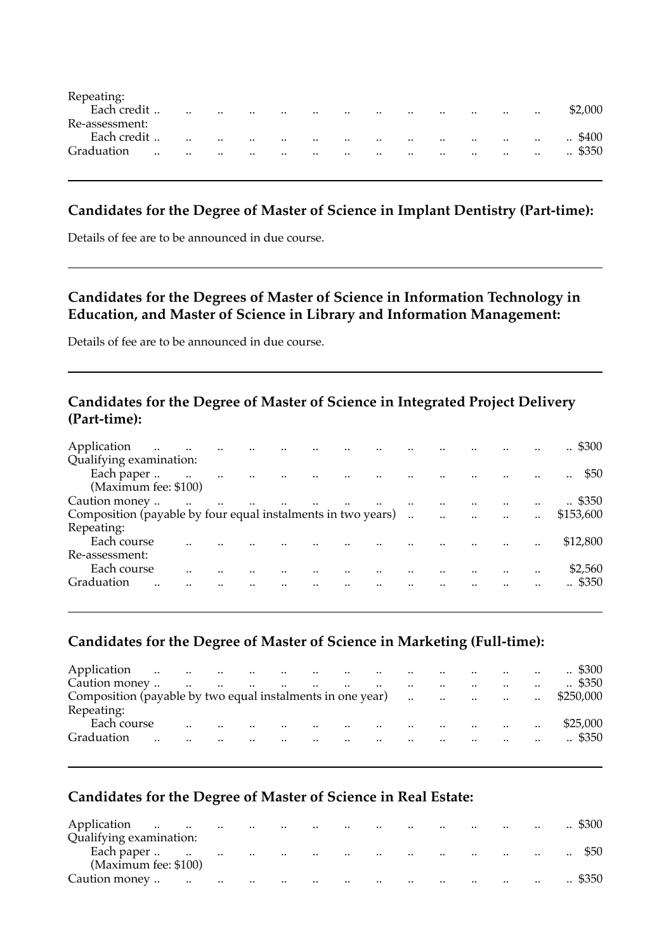| Repeating:     |               |           |           |           |         |           |           |           |           |           |               |           |           |                    |
|----------------|---------------|-----------|-----------|-----------|---------|-----------|-----------|-----------|-----------|-----------|---------------|-----------|-----------|--------------------|
| Each credit    |               | $\cdot$ . | $\cdot$ . | $\cdot$ . | $\cdot$ |           | $\cdot$ . | $\cdot$ . | $\cdot$ . | $\cdot$ . | $\cdot \cdot$ | $\cdot$ . | $\cdot$   | \$2.000            |
| Re-assessment: |               |           |           |           |         |           |           |           |           |           |               |           |           |                    |
| Each credit    |               | $\cdot$ . | $\cdot$ . | $\cdot$ . | $\cdot$ | $\cdot$   | $\cdot$ . | $\cdot$ . | $\cdot$ . | $\cdot$ . | $\cdot \cdot$ | $\cdot$ . | $\ddotsc$ | \$400<br>$\cdot$ . |
| Graduation     | $\cdot \cdot$ | $\cdot$ . | $\cdot$ . | $\cdot$   |         | $\cdot$ . |           | $\cdot$   | $\cdot$   | $\cdot$ . | $\cdot \cdot$ | $\cdot$ . | $\ddotsc$ | $\therefore$ \$350 |
|                |               |           |           |           |         |           |           |           |           |           |               |           |           |                    |

#### **Candidates for the Degree of Master of Science in Implant Dentistry (Part-time):**

Details of fee are to be announced in due course.

### **Candidates for the Degrees of Master of Science in Information Technology in Education, and Master of Science in Library and Information Management:**

Details of fee are to be announced in due course.

### **Candidates for the Degree of Master of Science in Integrated Project Delivery (Part-time):**

| Application<br>$\ddot{\phantom{a}}$                           |           | $\ddot{\phantom{a}}$ |                       |                      |                                       |  |         |         |        |           | \$300              |
|---------------------------------------------------------------|-----------|----------------------|-----------------------|----------------------|---------------------------------------|--|---------|---------|--------|-----------|--------------------|
| Qualifying examination:                                       |           |                      |                       |                      |                                       |  |         |         |        |           |                    |
| Each paper<br>$\sim$                                          |           | $\ddotsc$            | $\dddot{\phantom{0}}$ | $\ddot{\phantom{a}}$ |                                       |  |         |         |        |           | \$50<br>           |
| (Maximum fee: \$100)                                          |           |                      |                       |                      |                                       |  |         |         |        |           |                    |
| Caution money                                                 | $\ddotsc$ | $\ddotsc$            |                       |                      | and the company of the company of the |  |         |         |        |           | $\therefore$ \$350 |
| Composition (payable by four equal instalments in two years). |           |                      |                       |                      |                                       |  | $\cdot$ | $\cdot$ | $\sim$ | $\ddotsc$ | \$153,600          |
| Repeating:                                                    |           |                      |                       |                      |                                       |  |         |         |        |           |                    |
| Each course                                                   |           |                      |                       |                      |                                       |  |         |         |        |           | \$12,800           |
| Re-assessment:                                                |           |                      |                       |                      |                                       |  |         |         |        |           |                    |
| Each course                                                   |           |                      |                       |                      |                                       |  |         |         |        |           | \$2,560            |
| Graduation<br>                                                |           |                      |                       |                      |                                       |  |         |         |        |           | \$350              |
|                                                               |           |                      |                       |                      |                                       |  |         |         |        |           |                    |

#### **Candidates for the Degree of Master of Science in Marketing (Full-time):**

| Application   |           |         |                      |                      |                      |                      |                                                                                                                                                                                                                                |               |                      |                                                                                                                                                                                                                                | $\sim$               | $\therefore$ \$300 |
|---------------|-----------|---------|----------------------|----------------------|----------------------|----------------------|--------------------------------------------------------------------------------------------------------------------------------------------------------------------------------------------------------------------------------|---------------|----------------------|--------------------------------------------------------------------------------------------------------------------------------------------------------------------------------------------------------------------------------|----------------------|--------------------|
| Caution money |           |         |                      |                      |                      |                      |                                                                                                                                                                                                                                | $\sim$        | $\ddot{\phantom{a}}$ | $\cdot$                                                                                                                                                                                                                        |                      | $\therefore$ \$350 |
|               |           |         |                      |                      |                      |                      |                                                                                                                                                                                                                                |               |                      |                                                                                                                                                                                                                                | $\ddotsc$            | \$250.000          |
| Repeating:    |           |         |                      |                      |                      |                      |                                                                                                                                                                                                                                |               |                      |                                                                                                                                                                                                                                |                      |                    |
| Each course   |           | $\cdot$ | $\ddotsc$            | $\sim$ 100 $\mu$     | <b>Contract</b>      |                      | and the contract of the contract of the contract of the contract of the contract of the contract of the contract of the contract of the contract of the contract of the contract of the contract of the contract of the contra |               |                      | المنافذة المنافذة المنافذة المتناورة والمنافذة المتناورة والمنافذة والمنافذة والمنافذة والمنافذة والمنافذة وال                                                                                                                 | $\ddot{\phantom{a}}$ | \$25,000           |
| Graduation    | $\cdot$ . |         | $\ddot{\phantom{a}}$ | $\ddot{\phantom{a}}$ | $\ddot{\phantom{a}}$ | $\ddot{\phantom{a}}$ | and the contract of the contract of the contract of the contract of the contract of the contract of the contract of the contract of the contract of the contract of the contract of the contract of the contract of the contra | $\sim$ $\sim$ | $\ddot{\phantom{a}}$ | and the contract of the contract of the contract of the contract of the contract of the contract of the contract of the contract of the contract of the contract of the contract of the contract of the contract of the contra |                      | $\therefore$ \$350 |
|               |           |         |                      |                      |                      |                      |                                                                                                                                                                                                                                |               |                      |                                                                                                                                                                                                                                |                      |                    |

#### **Candidates for the Degree of Master of Science in Real Estate:**

| Application<br>$\ddotsc$<br>$\ddotsc$ | $\ldots$ | $\sim$    | $\cdots$  | $\cdots$                        | <b>Contract Contract</b> | $\cdots$     | $\cdots$                 | $\cdot$ .         |           | $\cdots$      | $\cdots$  | \$300     |
|---------------------------------------|----------|-----------|-----------|---------------------------------|--------------------------|--------------|--------------------------|-------------------|-----------|---------------|-----------|-----------|
| Qualifying examination:               |          |           |           |                                 |                          |              |                          |                   |           |               |           |           |
| Each paper<br>$\ldots$                | $\ldots$ | $\cdot$ . | $\ldots$  | the contract of the contract of |                          | $\ldots$     | <b>Contract Contract</b> | <b>Contractor</b> |           |               | $\cdot$ . | $\cdot$ . |
| (Maximum fee: \$100)                  |          |           |           |                                 |                          |              |                          |                   |           |               |           |           |
| Caution money<br>$\ddotsc$            | $\ldots$ | $\ddotsc$ | $\ddotsc$ | $\ddotsc$                       | $\sim$                   | $\cdot\cdot$ | $\cdots$                 | $\cdot$ .         | $\cdot$ . | $\sim$ $\sim$ | $\cdot$ . | \$350     |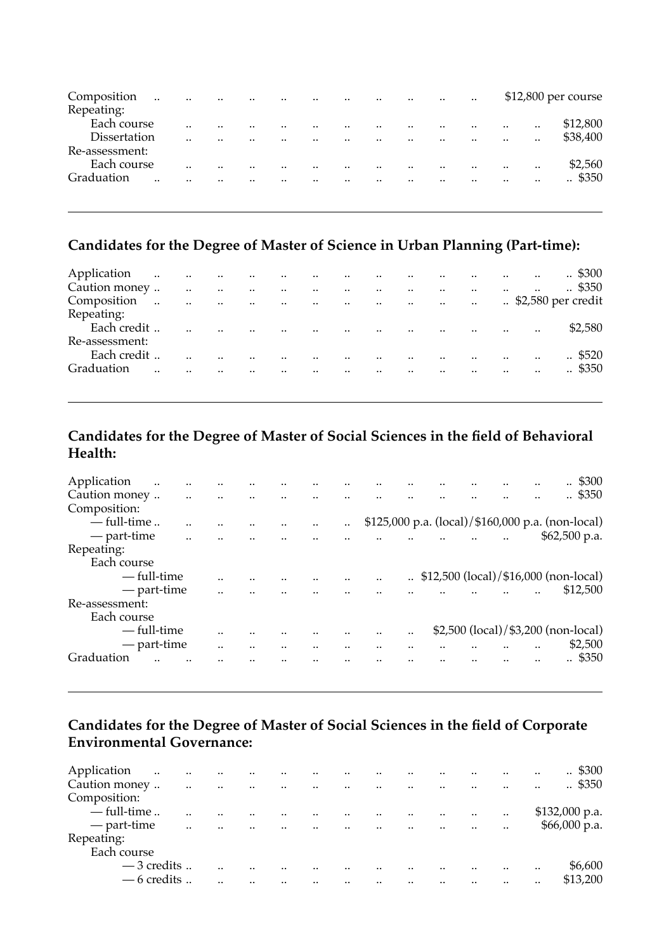| Composition<br>Repeating: | $\cdot$ | $\cdot$ . | $\cdot$ . |           | <br>$\cdot$ . | $\cdot$ . | <br>$\cdot$ . | <br>$\cdot$ . |           |           | \$12,800 per course |
|---------------------------|---------|-----------|-----------|-----------|---------------|-----------|---------------|---------------|-----------|-----------|---------------------|
| Each course               |         |           |           |           | <br>          |           | <br>          | <br>          | $\cdot$ . |           | \$12,800            |
| Dissertation              |         |           |           |           | <br>          |           | <br>$\cdot$ . | <br>          |           | $\cdot$ . | \$38,400            |
| Re-assessment:            |         |           |           |           |               |           |               |               |           |           |                     |
| Each course               |         | $\cdot$ . |           |           | <br>          |           | <br>          | <br>          |           |           | \$2,560             |
| Graduation                |         |           |           | $\cdot$ . | <br>          |           | <br>          | <br>          |           |           | . \$350             |
|                           |         |           |           |           |               |           |               |               |           |           |                     |

## **Candidates for the Degree of Master of Science in Urban Planning (Part-time):**

| Application    | المتارين والمتارين والمتارين والمتارين والمتارين والمتارين |              |                                    |                         |                      |                                       |                         | $\sim$ $\sim$                       |                      | <b>Contract Contract</b>                                                       |         | $\ddotsc$            | $\therefore$ \$300 |
|----------------|------------------------------------------------------------|--------------|------------------------------------|-------------------------|----------------------|---------------------------------------|-------------------------|-------------------------------------|----------------------|--------------------------------------------------------------------------------|---------|----------------------|--------------------|
| Caution money  |                                                            | $\mathbf{u}$ | $\ddotsc$<br>$\sim 100$ km $^{-1}$ | $\sim 100$ km s $^{-1}$ |                      | and the contract of the contract      |                         | $\sim$                              | $\ddotsc$            | $\ddotsc$                                                                      | $\cdot$ | $\ddotsc$            | $\therefore$ \$350 |
| Composition    | $\sim$                                                     |              |                                    |                         |                      |                                       |                         |                                     |                      |                                                                                |         |                      |                    |
| Repeating:     |                                                            |              |                                    |                         |                      |                                       |                         |                                     |                      |                                                                                |         |                      |                    |
| Each credit    |                                                            |              | $\ddot{\phantom{a}}$<br>$\sim$     |                         | $\sim$               |                                       |                         |                                     |                      | and the company of the company of the company of the company of the company of |         |                      | \$2,580            |
| Re-assessment: |                                                            |              |                                    |                         |                      |                                       |                         |                                     |                      |                                                                                |         |                      |                    |
| Each credit    |                                                            |              |                                    |                         | $\ddot{\phantom{a}}$ | $\ddot{\phantom{a}}$                  |                         | $\sim 100$<br><b>Contract State</b> |                      | $\sim$ $\sim$<br>$\ddotsc$                                                     |         | $\ddot{\phantom{a}}$ | $\therefore$ \$520 |
| Graduation     | $\cdot$ .                                                  | $\cdot$ .    |                                    | $\sim$                  | $\ddot{\phantom{a}}$ | <b>Contract Contract</b><br>$\ddotsc$ | $\sim 100$ km s $^{-1}$ | $\sim$                              | $\ddot{\phantom{a}}$ | $\ddot{\phantom{a}}$                                                           |         | $\ddotsc$            | $\therefore$ \$350 |
|                |                                                            |              |                                    |                         |                      |                                       |                         |                                     |                      |                                                                                |         |                      |                    |

## **Candidates for the Degree of Master of Social Sciences in the field of Behavioral Health:**

| Application    | $\cdot$     |  |  |  |      |  |  | \$300<br>$\ddotsc$                                |
|----------------|-------------|--|--|--|------|--|--|---------------------------------------------------|
| Caution money  |             |  |  |  |      |  |  | .4350                                             |
| Composition:   |             |  |  |  |      |  |  |                                                   |
| $-$ full-time  |             |  |  |  |      |  |  | \$125,000 p.a. (local)/\$160,000 p.a. (non-local) |
| — part-time    |             |  |  |  |      |  |  | \$62,500 p.a.                                     |
| Repeating:     |             |  |  |  |      |  |  |                                                   |
| Each course    |             |  |  |  |      |  |  |                                                   |
| — full-time    |             |  |  |  |      |  |  | \$12,500 (local)/\$16,000 (non-local)             |
| — part-time    |             |  |  |  |      |  |  | \$12,500                                          |
| Re-assessment: |             |  |  |  |      |  |  |                                                   |
| Each course    |             |  |  |  |      |  |  |                                                   |
|                | — full-time |  |  |  | <br> |  |  | \$2,500 (local)/\$3,200 (non-local)               |
| — part-time    |             |  |  |  |      |  |  | \$2,500                                           |
| Graduation     |             |  |  |  |      |  |  | \$350                                             |
|                |             |  |  |  |      |  |  |                                                   |

### **Candidates for the Degree of Master of Social Sciences in the field of Corporate Environmental Governance:**

| $\ddot{\phantom{a}}$ |                                                    |                                                   |                                     |                                      |                                                                               |                                                                                                     |                                                 |                                                                                           |                               |                                                                      |                                             | $\therefore$ \$300 |
|----------------------|----------------------------------------------------|---------------------------------------------------|-------------------------------------|--------------------------------------|-------------------------------------------------------------------------------|-----------------------------------------------------------------------------------------------------|-------------------------------------------------|-------------------------------------------------------------------------------------------|-------------------------------|----------------------------------------------------------------------|---------------------------------------------|--------------------|
| Caution money        |                                                    |                                                   |                                     |                                      |                                                                               |                                                                                                     |                                                 |                                                                                           |                               |                                                                      |                                             | $\therefore$ \$350 |
|                      |                                                    |                                                   |                                     |                                      |                                                                               |                                                                                                     |                                                 |                                                                                           |                               |                                                                      |                                             |                    |
| $-$ full-time        |                                                    |                                                   |                                     |                                      |                                                                               |                                                                                                     |                                                 |                                                                                           |                               |                                                                      |                                             | $$132,000$ p.a.    |
| — part-time          |                                                    |                                                   |                                     |                                      |                                                                               |                                                                                                     |                                                 |                                                                                           |                               |                                                                      |                                             | \$66,000 p.a.      |
|                      |                                                    |                                                   |                                     |                                      |                                                                               |                                                                                                     |                                                 |                                                                                           |                               |                                                                      |                                             |                    |
| Each course          |                                                    |                                                   |                                     |                                      |                                                                               |                                                                                                     |                                                 |                                                                                           |                               |                                                                      |                                             |                    |
|                      |                                                    |                                                   |                                     |                                      |                                                                               | $\ddot{\phantom{a}}$                                                                                |                                                 |                                                                                           | $\cdot$ .                     |                                                                      |                                             | \$6,600            |
| — 6 credits          |                                                    |                                                   |                                     |                                      |                                                                               |                                                                                                     |                                                 |                                                                                           |                               |                                                                      |                                             | \$13,200           |
|                      | $\ldots$<br>$\ddotsc$<br>$\cdot$ .<br>$-3$ credits | $\ddotsc$<br>$\ddot{\phantom{a}}$<br><br><br><br> | $\cdot \cdot$<br>$\cdot$<br>$\cdot$ | <br>$\ddotsc$<br><br>$\cdot$<br><br> | $\cdot$ .<br>$\ddots$<br>$\ddot{\phantom{a}}$<br>$\ddot{\phantom{a}}$<br><br> | <b>Contract Contract</b><br>$\sim 10^{11}$ and $\sim 10^{11}$<br>$\cdot$<br>$\sim 100$ km s $^{-1}$ | $\cdot \cdot$<br>$\sim$<br>$\cdot$<br>$\ddotsc$ | $\cdot$<br>$\sim$<br>$\ddot{\phantom{a}}$<br>$\ddot{\phantom{a}}$<br>$\ddot{\phantom{a}}$ | <br><br>$\ddotsc$<br><br><br> | $\cdot$ .<br>$\ddot{\phantom{a}}$<br>$\cdot$<br>$\ddot{\phantom{a}}$ | $\cdot$ .<br><br>$\ddotsc$<br>$\cdot$ .<br> | $\cdot \cdot$      |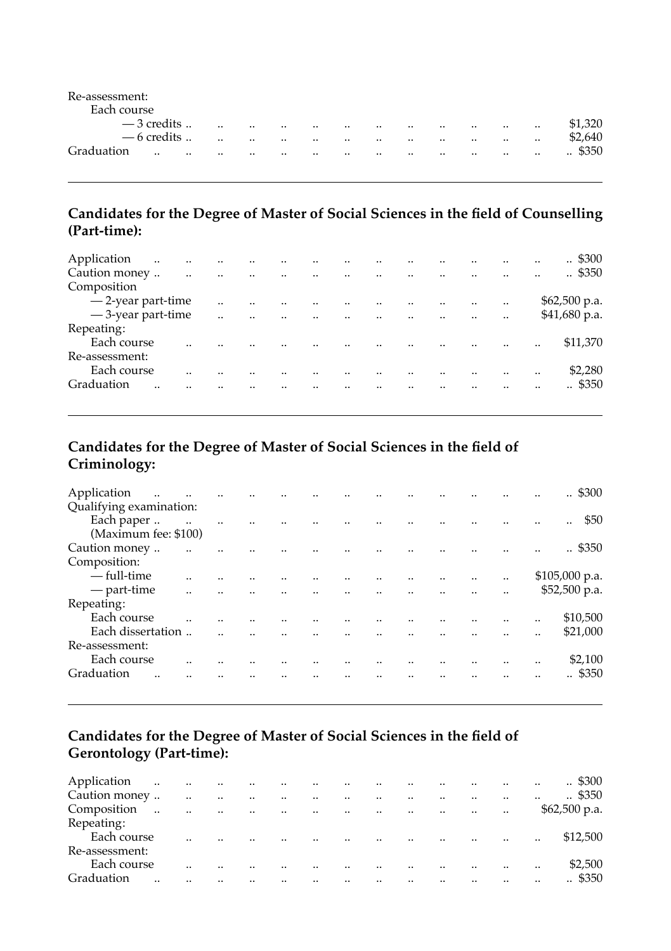| Re-assessment: |               |          |           |               |               |               |           |          |          |              |               |           |               |                    |
|----------------|---------------|----------|-----------|---------------|---------------|---------------|-----------|----------|----------|--------------|---------------|-----------|---------------|--------------------|
| Each course    |               |          |           |               |               |               |           |          |          |              |               |           |               |                    |
|                | $-3$ credits  |          | $\cdot$ . | $\cdot$ .     | $\cdot \cdot$ | $\cdot \cdot$ | $\cdot$   | $\cdot$  | $\cdot$  |              | $\cdot \cdot$ | $\cdot$   | $\ddotsc$     | \$1.320            |
|                | $-6$ credits  |          |           | $\cdot \cdot$ | $\ddotsc$     | $\ldots$      | $\cdot$ . | $\cdots$ | $\cdots$ | $\cdot\cdot$ | $\cdot$ .     | $\cdot$ . | $\cdot\cdot$  | \$2,640            |
| Graduation     | $\cdot \cdot$ | $\cdots$ | $\cdots$  | $\cdot\cdot$  | $\ddotsc$     | $\ldots$      | $\cdot$   | $\ldots$ | $\cdots$ | $\cdot\cdot$ | $\cdots$      | $\cdot$ . | $\cdot \cdot$ | \$350<br>$\cdot$ . |
|                |               |          |           |               |               |               |           |          |          |              |               |           |               |                    |

### **Candidates for the Degree of Master of Social Sciences in the field of Counselling (Part-time):**

| Application          | $\ddot{\phantom{a}}$ | $\ddotsc$ | $\ddotsc$            |          |                                |         |                      |                      |               |           | <br>.4300              |
|----------------------|----------------------|-----------|----------------------|----------|--------------------------------|---------|----------------------|----------------------|---------------|-----------|------------------------|
| Caution money        |                      | $\ddotsc$ | $\ddotsc$            | $\ddots$ | <br>the company of the company |         | $\cdot$ .            | $\cdot$ .            | <br>$\cdot$ . |           | <br>$\therefore$ \$350 |
| Composition          |                      |           |                      |          |                                |         |                      |                      |               |           |                        |
| - 2-year part-time   |                      |           | $\ddot{\phantom{a}}$ |          | <br>$\ddot{\phantom{a}}$       |         | $\ddot{\phantom{a}}$ |                      | $\ddotsc$     | $\cdot$ . | $$62,500$ p.a.         |
| $-3$ -year part-time |                      |           | $\ddot{\phantom{a}}$ |          | <br>$\ddot{\phantom{a}}$       | $\cdot$ | $\cdot$              | $\ddot{\phantom{a}}$ |               |           | \$41,680 p.a.          |
| Repeating:           |                      |           |                      |          |                                |         |                      |                      |               |           |                        |
| Each course          |                      |           |                      |          |                                |         |                      |                      |               |           | <br>\$11,370           |
| Re-assessment:       |                      |           |                      |          |                                |         |                      |                      |               |           |                        |
| Each course          |                      |           |                      |          |                                |         |                      |                      |               |           | <br>\$2,280            |
| Graduation           |                      |           |                      |          |                                |         |                      |                      |               |           | <br>.5350              |
|                      |                      |           |                      |          |                                |         |                      |                      |               |           |                        |

## **Candidates for the Degree of Master of Social Sciences in the field of Criminology:**

| Application<br>$\ddotsc$ |                      |  |  |                            |                         |           |                      | <br>$\cdot$ \$300      |
|--------------------------|----------------------|--|--|----------------------------|-------------------------|-----------|----------------------|------------------------|
| Qualifying examination:  |                      |  |  |                            |                         |           |                      |                        |
| Each paper               |                      |  |  |                            |                         |           |                      | <br>\$50<br>           |
| (Maximum fee: \$100)     |                      |  |  |                            |                         |           |                      |                        |
| Caution money            |                      |  |  |                            |                         |           |                      | <br>$\therefore$ \$350 |
| Composition:             |                      |  |  |                            |                         |           |                      |                        |
| — full-time              |                      |  |  |                            |                         |           | $\ddot{\phantom{a}}$ | $$105,000$ p.a.        |
| — part-time              | $\ddot{\phantom{a}}$ |  |  | $\sim 10$<br>$\sim$ $\sim$ | $\sim 100$ km s $^{-1}$ |           |                      | \$52,500 p.a.          |
| Repeating:               |                      |  |  |                            |                         |           |                      |                        |
| Each course              |                      |  |  |                            |                         |           |                      | <br>\$10,500           |
| Each dissertation        |                      |  |  |                            |                         | $\ddotsc$ |                      | <br>\$21,000           |
| Re-assessment:           |                      |  |  |                            |                         |           |                      |                        |
| Each course              |                      |  |  |                            |                         |           |                      | <br>\$2,100            |
| Graduation               |                      |  |  |                            |                         |           |                      | \$350                  |
|                          |                      |  |  |                            |                         |           |                      |                        |

## **Candidates for the Degree of Master of Social Sciences in the field of Gerontology (Part-time):**

| Application    | $\ldots$<br><b>Contractor</b> |           | $\ddots$<br>$\sim$ 100 $\mu$ | $\sim$               |                      | $\ddotsc$<br><b>Contract Contract Contract</b> |                          | $\cdot$ . | $\cdot$ . |                                | $\cdot$              | $\cdot$ .            | $\ddotsc$ | . \$300            |
|----------------|-------------------------------|-----------|------------------------------|----------------------|----------------------|------------------------------------------------|--------------------------|-----------|-----------|--------------------------------|----------------------|----------------------|-----------|--------------------|
| Caution money  |                               | $\ddotsc$ | $\ddot{\phantom{a}}$         | $\ddot{\phantom{a}}$ | $\ddot{\phantom{a}}$ | $\ddot{\phantom{a}}$                           | $\overline{\phantom{a}}$ | $\ddotsc$ | $\cdot$ . |                                |                      | $\cdot$ .            | $\cdot$ . | $\therefore$ \$350 |
| Composition    | $\ddotsc$                     | $\ddotsc$ | $\sim$<br>$\ddotsc$          | $\sim$               |                      | and the contract of the con-                   | $\sim$ $\sim$            |           | $\sim$    | <b>Contractor</b><br>$\ddotsc$ |                      | $\ddot{\phantom{a}}$ |           | $$62,500$ p.a.     |
| Repeating:     |                               |           |                              |                      |                      |                                                |                          |           |           |                                |                      |                      |           |                    |
| Each course    |                               | $\cdot$ . |                              |                      |                      | $\ddot{\phantom{a}}$                           |                          | $\cdot$ . | $\sim$    | $\ddot{\phantom{a}}$           | $\ddotsc$            | $\cdot$ .            | $\cdot$ . | \$12,500           |
| Re-assessment: |                               |           |                              |                      |                      |                                                |                          |           |           |                                |                      |                      |           |                    |
| Each course    |                               |           |                              |                      |                      | $\cdot$                                        |                          | $\cdot$ . | $\cdot$ . |                                | $\ddot{\phantom{a}}$ | $\cdot$ .            | $\cdot$ . | \$2,500            |
| Graduation     |                               |           |                              |                      |                      |                                                |                          |           |           |                                |                      |                      |           | \$350              |
|                |                               |           |                              |                      |                      |                                                |                          |           |           |                                |                      |                      |           |                    |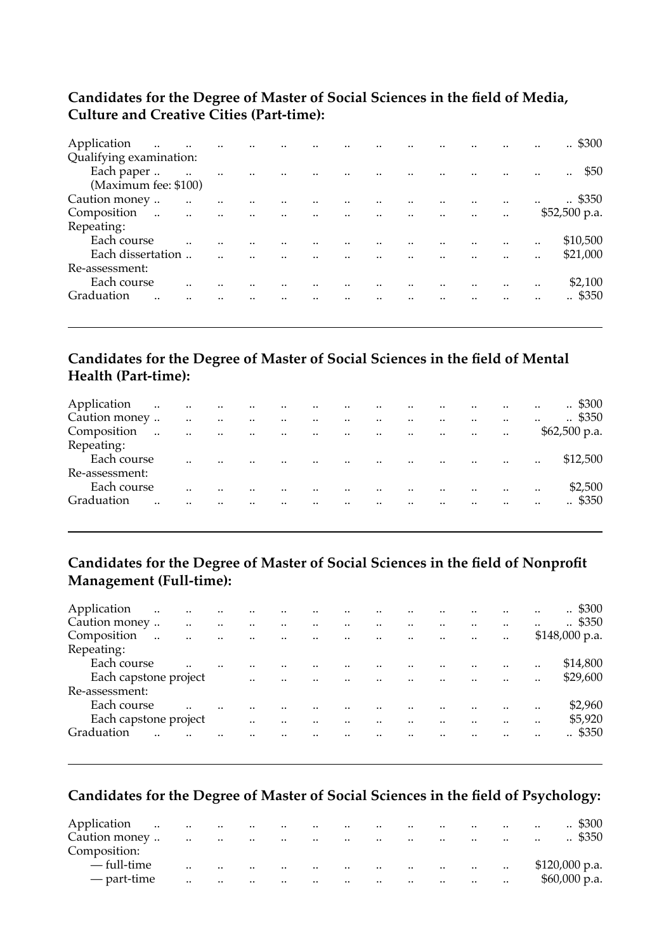#### **Candidates for the Degree of Master of Social Sciences in the field of Media, Culture and Creative Cities (Part-time):**

| Application<br><b>Contract Contract</b>  |           | $\ddotsc$            | $\cdot$   | $\ddot{\phantom{a}}$    |                                                |                                                  | $\cdot \cdot$ |                 |                      | $\ddot{\phantom{a}}$     |                      | $\ddot{\phantom{a}}$ | $\cdot$ \$300                |
|------------------------------------------|-----------|----------------------|-----------|-------------------------|------------------------------------------------|--------------------------------------------------|---------------|-----------------|----------------------|--------------------------|----------------------|----------------------|------------------------------|
| Qualifying examination:                  |           |                      |           |                         |                                                |                                                  |               |                 |                      |                          |                      |                      |                              |
| Each paper                               | $\sim$    | $\ddot{\phantom{a}}$ | $\ddotsc$ | $\ddot{\phantom{a}}$    |                                                |                                                  |               |                 | $\ddot{\phantom{a}}$ |                          |                      | $\ddot{\phantom{a}}$ | \$50<br>$\ddot{\phantom{a}}$ |
| (Maximum fee: \$100)                     |           |                      |           |                         |                                                |                                                  |               |                 |                      |                          |                      |                      |                              |
| Caution money                            | $\ddotsc$ | $\ddot{\phantom{a}}$ | $\ddotsc$ | $\ddot{\phantom{a}}$    | $\mathbf{a}$ and $\mathbf{a}$ and $\mathbf{a}$ |                                                  |               |                 |                      |                          |                      | $\ddot{\phantom{a}}$ | $\therefore$ \$350           |
| Composition<br>$\sim$<br><b>Contract</b> |           | $\ddotsc$            | $\sim$    | $\sim 100$ km s $^{-1}$ |                                                | and the company of the company of the company of |               |                 |                      |                          | $\cdot$ .            |                      | $$52,500$ p.a.               |
| Repeating:                               |           |                      |           |                         |                                                |                                                  |               |                 |                      |                          |                      |                      |                              |
| Each course                              |           |                      |           |                         |                                                |                                                  |               |                 |                      |                          | $\ddot{\phantom{a}}$ |                      | \$10,500                     |
| Each dissertation                        |           |                      |           | $\ddotsc$               | and the control                                |                                                  | $\sim 100$    | and the company | $\ddot{\phantom{a}}$ | $\overline{\phantom{a}}$ | $\ddot{\phantom{a}}$ |                      | \$21,000                     |
| Re-assessment:                           |           |                      |           |                         |                                                |                                                  |               |                 |                      |                          |                      |                      |                              |
| Each course                              |           |                      |           |                         |                                                |                                                  |               |                 |                      |                          |                      |                      | \$2,100                      |
| Graduation                               |           |                      |           |                         |                                                |                                                  |               |                 |                      |                          |                      |                      | .4350                        |
|                                          |           |                      |           |                         |                                                |                                                  |               |                 |                      |                          |                      |                      |                              |

### **Candidates for the Degree of Master of Social Sciences in the field of Mental Health (Part-time):**

| Application<br>$\sim 100$ |                      |           | and the company of the company |                               |           | the contract of the contract and         |                    |                                                  | $\cdots$             |                       | $\cdot$<br>$\sim$ $\sim$ |                      | $\ddotsc$            | $\therefore$ \$300 |
|---------------------------|----------------------|-----------|--------------------------------|-------------------------------|-----------|------------------------------------------|--------------------|--------------------------------------------------|----------------------|-----------------------|--------------------------|----------------------|----------------------|--------------------|
| Caution money             |                      | $\ddotsc$ | $\ddotsc$                      | $\sim$                        | $\ddotsc$ | $\ddot{\phantom{a}}$                     | and the control of |                                                  | $\cdot$ .            |                       |                          | $\ddot{\phantom{a}}$ | $\cdot$ .            | $\therefore$ \$350 |
| Composition               | $\ddot{\phantom{a}}$ | $\sim$    | $\ddotsc$                      | $\sim 100$<br><b>Contract</b> |           | and the company of the company           |                    | $\sim$                                           | $\sim$               | <b>Contract State</b> |                          | $\cdot$ .            |                      | $$62,500$ p.a.     |
| Repeating:                |                      |           |                                |                               |           |                                          |                    |                                                  |                      |                       |                          |                      |                      |                    |
| Each course               |                      | $\cdot$   | $\ddot{\phantom{a}}$           |                               |           | $\cdot$ .                                |                    | <b>Contract Contract</b><br>$\ddot{\phantom{a}}$ | $\sim$ $\sim$        |                       | $\sim$ $\sim$ $\sim$     | $\ddot{\phantom{a}}$ | $\ddot{\phantom{a}}$ | \$12,500           |
| Re-assessment:            |                      |           |                                |                               |           |                                          |                    |                                                  |                      |                       |                          |                      |                      |                    |
| Each course               |                      | $\cdot$   |                                |                               |           | $\ddot{\phantom{a}}$                     |                    | $\ddot{\phantom{a}}$                             | $\ddot{\phantom{a}}$ |                       | $\ddotsc$                | $\cdot$              | $\cdot$ .            | \$2,500            |
| Graduation                | $\cdot$ .            |           |                                | $\ddots$                      |           | $\sim$ 100 $\mu$<br>$\ddot{\phantom{a}}$ |                    | $\ddotsc$                                        | $\ddots$             |                       | $\ddot{\phantom{a}}$     | $\cdot$              | $\cdot$ .            | .5350              |
|                           |                      |           |                                |                               |           |                                          |                    |                                                  |                      |                       |                          |                      |                      |                    |

### **Candidates for the Degree of Master of Social Sciences in the field of Nonprofit Management (Full-time):**

| Application           | $\ddot{\phantom{a}}$ | $\cdot \cdot$ | $\ddotsc$            | $\ddotsc$            | $\cdot$              | $\cdot$ .            | $\ddotsc$                         |                      |                      |                      |           | <br> | $\therefore$ \$300 |
|-----------------------|----------------------|---------------|----------------------|----------------------|----------------------|----------------------|-----------------------------------|----------------------|----------------------|----------------------|-----------|------|--------------------|
| Caution money         |                      | $\ddotsc$     | $\ddot{\phantom{a}}$ | $\ddot{\phantom{a}}$ |                      | $\ddot{\phantom{a}}$ |                                   | $\ddot{\phantom{a}}$ |                      |                      |           |      | $\therefore$ \$350 |
| Composition           | $\ddotsc$            | $\ddotsc$     | $\ddot{\phantom{a}}$ | $\ddotsc$            | $\ddot{\phantom{a}}$ | $\ddotsc$            | <b>Contract Contract Contract</b> | $\cdot$              | $\ddotsc$            | $\cdot$ .            | $\cdot$ . |      | $$148,000$ p.a.    |
| Repeating:            |                      |               |                      |                      |                      |                      |                                   |                      |                      |                      |           |      |                    |
| Each course           |                      |               |                      |                      |                      |                      |                                   |                      |                      |                      |           | <br> | \$14,800           |
| Each capstone project |                      |               |                      | $\cdot$              | $\cdot$ .            | $\ddot{\phantom{a}}$ | $\sim$ 100 $\mu$                  | $\sim$ $\sim$        |                      | $\ddot{\phantom{a}}$ |           |      | \$29,600           |
| Re-assessment:        |                      |               |                      |                      |                      |                      |                                   |                      |                      |                      |           |      |                    |
| Each course           |                      |               |                      |                      |                      |                      |                                   |                      |                      |                      |           |      | \$2,960            |
| Each capstone project |                      |               |                      | $\cdot$ .            |                      | $\ddot{\phantom{a}}$ | $\cdot$                           |                      | $\ddot{\phantom{a}}$ |                      |           | <br> | \$5,920            |
| Graduation            |                      |               |                      |                      |                      |                      |                                   | $\ddot{\phantom{a}}$ |                      |                      |           |      | . \$350            |
|                       |                      |               |                      |                      |                      |                      |                                   |                      |                      |                      |           |      |                    |

### **Candidates for the Degree of Master of Social Sciences in the field of Psychology:**

| Application   | $\ddots$<br>and a state |               | and the company of the company |                                      |                          | and the contract of the con-  |           | the company of the company of the company |                               |                     |        |           | $\cdot$ \$300      |
|---------------|-------------------------|---------------|--------------------------------|--------------------------------------|--------------------------|-------------------------------|-----------|-------------------------------------------|-------------------------------|---------------------|--------|-----------|--------------------|
| Caution money |                         | $\ddotsc$     | $\ddotsc$                      | <b>Contractor</b><br><b>Contract</b> |                          | the company of the company of |           | $\cdots$                                  | <b>SALE</b>                   | the company's state |        | $\ddotsc$ | $\therefore$ \$350 |
| Composition:  |                         |               |                                |                                      |                          |                               |           |                                           |                               |                     |        |           |                    |
| — full-time   |                         | $\cdot \cdot$ | $\ddotsc$                      | $\sim$                               | <b>Contract Contract</b> | and the contract of the       | $\sim$    | and the company of the company of         |                               |                     |        |           | $$120,000$ p.a.    |
| — part-time   |                         | $\ddotsc$     | $\ddotsc$                      | $\cdots$                             | $\sim 100$ km s $^{-1}$  | and the company of the com-   | $\ddotsc$ | <b>Contract Contract</b>                  | the company of the company of |                     | $\sim$ |           | $$60,000$ p.a.     |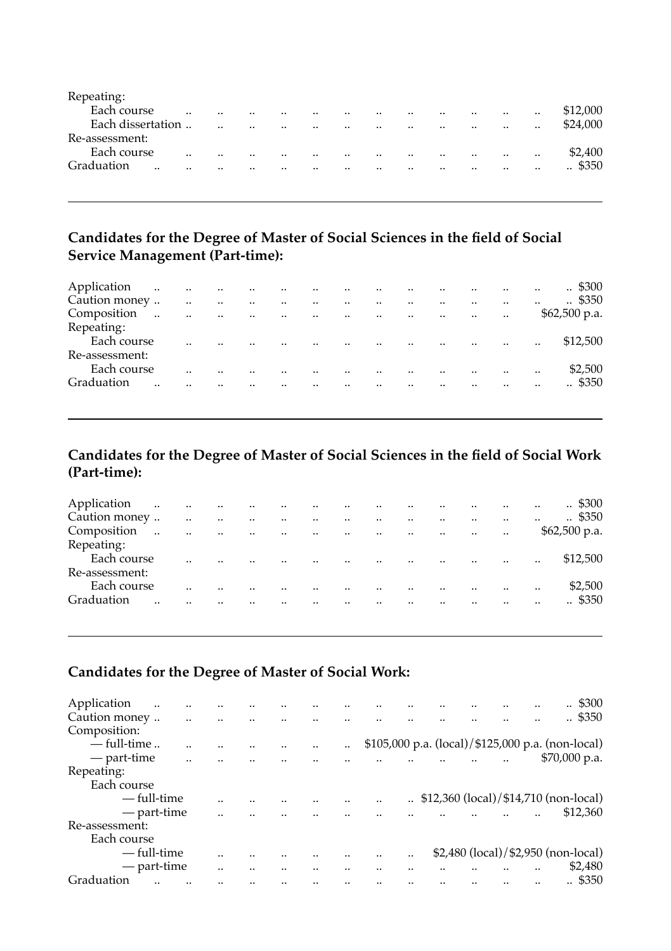| Repeating:              |           |           |           |         |                      |           |           |           |           |                      |           |               |                    |
|-------------------------|-----------|-----------|-----------|---------|----------------------|-----------|-----------|-----------|-----------|----------------------|-----------|---------------|--------------------|
| Each course             | $\cdot$ . | $\cdot$ . | $\cdot$ . | $\cdot$ | $\ddot{\phantom{a}}$ | $\cdot$ . | $\cdot$ . | $\cdot$ . |           | $\ddot{\phantom{a}}$ | $\cdot$ . | $\cdot$ .     | \$12,000           |
| Each dissertation       |           |           |           |         | $\cdot$              | $\cdot$ . | $\cdot$ . | $\cdot$ . |           | $\cdot$ .            | $\cdot$ . |               | \$24,000           |
| Re-assessment:          |           |           |           |         |                      |           |           |           |           |                      |           |               |                    |
| Each course             |           |           |           |         |                      |           |           | $\cdot$ . | $\cdot$ . | $\cdot$ .            | $\cdot$ . | $\cdot \cdot$ | \$2,400            |
| Graduation<br>$\cdot$ . |           |           | $\cdot$ . |         | $\cdot$              |           | $\cdot$ . | $\cdot$ . |           | $\cdot \cdot$        | $\cdot$ . | $\cdot$ .     | $\therefore$ \$350 |
|                         |           |           |           |         |                      |           |           |           |           |                      |           |               |                    |

#### **Candidates for the Degree of Master of Social Sciences in the field of Social Service Management (Part-time):**

| Application<br>$\sim 100$ |           |           | and the company of the company |            |                 | and the state of the                 |                      | $\sim$                   |           |                   | $\ddot{\phantom{a}}$ | $\cdot$ .            | $\ddotsc$ | $\therefore$ \$300 |
|---------------------------|-----------|-----------|--------------------------------|------------|-----------------|--------------------------------------|----------------------|--------------------------|-----------|-------------------|----------------------|----------------------|-----------|--------------------|
| Caution money             |           | $\ddotsc$ | $\ddotsc$                      | $\sim 100$ | $\sim$          | $\sim 100$ km s $^{-1}$<br>$\ddotsc$ |                      | $\ddotsc$                | $\cdot$   |                   | $\ddot{\phantom{a}}$ | $\cdot$ .            |           | $\therefore$ \$350 |
| Composition               | $\ddotsc$ | $\ddotsc$ | $\ddotsc$<br>$\sim 100$        |            | <b>Contract</b> | and the company of the company       |                      | <b>Contract Contract</b> |           | <b>Contractor</b> | <b>Contractor</b>    | $\ddot{\phantom{a}}$ |           | $$62,500$ p.a.     |
| Repeating:                |           |           |                                |            |                 |                                      |                      |                          |           |                   |                      |                      |           |                    |
| Each course               |           | $\cdot$ . |                                |            |                 | $\ddot{\phantom{a}}$                 |                      | and the contract of the  |           | Ω.                | $\cdot$<br>$\sim$    |                      | $\cdot$ . | \$12,500           |
| Re-assessment:            |           |           |                                |            |                 |                                      |                      |                          |           |                   |                      |                      |           |                    |
| Each course               |           | $\cdot$ . |                                |            |                 | $\ddot{\phantom{a}}$                 | $\ddot{\phantom{a}}$ | $\ddot{\phantom{a}}$     | $\cdot$   |                   | $\ddot{\phantom{a}}$ | $\ddot{\phantom{a}}$ | $\cdot$ . | \$2,500            |
| Graduation                |           |           |                                | $\ddotsc$  |                 |                                      | $\sim$ 100 $\mu$     | $\cdot$ .                | $\cdot$ . |                   | $\cdot$ .            |                      | $\cdot$ . | .5350              |
|                           |           |           |                                |            |                 |                                      |                      |                          |           |                   |                      |                      |           |                    |

## **Candidates for the Degree of Master of Social Sciences in the field of Social Work (Part-time):**

| Application    | $\ddotsc$<br><b>Contract</b> |                      | $\ldots$             | $\sim$               | $\sim$    | the contract of the contract of |                      | $\cdot$              | $\ddot{\phantom{a}}$ |           | $\cdot$ .            | $\cdot$ . | $\ddotsc$ | . \$300            |
|----------------|------------------------------|----------------------|----------------------|----------------------|-----------|---------------------------------|----------------------|----------------------|----------------------|-----------|----------------------|-----------|-----------|--------------------|
| Caution money  |                              | $\ddot{\phantom{a}}$ | $\ddotsc$            | $\ddotsc$            |           |                                 | $\ddot{\phantom{a}}$ | $\cdot \cdot$        |                      |           |                      | $\cdot$ . | $\cdot$   | $\therefore$ \$350 |
| Composition    | $\ddot{\phantom{a}}$         | $\cdot$ .            | $\ddot{\phantom{a}}$ | $\ddot{\phantom{a}}$ | $\ddotsc$ | <b>Contract Contract</b>        |                      | $\ddotsc$            | $\cdot$              | $\cdot$ . | $\ddotsc$            | $\cdot$ . |           | $$62,500$ p.a.     |
| Repeating:     |                              |                      |                      |                      |           |                                 |                      |                      |                      |           |                      |           |           |                    |
| Each course    |                              |                      |                      |                      |           | $\cdot$ .                       | $\cdot$ .            | $\ddot{\phantom{a}}$ | $\cdot$ .            | $\cdot$   | $\ddot{\phantom{a}}$ | $\cdot$ . | $\cdot$ . | \$12,500           |
| Re-assessment: |                              |                      |                      |                      |           |                                 |                      |                      |                      |           |                      |           |           |                    |
| Each course    |                              |                      |                      |                      |           |                                 |                      |                      | $\cdot$ .            |           | $\cdot$ .            | $\cdot$   |           | \$2,500            |
| Graduation     |                              |                      |                      |                      |           |                                 |                      |                      |                      |           |                      |           |           | . \$350            |
|                |                              |                      |                      |                      |           |                                 |                      |                      |                      |           |                      |           |           |                    |

## **Candidates for the Degree of Master of Social Work:**

| Application    |  |      |      |  |      |  | <br>\$300<br>                                      |
|----------------|--|------|------|--|------|--|----------------------------------------------------|
| Caution money  |  |      |      |  |      |  | <br>.4350                                          |
| Composition:   |  |      |      |  |      |  |                                                    |
| $-$ full-time  |  |      | <br> |  |      |  | \$105,000 p.a. (local)/\$125,000 p.a. (non-local)  |
| — part-time    |  |      |      |  |      |  | \$70,000 p.a.                                      |
| Repeating:     |  |      |      |  |      |  |                                                    |
| Each course    |  |      |      |  |      |  |                                                    |
| — full-time    |  |      |      |  |      |  | $\therefore$ \$12,360 (local)/\$14,710 (non-local) |
| — part-time    |  |      |      |  |      |  | <br>\$12,360                                       |
| Re-assessment: |  |      |      |  |      |  |                                                    |
| Each course    |  |      |      |  |      |  |                                                    |
| — full-time    |  |      |      |  |      |  | \$2,480 (local)/\$2,950 (non-local)                |
| — part-time    |  | <br> |      |  | <br> |  | <br>\$2,480                                        |
| Graduation     |  |      |      |  |      |  | . \$350                                            |
|                |  |      |      |  |      |  |                                                    |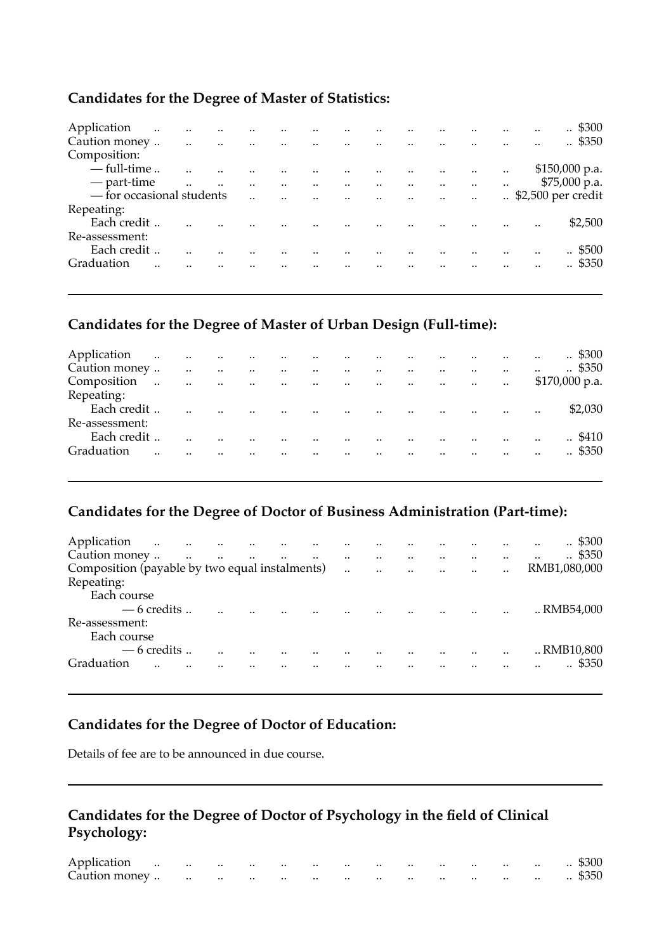### **Candidates for the Degree of Master of Statistics:**

| Application                            | $\ddot{\phantom{a}}$ | $\ddots$  | $\ddotsc$            | the contract of the contract of the con-         |                      |                                     |            |                                     |               |        | $\ddot{\phantom{a}}$ | . \$300            |
|----------------------------------------|----------------------|-----------|----------------------|--------------------------------------------------|----------------------|-------------------------------------|------------|-------------------------------------|---------------|--------|----------------------|--------------------|
| Caution money                          |                      |           |                      | and the company of the company of the company of |                      |                                     |            |                                     | <br>$\cdot$ . |        |                      | $\therefore$ \$350 |
| Composition:                           |                      |           |                      |                                                  |                      |                                     |            |                                     |               |        |                      |                    |
| $-$ full-time                          |                      |           |                      |                                                  |                      | $\sim$ $\sim$ $\sim$ $\sim$         | $\sim 100$ | and the contract of the contract of |               | $\sim$ |                      | $$150,000$ p.a.    |
| — part-time                            |                      | $\ddotsc$ | $\ddot{\phantom{a}}$ | $\ddot{\phantom{a}}$                             | $\ddotsc$            | and the contract of the contract of |            | الموارد المتوارد المتوارد والمتوارد |               |        |                      | $$75,000$ p.a.     |
| $\overline{-}$ for occasional students |                      |           |                      |                                                  | $\ddot{\phantom{a}}$ | المنافذ المستندات                   |            |                                     |               |        |                      |                    |
| Repeating:                             |                      |           |                      |                                                  |                      |                                     |            |                                     |               |        |                      |                    |
| Each credit                            |                      |           |                      |                                                  |                      |                                     |            |                                     |               |        |                      | \$2,500            |
| Re-assessment:                         |                      |           |                      |                                                  |                      |                                     |            |                                     |               |        |                      |                    |
| Each credit                            |                      |           |                      |                                                  |                      |                                     |            |                                     |               |        | $\ddot{\phantom{a}}$ | .5500              |
| Graduation                             |                      |           |                      |                                                  |                      |                                     |            |                                     |               |        |                      | .4350              |
|                                        |                      |           |                      |                                                  |                      |                                     |            |                                     |               |        |                      |                    |

### **Candidates for the Degree of Master of Urban Design (Full-time):**

| Application    |                      |                      | الموارد الموارد المتوارد والموارد |                  |                      | and the contract of the                        |                          |                             | $\ddot{\phantom{a}}$ |                      | the contract of the contract |           | $\ddotsc$            | . \$300            |
|----------------|----------------------|----------------------|-----------------------------------|------------------|----------------------|------------------------------------------------|--------------------------|-----------------------------|----------------------|----------------------|------------------------------|-----------|----------------------|--------------------|
| Caution money  |                      | $\ddot{\phantom{a}}$ | $\ddot{\phantom{1}}$              | $\sim$ 100 $\mu$ | $\ddotsc$            | and the state of the                           |                          |                             | $\ddotsc$            |                      | $\cdot$ .                    | $\cdot$ . | $\cdot \cdot$        | $\therefore$ \$350 |
| Composition    | $\ddot{\phantom{a}}$ | $\sim$ 140           | $\ddotsc$                         | <b>Contract</b>  |                      | and the contract of the con-                   | $\sim$                   | $\sim$                      |                      | and the control of   |                              | $\cdots$  |                      | $$170,000$ p.a.    |
| Repeating:     |                      |                      |                                   |                  |                      |                                                |                          |                             |                      |                      |                              |           |                      |                    |
| Each credit    |                      | $\cdot$ .            | $\ddot{\phantom{a}}$              |                  | $\ddot{\phantom{a}}$ | $\mathbf{r}$ and $\mathbf{r}$ and $\mathbf{r}$ |                          | $\sim 100$<br>$\sim$ $\sim$ |                      | $\ddot{\phantom{a}}$ | <b>Contract Contract</b>     |           | $\cdot$ .            | \$2,030            |
| Re-assessment: |                      |                      |                                   |                  |                      |                                                |                          |                             |                      |                      |                              |           |                      |                    |
| Each credit    |                      | $\cdot$ .            |                                   | $\cdot$ .        | $\ddot{\phantom{a}}$ | $\ddotsc$                                      | $\overline{\phantom{a}}$ | $\sim$ 100 $\mu$            | $\sim$               |                      | and the contract and         |           | $\ddot{\phantom{a}}$ | . \$410            |
| Graduation     |                      |                      |                                   | $\cdot$ .        |                      | $\cdot$                                        | <b>Contractor</b>        | $\ddot{\phantom{a}}$        | $\ddot{\phantom{a}}$ |                      | $\cdot$                      | $\cdot$ . | $\cdot$ .            | .4350              |
|                |                      |                      |                                   |                  |                      |                                                |                          |                             |                      |                      |                              |           |                      |                    |

### **Candidates for the Degree of Doctor of Business Administration (Part-time):**

| Application<br>$\sim$<br>Caution money         | المتارين والمتارين والمتارين والمتارين والمتارين والمتارين<br>$\sim 100$ | $\ddotsc$ | and the contract of the | and the company of the company |  | $\ddot{\phantom{a}}$                |                      | $\cdot$                | $\cdot$ . |              | $\therefore$ \$300<br>$\therefore$ \$350 |  |
|------------------------------------------------|--------------------------------------------------------------------------|-----------|-------------------------|--------------------------------|--|-------------------------------------|----------------------|------------------------|-----------|--------------|------------------------------------------|--|
| Composition (payable by two equal instalments) |                                                                          |           |                         |                                |  | and the contract of the contract of |                      |                        |           | RMB1,080,000 |                                          |  |
| Repeating:                                     |                                                                          |           |                         |                                |  |                                     |                      |                        |           |              |                                          |  |
| Each course                                    |                                                                          |           |                         |                                |  |                                     |                      |                        |           |              |                                          |  |
| $-6$ credits                                   |                                                                          |           |                         |                                |  |                                     |                      | and the control of the |           |              | RMB54.000                                |  |
| Re-assessment:<br>Each course                  |                                                                          |           |                         |                                |  |                                     |                      |                        |           |              |                                          |  |
| $-6$ credits                                   |                                                                          |           |                         |                                |  |                                     | $\ddot{\phantom{a}}$ |                        |           |              | RMB10,800                                |  |
| Graduation<br>                                 |                                                                          |           |                         |                                |  |                                     |                      |                        |           |              | \$350                                    |  |
|                                                |                                                                          |           |                         |                                |  |                                     |                      |                        |           |              |                                          |  |

### **Candidates for the Degree of Doctor of Education:**

Details of fee are to be announced in due course.

### **Candidates for the Degree of Doctor of Psychology in the field of Clinical Psychology:**

| Application   | the contract of the contract of |          | $\cdots$                 | $\cdot$ . | $\cdot$   | $\cdot$ . |           | $\cdot$ . | $\cdots$ | $\cdot$ . | $\cdots$ |          | $\cdots$ | $\cdot$ \$300      |
|---------------|---------------------------------|----------|--------------------------|-----------|-----------|-----------|-----------|-----------|----------|-----------|----------|----------|----------|--------------------|
| Caution money |                                 | $\cdots$ | $\overline{\phantom{a}}$ | $\cdot$ . | $\cdot$ . | $\cdot$ . | $\cdot$ . | $\cdot$ . | $\cdots$ | $\cdot$ . | $\cdots$ | $\cdots$ | $\cdots$ | $\therefore$ \$350 |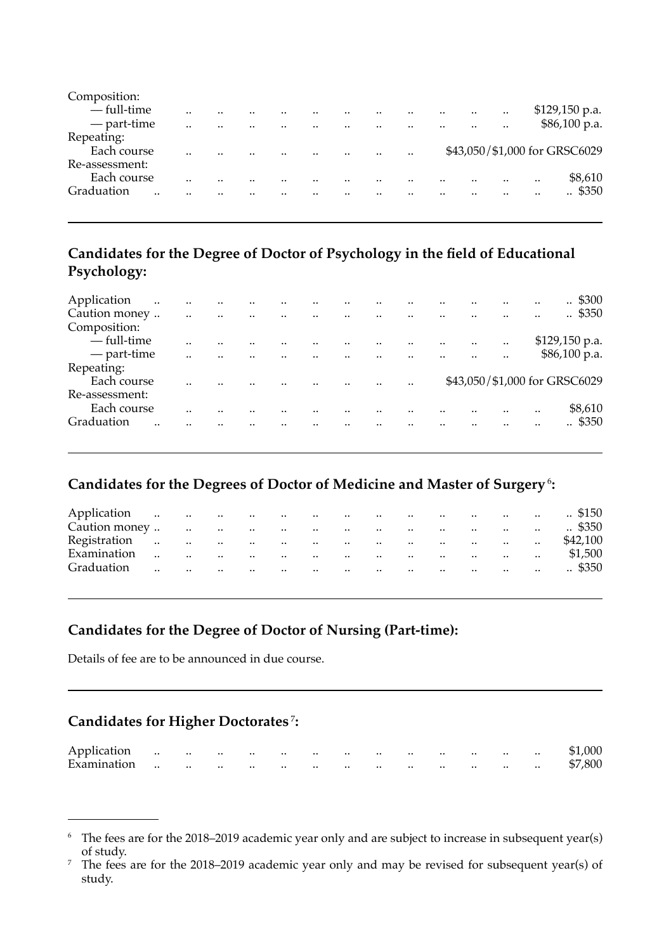| Composition:   |           |      |               |      |           |               |           |                               |
|----------------|-----------|------|---------------|------|-----------|---------------|-----------|-------------------------------|
| — full-time    |           |      | <br>$\cdot$ . |      |           | <br>$\cdot$ . | $\cdot$ . | \$129,150 p.a.                |
| — part-time    |           | <br> | <br>          |      |           | <br>$\cdot$ . |           | \$86,100 p.a.                 |
| Repeating:     |           |      |               |      |           |               |           |                               |
| Each course    | $\cdot$ . |      | <br>          | <br> | $\cdot$ . |               |           | \$43,050/\$1,000 for GRSC6029 |
| Re-assessment: |           |      |               |      |           |               |           |                               |
| Each course    |           |      | <br>          |      |           | <br>          |           | <br>\$8,610                   |
| Graduation<br> |           |      | <br>          |      |           | <br>          |           | <br>. \$350                   |
|                |           |      |               |      |           |               |           |                               |

#### **Candidates for the Degree of Doctor of Psychology in the field of Educational Psychology:**

| Application    | $\ddotsc$ |                          |           |                          |           |         |           |               |           | $\therefore$ \$300            |
|----------------|-----------|--------------------------|-----------|--------------------------|-----------|---------|-----------|---------------|-----------|-------------------------------|
| Caution money  |           | <br>$\ddot{\phantom{a}}$ | $\cdot$ . | <br>                     |           |         |           | <br>          |           | <br>$\therefore$ \$350        |
| Composition:   |           |                          |           |                          |           |         |           |               |           |                               |
| — full-time    |           |                          |           |                          |           |         |           |               | $\cdot$ . | $$129,150$ p.a.               |
| — part-time    |           |                          |           | <br>$\ddot{\phantom{a}}$ | $\cdot$ . | $\cdot$ | $\cdot$   | <br>$\cdot$ . | $\cdot$ . | \$86,100 p.a.                 |
| Repeating:     |           |                          |           |                          |           |         |           |               |           |                               |
| Each course    |           |                          |           |                          |           |         | $\cdot$ . |               |           | \$43,050/\$1,000 for GRSC6029 |
| Re-assessment: |           |                          |           |                          |           |         |           |               |           |                               |
| Each course    |           |                          |           |                          |           |         |           |               |           | <br>\$8,610                   |
| Graduation     |           |                          |           |                          |           |         |           |               |           | <br>$\therefore$ \$350        |
|                |           |                          |           |                          |           |         |           |               |           |                               |

#### **Candidates for the Degrees of Doctor of Medicine and Master of Surgery**<sup>6</sup>**:**

| Application   |                      | and the state of the state |                      | <b>Contractor</b>        | <b>Contract Contract</b>   |                                | the contract of | $\ddotsc$            | $\sim$   | $\ddotsc$         |                                   | the company of the company | $\ddotsc$            | $. \$150$          |
|---------------|----------------------|----------------------------|----------------------|--------------------------|----------------------------|--------------------------------|-----------------|----------------------|----------|-------------------|-----------------------------------|----------------------------|----------------------|--------------------|
| Caution money |                      | <b>Contract Contract</b>   | $\sim 10^{-10}$      | $\sim$ 100 $\sim$        | <b>Contractor</b>          | the company of the company     |                 | $\ddotsc$            | $\cdots$ | $\ddotsc$         |                                   | the company of the company | $\ddotsc$            | $\therefore$ \$350 |
| Registration  | $\ddotsc$            | <b>Contract Contract</b>   | $\ddotsc$            | <b>Contractor</b>        |                            | and the company of the company |                 | $\ddots$             | $\sim$   | <b>Contractor</b> | the contract of the               |                            | $\ddotsc$            | \$42,100           |
| Examination   | $\ddot{\phantom{a}}$ | $\ddotsc$                  | $\ddotsc$            | <b>Contract Contract</b> | $\sim$ 100 $\pm$ 100 $\pm$ | the company of the company of  |                 | $\ddots$             | $\sim$   | <b>Contract</b>   | the contract of the               |                            | $\ddot{\phantom{a}}$ | \$1,500            |
| Graduation    | $\ddot{\phantom{a}}$ | $\ddotsc$                  | $\ddot{\phantom{a}}$ | $\sim$ $\sim$            | $\sim$ $\sim$              | $\ddotsc$                      | $\cdots$        | $\ddot{\phantom{a}}$ | $\sim$   | $\ddotsc$         | <b>Contract Contract Contract</b> | $\sim$                     | $\cdot$ .            | .5350              |
|               |                      |                            |                      |                          |                            |                                |                 |                      |          |                   |                                   |                            |                      |                    |

#### **Candidates for the Degree of Doctor of Nursing (Part-time):**

Details of fee are to be announced in due course.

### **Candidates for Higher Doctorates**<sup>7</sup>**:**

| Application |  |  |  |  |                                                     |  | \$1,000 |
|-------------|--|--|--|--|-----------------------------------------------------|--|---------|
| Examination |  |  |  |  | the contract of the contract of the contract of the |  | \$7,800 |

<sup>6</sup> The fees are for the 2018–2019 academic year only and are subject to increase in subsequent year(s) of study.

<sup>&</sup>lt;sup>7</sup> The fees are for the 2018–2019 academic year only and may be revised for subsequent year(s) of study.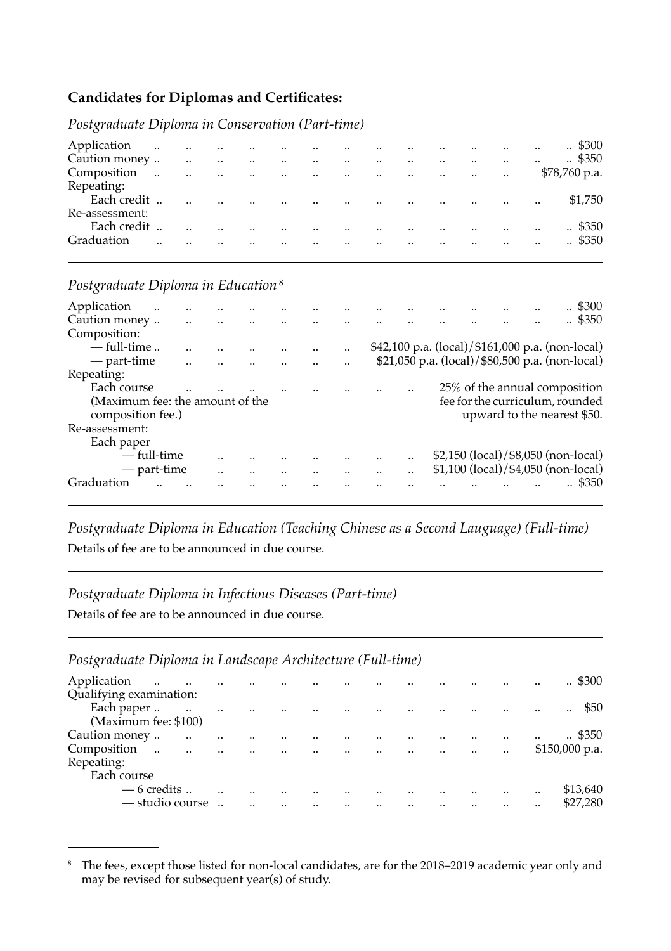#### **Candidates for Diplomas and Certificates:**

*Postgraduate Diploma in Conservation (Part-time)* 

| Application    |                         | and the company of the company of the |                        |                       |                                          |               |           | $\cdot$ .        |                                                  | $\ddotsc$ | $\ddot{\phantom{a}}$ | $\ddotsc$ | . \$300            |
|----------------|-------------------------|---------------------------------------|------------------------|-----------------------|------------------------------------------|---------------|-----------|------------------|--------------------------------------------------|-----------|----------------------|-----------|--------------------|
| Caution money  | $\sim$                  | $\ddots$                              | $\sim 100$ $M_{\odot}$ | $\sim 100$ km $^{-1}$ | and the control of the                   |               |           | $\sim$           |                                                  | $\ddotsc$ | $\sim$               | $\ddotsc$ | $\therefore$ \$350 |
| Composition    | $\sim 100$ km s $^{-1}$ | $\ddotsc$                             |                        |                       | الموارد الموارد الموارد الموارد والموارد |               |           |                  | and the company of the company                   |           | $\ddotsc$            |           | $$78,760$ p.a.     |
| Repeating:     |                         |                                       |                        |                       |                                          |               |           |                  |                                                  |           |                      |           |                    |
| Each credit    |                         | $\sim$                                | $\sim$                 |                       |                                          |               |           |                  | المتارين والمتارين والمتارين والمتارين والمتارين |           |                      | $\cdot$ . | \$1,750            |
| Re-assessment: |                         |                                       |                        |                       |                                          |               |           |                  |                                                  |           |                      |           |                    |
| Each credit    | $\sim$                  | $\ddot{\phantom{a}}$                  | $\ddotsc$              |                       |                                          | $\cdot \cdot$ | $\ddotsc$ | $\ddotsc$        |                                                  | $\ddotsc$ | $\cdots$             | $\ddotsc$ | .4350              |
| Graduation     | $\ddotsc$               | $\ddotsc$                             | $\sim$                 | $\sim$                | and the contract of the contract of      |               |           | $\sim$ 100 $\mu$ | $\ddotsc$                                        | $\ddots$  | $\sim$               | $\ddotsc$ | .4350              |
|                |                         |                                       |                        |                       |                                          |               |           |                  |                                                  |           |                      |           |                    |
|                |                         |                                       |                        |                       |                                          |               |           |                  |                                                  |           |                      |           |                    |

*Postgraduate Diploma in Education* <sup>8</sup>

| Application                                          |             |  |  |                      |         |             |                                                                    |                                     |                             |  | .5300              |
|------------------------------------------------------|-------------|--|--|----------------------|---------|-------------|--------------------------------------------------------------------|-------------------------------------|-----------------------------|--|--------------------|
| Caution money                                        |             |  |  |                      |         |             |                                                                    |                                     |                             |  | $\therefore$ \$350 |
| Composition:                                         |             |  |  |                      |         |             |                                                                    |                                     |                             |  |                    |
| $-$ full-time                                        |             |  |  |                      |         |             | $$42,100 \text{ p.a.} (local) / $161,000 \text{ p.a.} (non-local)$ |                                     |                             |  |                    |
| — part-time                                          |             |  |  | $\ddot{\phantom{a}}$ | $\cdot$ |             | \$21,050 p.a. (local)/\$80,500 p.a. (non-local)                    |                                     |                             |  |                    |
| Repeating:                                           |             |  |  |                      |         |             |                                                                    |                                     |                             |  |                    |
| Each course                                          |             |  |  |                      |         |             |                                                                    | 25% of the annual composition       |                             |  |                    |
| (Maximum fee: the amount of the<br>composition fee.) |             |  |  |                      |         |             |                                                                    | fee for the curriculum, rounded     | upward to the nearest \$50. |  |                    |
| Re-assessment:                                       |             |  |  |                      |         |             |                                                                    |                                     |                             |  |                    |
| Each paper                                           |             |  |  |                      |         |             |                                                                    |                                     |                             |  |                    |
|                                                      | — full-time |  |  |                      |         |             |                                                                    | \$2,150 (local)/\$8,050 (non-local) |                             |  |                    |
|                                                      | — part-time |  |  |                      |         | <br>$\cdot$ |                                                                    | \$1,100 (local)/\$4,050 (non-local) |                             |  |                    |
| Graduation                                           |             |  |  |                      |         |             |                                                                    |                                     |                             |  | \$350              |
|                                                      |             |  |  |                      |         |             |                                                                    |                                     |                             |  |                    |

*Postgraduate Diploma in Education (Teaching Chinese as a Second Lauguage) (Full-time)*  Details of fee are to be announced in due course.

#### *Postgraduate Diploma in Infectious Diseases (Part-time)*

Details of fee are to be announced in due course.

#### *Postgraduate Diploma in Landscape Architecture (Full-time)*

| Application<br>$\sim 100$<br><b>Contractor</b><br>Qualifying examination: | $\ddotsc$            | $\ddotsc$ |                      | $\ddot{\phantom{a}}$      | $\ddotsc$                           | $\cdot$ .            |                      |           |                      | $\cdot$ .            | .5300                                 |
|---------------------------------------------------------------------------|----------------------|-----------|----------------------|---------------------------|-------------------------------------|----------------------|----------------------|-----------|----------------------|----------------------|---------------------------------------|
| Each paper<br>(Maximum fee: \$100)                                        | $\ddotsc$            | $\sim$    | $\ddotsc$            |                           | and the contract of the contract of |                      |                      |           |                      |                      | \$50<br>                              |
| Caution money<br>$\ddotsc$<br>Composition<br>$\sim$                       | $\ddotsc$            |           |                      |                           |                                     |                      |                      |           |                      | $\cdot$ .            | $\therefore$ \$350<br>$$150,000$ p.a. |
| $\ddotsc$<br>Repeating:                                                   | $\ddot{\phantom{a}}$ | $\ddots$  | $\ddot{\phantom{a}}$ | الموارد المتعارف المتوارد |                                     | $\ddot{\phantom{a}}$ | $\ddot{\phantom{a}}$ | $\ddotsc$ | $\cdot$ .            |                      |                                       |
| Each course                                                               |                      |           |                      |                           |                                     |                      |                      |           |                      |                      |                                       |
| $-6$ credits                                                              |                      |           |                      |                           |                                     |                      | $\ddot{\phantom{a}}$ |           | $\ddot{\phantom{a}}$ | $\ddot{\phantom{a}}$ | \$13,640                              |
| — studio course                                                           |                      |           |                      |                           |                                     |                      |                      |           |                      |                      | \$27,280                              |

<sup>8</sup>  The fees, except those listed for non-local candidates, are for the 2018–2019 academic year only and may be revised for subsequent year(s) of study.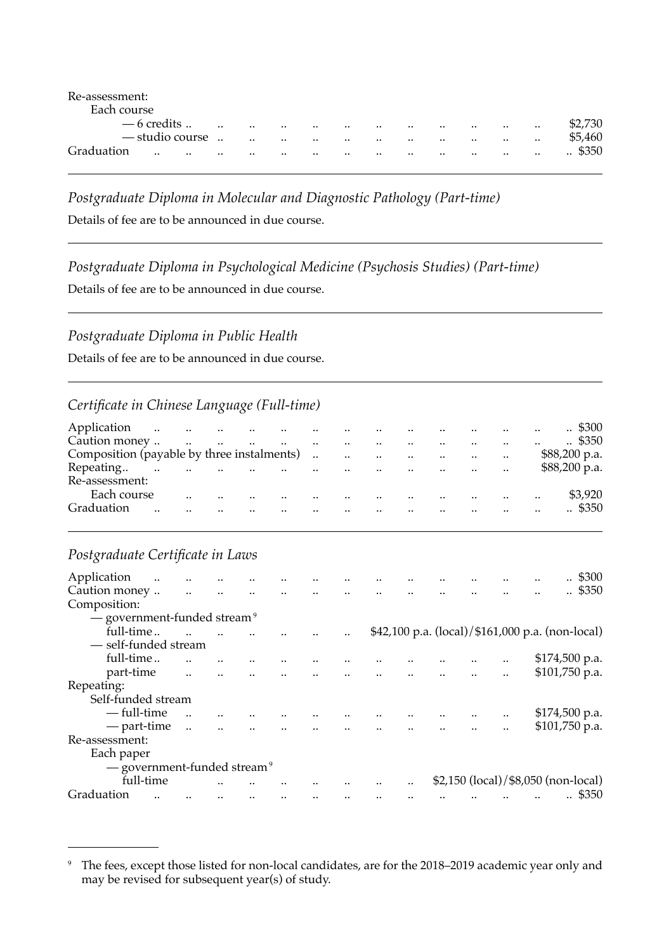| $\cdot \cdot$ | $\cdot \cdot$                                | $\cdot \cdot$ | $\cdot \cdot$ | $\cdot \cdot$ | $\cdot \cdot$ | $\cdots$  | $\cdot \cdot$ | $\cdot \cdot$ | $\cdot \cdot$ | $\cdot\cdot$ | \$2.730            |
|---------------|----------------------------------------------|---------------|---------------|---------------|---------------|-----------|---------------|---------------|---------------|--------------|--------------------|
|               | $\cdot \cdot$                                | $\cdot \cdot$ | $\cdot \cdot$ | $\cdot$ .     | $\cdot \cdot$ | $\cdot$ . | $\cdot \cdot$ | $\cdot \cdot$ | $\cdot$       | $\cdot\cdot$ | \$5,460            |
| $\cdot$ .     | $\cdot$ .                                    | $\cdot \cdot$ | $\cdot$ .     | $\cdot$ .     | $\cdot \cdot$ | $\cdot$ . |               | $\cdot \cdot$ | $\cdot$ .     | $\cdot$ .    | $\therefore$ \$350 |
|               | $-6$ credits<br>— studio course<br>$\cdot$ . |               |               |               |               |           |               |               |               |              |                    |

*Postgraduate Diploma in Molecular and Diagnostic Pathology (Part-time)* 

Details of fee are to be announced in due course.

*Postgraduate Diploma in Psychological Medicine (Psychosis Studies) (Part-time)* 

Details of fee are to be announced in due course.

#### *Postgraduate Diploma in Public Health*

Details of fee are to be announced in due course.

#### *Certificate in Chinese Language (Full-time)*

| Application                                |           |                      | المنادين المنادين المنادين والمنادين |                                 | the company of the company        |            | $\dddot{\phantom{0}}$                    | $\ddot{\phantom{a}}$ |           | $\cdot$                                    | $\ddot{\phantom{a}}$ | $\ddot{\phantom{a}}$ | $\therefore$ \$300 |
|--------------------------------------------|-----------|----------------------|--------------------------------------|---------------------------------|-----------------------------------|------------|------------------------------------------|----------------------|-----------|--------------------------------------------|----------------------|----------------------|--------------------|
| Caution money                              |           | $\ddot{\phantom{a}}$ | $\ddotsc$                            | $\sim$<br>$\dddot{\phantom{0}}$ | $\cdot$                           |            | $\ddot{\phantom{a}}$                     | $\cdot$ .            |           | $\cdot$ .                                  | $\cdot$ .            |                      | $\therefore$ \$350 |
| Composition (payable by three instalments) |           |                      |                                      |                                 |                                   | $\sim 100$ | $\ddot{\phantom{a}}$<br>$\sim$ 100 $\mu$ |                      |           | and the contract of the contract of        |                      |                      | \$88,200 p.a.      |
| Repeating                                  | $\ddotsc$ | $\ddot{\phantom{a}}$ | $\sim$                               |                                 | المنافس المستنبين المستنب المستنب |            |                                          | $\cdot$ .            | $\ddotsc$ | <b>Contract Contract Contract Contract</b> | $\ddot{\phantom{a}}$ |                      | \$88,200 p.a.      |
| Re-assessment:                             |           |                      |                                      |                                 |                                   |            |                                          |                      |           |                                            |                      |                      |                    |
| Each course                                |           |                      |                                      |                                 | <br>$\cdot$ .                     |            |                                          |                      |           | $\cdot$ .                                  |                      |                      | \$3,920            |
| Graduation                                 |           |                      |                                      |                                 | <br>                              |            |                                          |                      |           |                                            |                      |                      | .4350              |
|                                            |           |                      |                                      |                                 |                                   |            |                                          |                      |           |                                            |                      |                      |                    |

### *Postgraduate Certificate in Laws*

| Application                             | $\ddotsc$ | $\ddots$                 | $\ddotsc$               | $\ddotsc$               | $\ldots$              | $\ldots$             | $\ldots$ |                          |                                                  |          |                                     |                | . \$300            |
|-----------------------------------------|-----------|--------------------------|-------------------------|-------------------------|-----------------------|----------------------|----------|--------------------------|--------------------------------------------------|----------|-------------------------------------|----------------|--------------------|
| Caution money                           |           | <b>Contract Contract</b> | $\sim 100$ km s $^{-1}$ | $\sim 100$ km s $^{-1}$ | $\sim 100$ km $^{-1}$ | $\ddot{\phantom{a}}$ |          |                          |                                                  |          |                                     |                | $\therefore$ \$350 |
| Composition:                            |           |                          |                         |                         |                       |                      |          |                          |                                                  |          |                                     |                |                    |
| - government-funded stream <sup>9</sup> |           |                          |                         |                         |                       |                      |          |                          |                                                  |          |                                     |                |                    |
| full-time                               |           | <b>Contract Contract</b> |                         |                         |                       |                      |          |                          | \$42,100 p.a. (local)/\$161,000 p.a. (non-local) |          |                                     |                |                    |
| - self-funded stream                    |           |                          |                         |                         |                       |                      |          |                          |                                                  |          |                                     |                |                    |
| full-time                               |           |                          |                         |                         |                       |                      |          |                          | $\ddotsc$                                        |          |                                     | \$174,500 p.a. |                    |
| part-time                               |           | $\ddot{\phantom{a}}$     |                         |                         |                       |                      |          |                          |                                                  |          |                                     | \$101,750 p.a. |                    |
| Repeating:                              |           |                          |                         |                         |                       |                      |          |                          |                                                  |          |                                     |                |                    |
| Self-funded stream                      |           |                          |                         |                         |                       |                      |          |                          |                                                  |          |                                     |                |                    |
| - full-time                             |           |                          |                         |                         |                       |                      |          |                          | $\ddotsc$                                        | $\ldots$ |                                     | \$174,500 p.a. |                    |
| — part-time                             |           |                          |                         |                         | $\ddot{\phantom{a}}$  |                      |          | المنافذ المتناقص المنافذ |                                                  |          |                                     | \$101,750 p.a. |                    |
| Re-assessment:                          |           |                          |                         |                         |                       |                      |          |                          |                                                  |          |                                     |                |                    |
| Each paper                              |           |                          |                         |                         |                       |                      |          |                          |                                                  |          |                                     |                |                    |
| - government-funded stream <sup>9</sup> |           |                          |                         |                         |                       |                      |          |                          |                                                  |          |                                     |                |                    |
| full-time                               |           |                          |                         |                         |                       |                      |          |                          |                                                  |          | \$2,150 (local)/\$8,050 (non-local) |                |                    |
| Graduation                              |           |                          |                         |                         |                       |                      |          |                          |                                                  |          |                                     |                | . \$350            |

<sup>9</sup> The fees, except those listed for non-local candidates, are for the 2018–2019 academic year only and may be revised for subsequent year(s) of study.